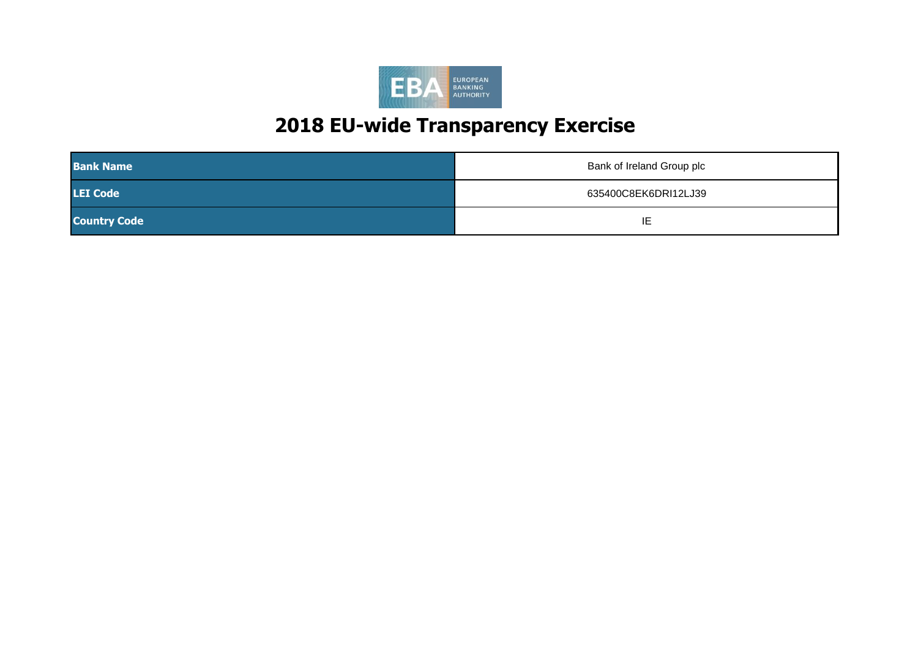

| <b>Bank Name</b>    | Bank of Ireland Group plc |
|---------------------|---------------------------|
| <b>LEI Code</b>     | 635400C8EK6DRI12LJ39      |
| <b>Country Code</b> | ΙE                        |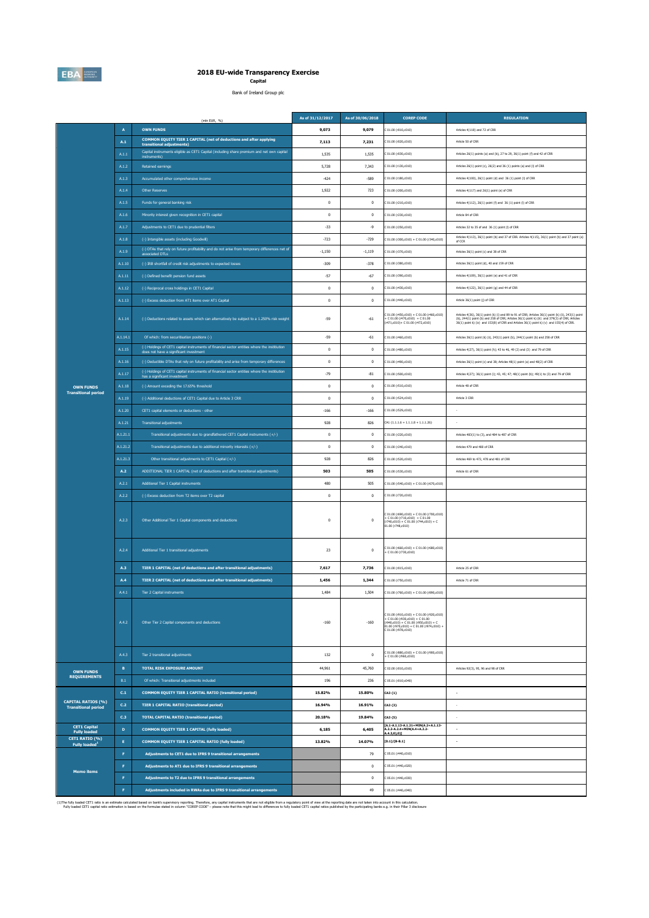

# **2018 EU-wide Transparency Exercise Capital**

Bank of Ireland Group plc

|                                                         |                 | (mln EUR, %)                                                                                                                             | As of 31/12/2017                                   | As of 30/06/2018 | <b>COREP CODE</b>                                                                                                                                                                                       | <b>REGULATION</b>                                                                                                                                                                                                                    |
|---------------------------------------------------------|-----------------|------------------------------------------------------------------------------------------------------------------------------------------|----------------------------------------------------|------------------|---------------------------------------------------------------------------------------------------------------------------------------------------------------------------------------------------------|--------------------------------------------------------------------------------------------------------------------------------------------------------------------------------------------------------------------------------------|
|                                                         | $\overline{A}$  | <b>OWN FUNDS</b>                                                                                                                         | 9.073                                              | 9.079            | 01.00 (r010.c010)                                                                                                                                                                                       | Articles 4(118) and 72 of CRR                                                                                                                                                                                                        |
|                                                         | $\mathbf{A.1}$  | COMMON EQUITY TIER 1 CAPITAL (net of deductions and after applying<br>transitional adjustments)                                          | 7,113                                              | 7,231            | : 01.00 (r020, c010)                                                                                                                                                                                    | Article 50 of CRR                                                                                                                                                                                                                    |
|                                                         | A.1.1           | Capital instruments eligible as CET1 Capital (including share premium and net own capital<br>instruments)                                | 1.535                                              | 1.535            | 01.00 (r030,c010)                                                                                                                                                                                       | Articles 26(1) points (a) and (b), 27 to 29, 36(1) point (f) and 42 of CRR                                                                                                                                                           |
|                                                         | A.1.2           | Retained earnings                                                                                                                        | 5,728                                              | 7,343            | C 01.00 (r130,c010)                                                                                                                                                                                     | Articles 26(1) point (c), 26(2) and 36 (1) points (a) and (l) of CRR                                                                                                                                                                 |
|                                                         | A.1.3           | Accumulated other comprehensive income                                                                                                   | $-424$                                             | $-589$           | C 01.00 (r180.c010)                                                                                                                                                                                     | Articles 4(100), 26(1) point (d) and 36 (1) point (l) of CRR                                                                                                                                                                         |
|                                                         | A.1.4           | <b>Other Reserves</b>                                                                                                                    | 1,922                                              | 723              | C 01.00 (r200,c010)                                                                                                                                                                                     | Articles 4(117) and 26(1) point (e) of CRR                                                                                                                                                                                           |
|                                                         | A.1.5           | Funds for general banking risk                                                                                                           | $\,0\,$                                            | $\bf 0$          | C 01.00 (r210,c010)                                                                                                                                                                                     | Articles 4(112), 26(1) point (f) and 36 (1) point (l) of CRR                                                                                                                                                                         |
|                                                         | A.1.6           | Minority interest given recognition in CET1 capital                                                                                      | $\theta$                                           | $\bf{0}$         | C 01.00 (r230,c010)                                                                                                                                                                                     | Article 84 of CRR                                                                                                                                                                                                                    |
|                                                         | A.1.7           | Adjustments to CET1 due to prudential filters                                                                                            | $-33$                                              | $-9$             | 01.00 (r250,c010)                                                                                                                                                                                       | Articles 32 to 35 of and 36 (1) point (I) of CRR                                                                                                                                                                                     |
|                                                         | A.1.8           | (-) Intangible assets (including Goodwill)                                                                                               | $-723$                                             | $-729$           | $201.00 (r300, c010) + C 01.00 (r340, c010)$                                                                                                                                                            | Articles 4(113), 36(1) point (b) and 37 of CRR. Articles 4(115), 36(1) point (b) and 37 point (a) of CCR                                                                                                                             |
|                                                         | A.1.9           | (-) DTAs that rely on future profitability and do not arise from temporary differences net of<br>associated DTI s                        | $-1,150$                                           | $-1,119$         | C 01.00 (r370,c010)                                                                                                                                                                                     | Articles 36(1) point (c) and 38 of CRR                                                                                                                                                                                               |
|                                                         | A.1.10          | (-) IRB shortfall of credit risk adjustments to expected losses                                                                          | $-309$                                             | $-378$           | C 01.00 (r380,c010)                                                                                                                                                                                     | Articles 36(1) point (d), 40 and 159 of CRR                                                                                                                                                                                          |
|                                                         | A.1.11          | (-) Defined benefit pension fund assets                                                                                                  | $-57$                                              | $-67$            | C 01.00 (r390,c010)                                                                                                                                                                                     | Articles 4(109), 36(1) point (e) and 41 of CRR                                                                                                                                                                                       |
|                                                         | A.1.12          | (-) Reciprocal cross holdings in CET1 Capital                                                                                            | $\,0\,$                                            | $\bf 0$          | C 01.00 (r430,c010)                                                                                                                                                                                     | Articles 4(122), 36(1) point (g) and 44 of CRR                                                                                                                                                                                       |
|                                                         | A.1.13          | (-) Excess deduction from AT1 items over AT1 Capital                                                                                     | $\,0\,$                                            | $\bf{0}$         | 201.00 (r440, c010)                                                                                                                                                                                     | Article 36(1) point (j) of CRR                                                                                                                                                                                                       |
|                                                         | A.1.14          | (-) Deductions related to assets which can alternatively be subject to a 1.250% risk weight                                              | $-59$                                              | $-61$            | 01.00 (r450,c010) + C 01.00 (r460,c010)<br>E C 01.00 (r470,c010) + C 01.00<br>r471,c010)+ C 01.00 (r472,c010)                                                                                           | Articles 4(36), 36(1) paint (k) (i) and 89 to 91 of CRR; Articles 36(1) paint (k) (ii), 243(1) paint<br>(b), 244(1) paint (b) and 258 of CRR; Articles 36(1) paint k) (iii) and 379(3) of CRR; Articles<br>36(1) paint k) (iv) and 1 |
|                                                         | A.1.14.1        | Of which: from securitisation positions (-)                                                                                              | $-59$                                              | $-61$            | 01.00 (r460,c010)                                                                                                                                                                                       | Articles 36(1) point (k) (ii), 243(1) point (b), 244(1) point (b) and 258 of CRR                                                                                                                                                     |
|                                                         | A.1.15          | (-) Holdings of CET1 capital instruments of financial sector entities where the institiution<br>does not have a significant investment   | $\,0\,$                                            | $\bf 0$          | 01.00 (r480,c010)                                                                                                                                                                                       | Articles 4(27), 36(1) point (h); 43 to 46, 49 (2) and (3) and 79 of CRR                                                                                                                                                              |
|                                                         | A.1.16          | (-) Deductible DTAs that rely on future profitability and arise from temporary differences                                               | $\,0\,$                                            | $\bf 0$          | 01.00 (r490,c010)                                                                                                                                                                                       | Articles 36(1) point (c) and 38; Articles 48(1) point (a) and 48(2) of CRR                                                                                                                                                           |
|                                                         | A.1.17          | (-) Holdings of CET1 capital instruments of financial sector entities where the institiution<br>has a significant investment             | $-79$                                              | $-81$            | C 01.00 (r500,c010)                                                                                                                                                                                     | Articles 4(27); 36(1) point (i); 43, 45; 47; 48(1) point (b); 49(1) to (3) and 79 of CRR                                                                                                                                             |
| <b>OWN FUNDS</b><br><b>Transitional period</b>          | A.1.18          | (-) Amount exceding the 17.65% threshold                                                                                                 | $\,0\,$                                            | $\bf 0$          | C 01.00 (r510,c010)                                                                                                                                                                                     | Article 48 of CRR                                                                                                                                                                                                                    |
|                                                         | A.1.19          | (-) Additional deductions of CET1 Capital due to Article 3 CRR                                                                           | $\,0\,$                                            | $\bf{0}$         | C 01.00 (rS24,c010)                                                                                                                                                                                     | Article 3 CRR                                                                                                                                                                                                                        |
|                                                         | A.1.20          | CET1 capital elements or deductions - other                                                                                              | $-166$                                             | $-166$           | 01.00 (r529,c010)                                                                                                                                                                                       |                                                                                                                                                                                                                                      |
|                                                         | A.1.21          | <b>Transitional adjustments</b>                                                                                                          | 928<br>826<br>$CA1$ {1.1.1.6 + 1.1.1.8 + 1.1.1.26} |                  |                                                                                                                                                                                                         | ×                                                                                                                                                                                                                                    |
|                                                         | A.1.21.1        | Transitional adjustments due to grandfathered CET1 Capital instruments (+/-)                                                             | $\,0\,$                                            | $\bf 0$          | 201.00 (r220, c010)                                                                                                                                                                                     | Articles 483(1) to (3), and 484 to 487 of CRR                                                                                                                                                                                        |
|                                                         | A.1.21.2        | Transitional adjustments due to additional minority interests (+/-)                                                                      | $\mathbf{0}$                                       | $\mathbf{0}$     | 201.00 (r240, c010)                                                                                                                                                                                     | Articles 479 and 480 of CRR                                                                                                                                                                                                          |
|                                                         | A.1.21.3<br>A.2 | Other transitional adjustments to CET1 Capital (+/-)<br>ADDITIONAL TIER 1 CAPITAL (net of deductions and after transitional adjustments) | 928<br>503                                         | 826<br>505       | C 01.00 (r520,c010)<br>C 01.00 (r530,c010)                                                                                                                                                              | Articles 469 to 472, 478 and 481 of CRR<br>Article 61 of CRR                                                                                                                                                                         |
|                                                         | A.2.1           | Additional Tier 1 Capital instruments                                                                                                    | 480                                                | 505              | $C 01.00 (r540, c010) + C 01.00 (r670, c010)$                                                                                                                                                           |                                                                                                                                                                                                                                      |
|                                                         | A.2.2           | (-) Excess deduction from T2 items over T2 capital                                                                                       | $\,0\,$                                            | $\bf 0$          | 01.00 (r720,c010)                                                                                                                                                                                       |                                                                                                                                                                                                                                      |
|                                                         | A.2.3           | Other Additional Tier 1 Capital components and deductions                                                                                | $\,0\,$                                            | $\bf 0$          | $\begin{array}{l} \texttt{[01.00 (r690, c010) + C 01.00 (r700, c010)}\\ \texttt{[+ C 01.00 (r710, c010) + C 01.00} \\ \texttt{[+740, c010) + C 01.00 (r744, c010) + C}\end{array}$<br>01.00 (r748,c010) |                                                                                                                                                                                                                                      |
|                                                         | A.2.4           | Additional Tier 1 transitional adjustments                                                                                               | 23                                                 | $^{\circ}$       | C 01.00 (r660,c010) + C 01.00 (r680,c010)<br>$-C 01.00 (r730, c010)$                                                                                                                                    |                                                                                                                                                                                                                                      |
|                                                         | A.3             | TIER 1 CAPITAL (net of deductions and after transitional adjustments)                                                                    | 7,617                                              | 7.736            | 01.00 (r015.c010)                                                                                                                                                                                       | Article 25 of CRR                                                                                                                                                                                                                    |
|                                                         | A.4             | TIER 2 CAPITAL (net of deductions and after transitional adjustments)                                                                    | 1,456                                              | 1,344            | 01.00 (r750,c010)                                                                                                                                                                                       | Article 71 of CRR                                                                                                                                                                                                                    |
|                                                         | A.4.1           | Tier 2 Capital instruments                                                                                                               | 1,484                                              | 1,504            | $C 01.00 (r760, c010) + C 01.00 (r890, c010)$                                                                                                                                                           |                                                                                                                                                                                                                                      |
|                                                         | A.4.2           | Other Tier 2 Capital components and deductions                                                                                           | $-160$                                             | $-160$           | $01.00$ (r910,c010) + C 01.00 (r920,c010)<br>$C$ 01.00 (r930,c010) + $C$ 01.00<br>r940,c010) + C 01.00 (r950,c010) + C<br>$(1.00 (r970, c010) + C 01.00 (r974, c010) +$<br>C 01.00 (r978.c010)          |                                                                                                                                                                                                                                      |
|                                                         | A.4.3           | Tier 2 transitional adjustments                                                                                                          | 132                                                | $\bf 0$          | C 01.00 (r880,c010) + C 01.00 (r900,c010)<br>+ C 01.00 (r960,c010)                                                                                                                                      |                                                                                                                                                                                                                                      |
|                                                         | $\, {\bf B} \,$ | <b>TOTAL RISK EXPOSURE AMOUNT</b>                                                                                                        | 44,961                                             | 45,760           | C 02.00 (r010,c010)                                                                                                                                                                                     | Articles 92(3), 95, 96 and 98 of CRR                                                                                                                                                                                                 |
| <b>OWN FUNDS</b><br><b>REQUIREMENTS</b>                 | $_{\rm B.1}$    | Of which: Transitional adjustments included                                                                                              | 196                                                | 236              | C 05.01 (r010:c040)                                                                                                                                                                                     |                                                                                                                                                                                                                                      |
|                                                         | C <sub>1</sub>  | COMMON EQUITY TIER 1 CAPITAL RATIO (transitional period)                                                                                 | 15.82%                                             | 15.80%           | CA3 {1}                                                                                                                                                                                                 | ä,                                                                                                                                                                                                                                   |
| <b>CAPITAL RATIOS (%)</b><br><b>Transitional period</b> | C.2             | <b>TIER 1 CAPITAL RATIO (transitional period)</b>                                                                                        | 16.94%                                             | 16.91%           | CA3 (3)                                                                                                                                                                                                 |                                                                                                                                                                                                                                      |
|                                                         | C.3             | <b>TOTAL CAPITAL RATIO (transitional period)</b>                                                                                         | 20.18%                                             | 19.84%           | CA3 (5)                                                                                                                                                                                                 | ×                                                                                                                                                                                                                                    |
| <b>CET1 Capital</b><br><b>Fully loaded</b>              | $\mathbf D$     | COMMON EQUITY TIER 1 CAPITAL (fully loaded)                                                                                              | 6,185                                              | 6,405            | [A.1-A.1.13-A.1.21+MIN(A.2+A.1.13-<br>A.2.2-A.2.4+MIN(A.4+A.2.2-<br>A.4.3,0),0)]                                                                                                                        | ÷,                                                                                                                                                                                                                                   |
| CET1 RATIO (%)<br><b>Fully loaded</b>                   | $\mathbf{E}$    | <b>COMMON EQUITY TIER 1 CAPITAL RATIO (fully loaded)</b>                                                                                 | 13.82%                                             | 14.07%           | $[D.1]/[B-B.1]$                                                                                                                                                                                         | $\cdot$                                                                                                                                                                                                                              |
|                                                         | $\mathsf F$     | Adjustments to CET1 due to IFRS 9 transitional arrangements                                                                              |                                                    | 79               | 05.01 (r440,c010)                                                                                                                                                                                       |                                                                                                                                                                                                                                      |
| <b>Memo items</b>                                       | F               | Adjustments to AT1 due to IFRS 9 transitional arrangements                                                                               |                                                    | $\mathbf 0$      | 05.01 (r440,c020)                                                                                                                                                                                       |                                                                                                                                                                                                                                      |
|                                                         | $\mathsf F$     | Adjustments to T2 due to IFRS 9 transitional arrangements                                                                                |                                                    | $\bf 0$          | 05.01 (r440,c030)                                                                                                                                                                                       |                                                                                                                                                                                                                                      |
|                                                         | F               | Adjustments included in RWAs due to IFRS 9 transitional arrangements                                                                     |                                                    | 49               | 05.01 (r440,c040)                                                                                                                                                                                       |                                                                                                                                                                                                                                      |

(1)The fully load CETI attack an estimate ackulated based on bank's supervisory reporting. The fully may capital instruments that are not eligible from a requiston, part in its calculation. Develops in the compart of the s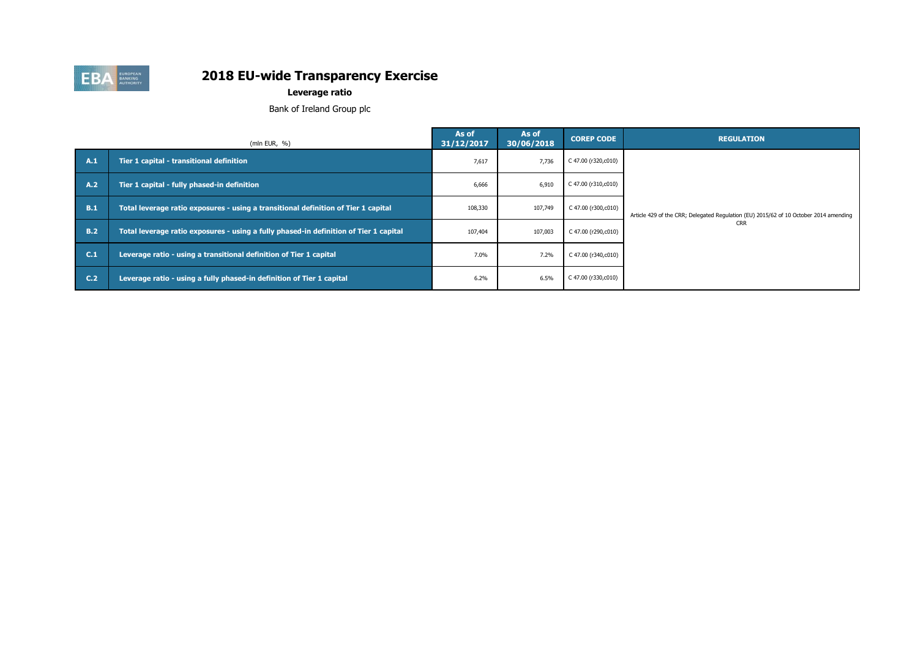

# **Leverage ratio**

Bank of Ireland Group plc

|                | (mln EUR, $%$ )                                                                       | As of<br>31/12/2017 | As of<br>30/06/2018 | <b>COREP CODE</b>   | <b>REGULATION</b>                                                                     |
|----------------|---------------------------------------------------------------------------------------|---------------------|---------------------|---------------------|---------------------------------------------------------------------------------------|
| A.1            | Tier 1 capital - transitional definition                                              | 7,617               | 7,736               | C 47.00 (r320,c010) |                                                                                       |
| A.2            | Tier 1 capital - fully phased-in definition                                           | 6,666               | 6,910               | C 47.00 (r310,c010) |                                                                                       |
| B.1            | Total leverage ratio exposures - using a transitional definition of Tier 1 capital    | 108,330             | 107,749             | C 47.00 (r300,c010) | Article 429 of the CRR; Delegated Regulation (EU) 2015/62 of 10 October 2014 amending |
| <b>B.2</b>     | Total leverage ratio exposures - using a fully phased-in definition of Tier 1 capital | 107,404             | 107,003             | C 47.00 (r290,c010) | <b>CRR</b>                                                                            |
| C <sub>1</sub> | Leverage ratio - using a transitional definition of Tier 1 capital                    | 7.0%                | 7.2%                | C 47.00 (r340,c010) |                                                                                       |
| C <sub>2</sub> | Leverage ratio - using a fully phased-in definition of Tier 1 capital                 | 6.2%                | 6.5%                | C 47.00 (r330,c010) |                                                                                       |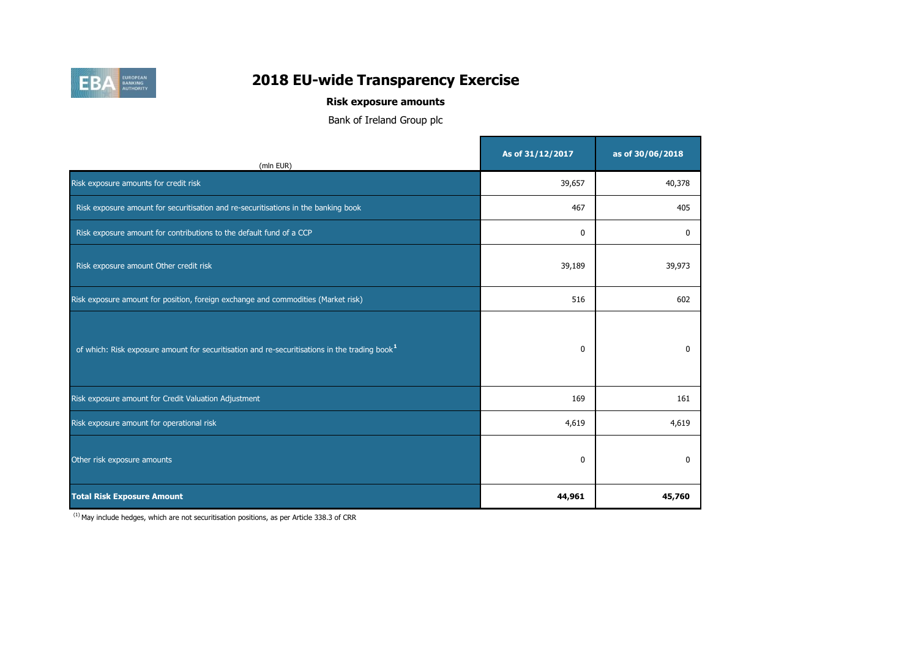

# **Risk exposure amounts**

Bank of Ireland Group plc

| (mln EUR)                                                                                                 | As of 31/12/2017 | as of 30/06/2018 |
|-----------------------------------------------------------------------------------------------------------|------------------|------------------|
| Risk exposure amounts for credit risk                                                                     | 39,657           | 40,378           |
| Risk exposure amount for securitisation and re-securitisations in the banking book                        | 467              | 405              |
| Risk exposure amount for contributions to the default fund of a CCP                                       | $\mathbf 0$      | 0                |
| Risk exposure amount Other credit risk                                                                    | 39,189           | 39,973           |
| Risk exposure amount for position, foreign exchange and commodities (Market risk)                         | 516              | 602              |
| of which: Risk exposure amount for securitisation and re-securitisations in the trading book <sup>1</sup> | 0                | 0                |
| Risk exposure amount for Credit Valuation Adjustment                                                      | 169              | 161              |
| Risk exposure amount for operational risk                                                                 | 4,619            | 4,619            |
| Other risk exposure amounts                                                                               | $\mathbf{0}$     | $\mathbf{0}$     |
| <b>Total Risk Exposure Amount</b>                                                                         | 44,961           | 45,760           |

 $(1)$  May include hedges, which are not securitisation positions, as per Article 338.3 of CRR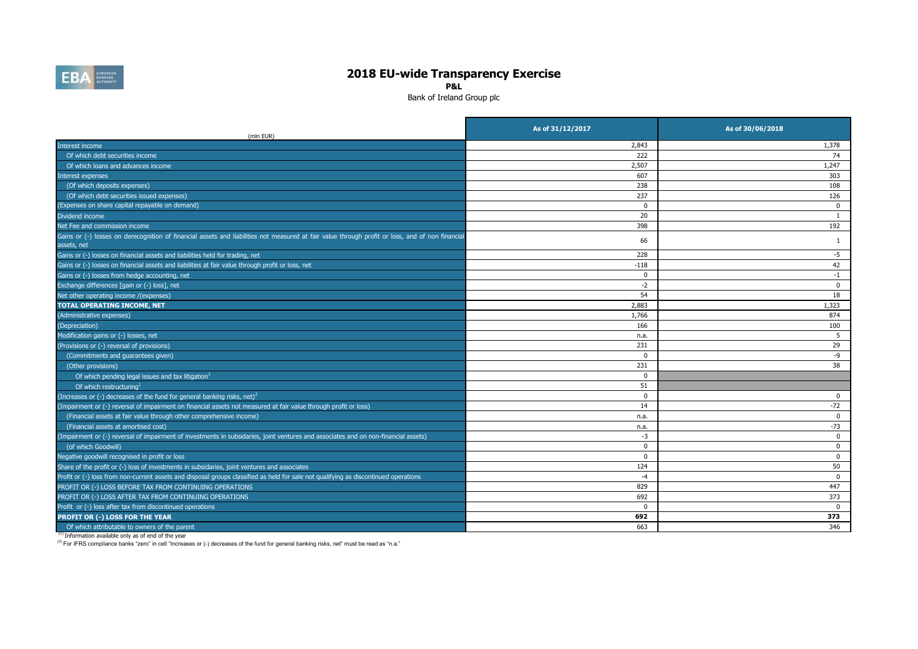

**P&L**

Bank of Ireland Group plc

| (mln EUR)                                                                                                                                                       | As of 31/12/2017 | As of 30/06/2018 |
|-----------------------------------------------------------------------------------------------------------------------------------------------------------------|------------------|------------------|
| Interest income                                                                                                                                                 | 2,843            | 1,378            |
| Of which debt securities income                                                                                                                                 | 222              | 74               |
| Of which loans and advances income                                                                                                                              | 2,507            | 1,247            |
| <b>Interest expenses</b>                                                                                                                                        | 607              | 303              |
| (Of which deposits expenses)                                                                                                                                    | 238              | 108              |
| (Of which debt securities issued expenses)                                                                                                                      | 237              | 126              |
| (Expenses on share capital repayable on demand)                                                                                                                 | $\mathbf 0$      | 0                |
| Dividend income                                                                                                                                                 | 20               | $\mathbf{1}$     |
| Net Fee and commission income                                                                                                                                   | 398              | 192              |
| Gains or (-) losses on derecognition of financial assets and liabilities not measured at fair value through profit or loss, and of non financial<br>assets, net | 66               | 1                |
| Gains or (-) losses on financial assets and liabilities held for trading, net                                                                                   | 228              | $-5$             |
| Gains or (-) losses on financial assets and liabilities at fair value through profit or loss, net                                                               | $-118$           | 42               |
| Gains or (-) losses from hedge accounting, net                                                                                                                  | 0                | $-1$             |
| Exchange differences [gain or (-) loss], net                                                                                                                    | $-2$             | $\mathbf 0$      |
| Net other operating income /(expenses)                                                                                                                          | 54               | 18               |
| <b>TOTAL OPERATING INCOME, NET</b>                                                                                                                              | 2,883            | 1,323            |
| (Administrative expenses)                                                                                                                                       | 1,766            | 874              |
| (Depreciation)                                                                                                                                                  | 166              | 100              |
| Modification gains or (-) losses, net                                                                                                                           | n.a.             | -5               |
| (Provisions or (-) reversal of provisions)                                                                                                                      | 231              | 29               |
| (Commitments and guarantees given)                                                                                                                              | $\Omega$         | -9               |
| (Other provisions)                                                                                                                                              | 231              | 38               |
| Of which pending legal issues and tax litigation <sup>1</sup>                                                                                                   | $\Omega$         |                  |
| Of which restructuring <sup>1</sup>                                                                                                                             | 51               |                  |
| (Increases or (-) decreases of the fund for general banking risks, net) <sup>2</sup>                                                                            | $\mathbf 0$      | 0                |
| (Impairment or (-) reversal of impairment on financial assets not measured at fair value through profit or loss)                                                | 14               | $-72$            |
| (Financial assets at fair value through other comprehensive income)                                                                                             | n.a.             | $\mathbf 0$      |
| (Financial assets at amortised cost)                                                                                                                            | n.a.             | $-73$            |
| (Impairment or (-) reversal of impairment of investments in subsidaries, joint ventures and associates and on non-financial assets)                             | $-3$             | 0                |
| (of which Goodwill)                                                                                                                                             | $\Omega$         | 0                |
| Negative goodwill recognised in profit or loss                                                                                                                  | $\Omega$         | $\Omega$         |
| Share of the profit or (-) loss of investments in subsidaries, joint ventures and associates                                                                    | 124              | 50               |
| Profit or (-) loss from non-current assets and disposal groups classified as held for sale not qualifying as discontinued operations                            | $-4$             | $\mathbf 0$      |
| PROFIT OR (-) LOSS BEFORE TAX FROM CONTINUING OPERATIONS                                                                                                        | 829              | 447              |
| PROFIT OR (-) LOSS AFTER TAX FROM CONTINUING OPERATIONS                                                                                                         | 692              | 373              |
| Profit or (-) loss after tax from discontinued operations                                                                                                       | $\Omega$         | $\Omega$         |
| PROFIT OR (-) LOSS FOR THE YEAR                                                                                                                                 | 692              | 373              |
| Of which attributable to owners of the parent                                                                                                                   | 663              | 346              |

(1) Information available only as of end of the year

(2) For IFRS compliance banks "zero" in cell "Increases or (-) decreases of the fund for general banking risks, net" must be read as "n.a."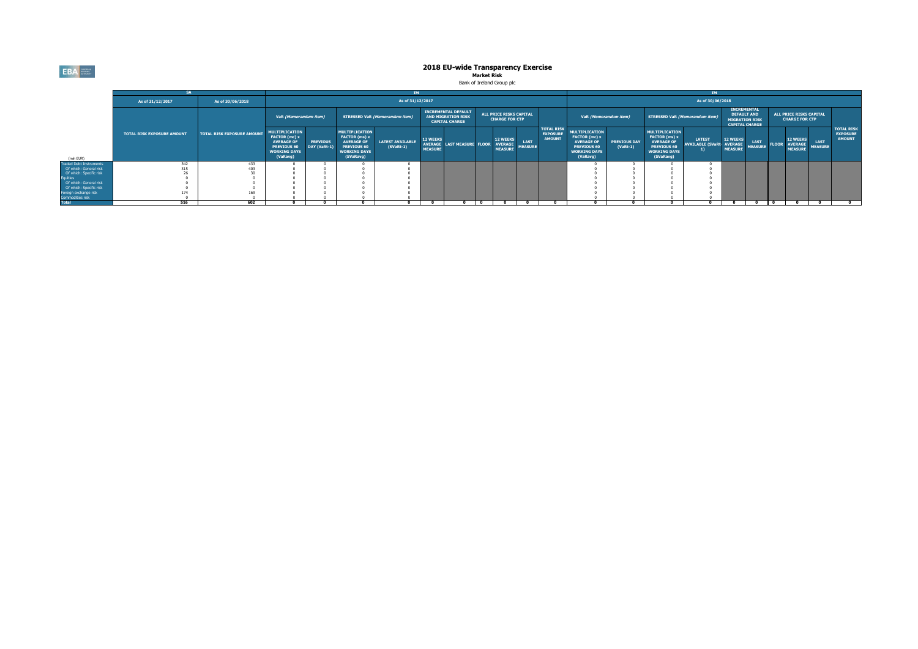EBA

# **2018 EU-wide Transparency Exercise**<br>Market Risk<br>Bank of Ireland Group plc

|                                    |                                   |                                   |                                                                                                                      |                                 |                                                                                                                       |                                        |                                   |                                                                                  |  |                                                     |                               |                                                       |                                                                                                               |                                   |                                                                                                                       | <b>TM</b>                                         |                                                                                            |                               |              |                                                     |                               |                                                       |
|------------------------------------|-----------------------------------|-----------------------------------|----------------------------------------------------------------------------------------------------------------------|---------------------------------|-----------------------------------------------------------------------------------------------------------------------|----------------------------------------|-----------------------------------|----------------------------------------------------------------------------------|--|-----------------------------------------------------|-------------------------------|-------------------------------------------------------|---------------------------------------------------------------------------------------------------------------|-----------------------------------|-----------------------------------------------------------------------------------------------------------------------|---------------------------------------------------|--------------------------------------------------------------------------------------------|-------------------------------|--------------|-----------------------------------------------------|-------------------------------|-------------------------------------------------------|
|                                    | As of 31/12/2017                  | As of 30/06/2018                  |                                                                                                                      | As of 31/12/2017                |                                                                                                                       |                                        |                                   |                                                                                  |  |                                                     |                               | As of 30/06/2018                                      |                                                                                                               |                                   |                                                                                                                       |                                                   |                                                                                            |                               |              |                                                     |                               |                                                       |
|                                    |                                   |                                   | VaR (Memorandum item)                                                                                                |                                 |                                                                                                                       | <b>STRESSED VaR (Memorandum item)</b>  |                                   | <b>INCREMENTAL DEFAULT</b><br><b>AND MIGRATION RISK</b><br><b>CAPITAL CHARGE</b> |  | ALL PRICE RISKS CAPITAL<br><b>CHARGE FOR CTP</b>    |                               |                                                       | VaR (Memorandum item)                                                                                         |                                   | <b>STRESSED VaR (Memorandum item)</b>                                                                                 |                                                   | <b>INCREMENTAL</b><br><b>DEFAULT AND</b><br><b>MIGRATION RISK</b><br><b>CAPITAL CHARGE</b> |                               |              | ALL PRICE RISKS CAPITAL<br><b>CHARGE FOR CTP</b>    |                               |                                                       |
| (mln EUR)                          | <b>TOTAL RISK EXPOSURE AMOUNT</b> | <b>TOTAL RISK EXPOSURE AMOUNT</b> | <b>IULTIPLICATION</b><br>FACTOR (mc) x<br><b>AVERAGE OF</b><br><b>PREVIOUS 60</b><br><b>WORKING DAYS</b><br>(VaRavg) | <b>PREVIOUS</b><br>DAY (VaRt-1) | <b>MULTIPLICATION</b><br>FACTOR (ms) x<br><b>AVERAGE OF</b><br><b>PREVIOUS 60</b><br><b>WORKING DAYS</b><br>(SVaRavg) | <b>LATEST AVAILABLE</b><br>$(SVaRt-1)$ | <b>12 WEEKS</b><br><b>MEASURE</b> | <b>AVERAGE LAST MEASURE FLOOR</b>                                                |  | <b>12 WEEKS</b><br><b>AVERAGE</b><br><b>MEASURE</b> | <b>LAST</b><br><b>MEASURE</b> | <b>TOTAL RISK</b><br><b>EXPOSURE</b><br><b>AMOUNT</b> | MULTIPLICATION<br>FACTOR (mc) x<br><b>AVERAGE OF</b><br><b>PREVIOUS 60</b><br><b>WORKING DAYS</b><br>(VaRavg) | <b>PREVIOUS DAY</b><br>$(VaRt-1)$ | <b>MULTIPLICATION</b><br>FACTOR (ms) x<br><b>AVERAGE OF</b><br><b>PREVIOUS 60</b><br><b>WORKING DAYS</b><br>(SVaRavg) | <b>LATEST</b><br><b>AVAILABLE (SVaRt: AVERAGE</b> | <b>12 WEEKS</b><br><b>MEASURE</b>                                                          | <b>LAST</b><br><b>MEASURE</b> | <b>FLOOR</b> | <b>12 WEEKS</b><br><b>AVERAGE</b><br><b>MEASURE</b> | <b>LAST</b><br><b>MEASURE</b> | <b>TOTAL RISK</b><br><b>EXPOSURE</b><br><b>AMOUNT</b> |
| <b>Traded Debt Instruments</b>     | 7.47                              | 433                               |                                                                                                                      |                                 |                                                                                                                       |                                        |                                   |                                                                                  |  |                                                     |                               |                                                       |                                                                                                               |                                   |                                                                                                                       |                                                   |                                                                                            |                               |              |                                                     |                               |                                                       |
| Of which: General risk             | 315                               | 403                               |                                                                                                                      |                                 |                                                                                                                       |                                        |                                   |                                                                                  |  |                                                     |                               |                                                       |                                                                                                               |                                   |                                                                                                                       |                                                   |                                                                                            |                               |              |                                                     |                               |                                                       |
| Of which: Specific risk            |                                   |                                   |                                                                                                                      |                                 |                                                                                                                       |                                        |                                   |                                                                                  |  |                                                     |                               |                                                       |                                                                                                               |                                   |                                                                                                                       |                                                   |                                                                                            |                               |              |                                                     |                               |                                                       |
| Equities<br>Of which: General risk |                                   |                                   |                                                                                                                      |                                 |                                                                                                                       |                                        |                                   |                                                                                  |  |                                                     |                               |                                                       |                                                                                                               |                                   |                                                                                                                       |                                                   |                                                                                            |                               |              |                                                     |                               |                                                       |
| Of which: Specific risk            |                                   |                                   |                                                                                                                      |                                 |                                                                                                                       |                                        |                                   |                                                                                  |  |                                                     |                               |                                                       |                                                                                                               |                                   |                                                                                                                       |                                                   |                                                                                            |                               |              |                                                     |                               |                                                       |
| Foreign exchange risk              | 174                               |                                   |                                                                                                                      |                                 |                                                                                                                       |                                        |                                   |                                                                                  |  |                                                     |                               |                                                       |                                                                                                               |                                   |                                                                                                                       |                                                   |                                                                                            |                               |              |                                                     |                               |                                                       |
| Commodities risk                   |                                   |                                   |                                                                                                                      |                                 |                                                                                                                       |                                        |                                   |                                                                                  |  |                                                     |                               |                                                       |                                                                                                               |                                   |                                                                                                                       |                                                   |                                                                                            |                               |              |                                                     |                               |                                                       |
| <b>Total</b>                       | 516                               | 602                               |                                                                                                                      |                                 |                                                                                                                       |                                        |                                   |                                                                                  |  |                                                     |                               |                                                       |                                                                                                               |                                   |                                                                                                                       |                                                   |                                                                                            |                               |              |                                                     |                               |                                                       |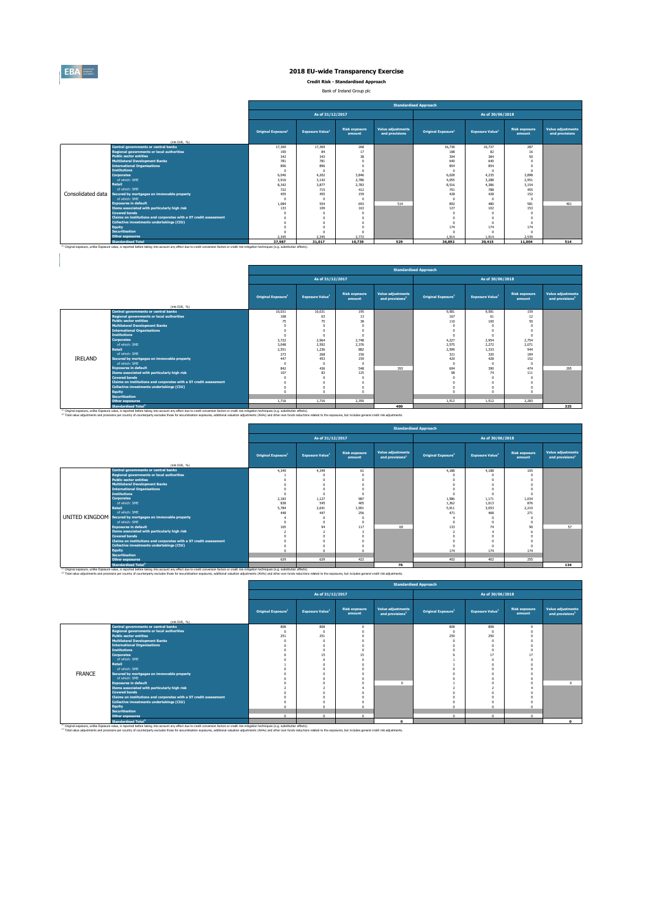

 $\begin{array}{c} \hline \end{array}$ 

# **2018 EU-wide Transparency Exercise**

**Credit Risk - Standardised Approach**

Bank of Ireland Group plc

|                   |                                                                                                                                                                                                               | <b>Standardised Approach</b>   |                                    |                                |                                            |                                |                        |                                |                                     |  |  |  |  |
|-------------------|---------------------------------------------------------------------------------------------------------------------------------------------------------------------------------------------------------------|--------------------------------|------------------------------------|--------------------------------|--------------------------------------------|--------------------------------|------------------------|--------------------------------|-------------------------------------|--|--|--|--|
|                   |                                                                                                                                                                                                               |                                | As of 31/12/2017                   |                                |                                            |                                | As of 30/06/2018       |                                |                                     |  |  |  |  |
|                   | (mln EUR. %)                                                                                                                                                                                                  | Original Exposure <sup>1</sup> | <b>Exposure Value</b> <sup>1</sup> | <b>Risk exposure</b><br>amount | <b>Value adjustments</b><br>and provisions | Original Exposure <sup>1</sup> | <b>Exposure Value1</b> | <b>Risk exposure</b><br>amount | Value adjustments<br>and provisions |  |  |  |  |
|                   | <b>Central governments or central banks</b>                                                                                                                                                                   | 17.369                         | 17.369                             | 268                            |                                            | 16.738                         | 16.737                 | 287                            |                                     |  |  |  |  |
|                   | <b>Regional governments or local authorities</b>                                                                                                                                                              | 190                            | 84                                 | 17                             |                                            | 188                            | 82                     | 16                             |                                     |  |  |  |  |
|                   | <b>Public sector entities</b>                                                                                                                                                                                 | 343                            | 343                                | 38                             |                                            | 394                            | 384                    | 50                             |                                     |  |  |  |  |
|                   | <b>Multilateral Development Banks</b>                                                                                                                                                                         | 781                            | 781                                |                                |                                            | 640                            | 640                    |                                |                                     |  |  |  |  |
|                   | <b>International Organisations</b>                                                                                                                                                                            | 896                            | 896                                |                                |                                            | 854                            | 854                    |                                |                                     |  |  |  |  |
|                   | <b>Institutions</b>                                                                                                                                                                                           | $\sqrt{2}$                     |                                    | $\sqrt{2}$                     |                                            | $\Omega$                       |                        |                                |                                     |  |  |  |  |
|                   | <b>Corporates</b><br>of which: SME                                                                                                                                                                            | 6.046                          | 4.202                              | 3.846                          |                                            | 6.028                          | 4.235                  | 3,898                          |                                     |  |  |  |  |
|                   | <b>Retail</b>                                                                                                                                                                                                 | 3.916                          | 3.142                              | 2,786                          |                                            | 4.055                          | 3,288                  | 2.951                          |                                     |  |  |  |  |
|                   | of which: SME                                                                                                                                                                                                 | 8.342<br>722                   | 3,877<br>715                       | 2.783                          |                                            | 8.516<br>791                   | 4.386<br>788           | 3.154<br>455                   |                                     |  |  |  |  |
| Consolidated data | Secured by mortgages on immovable property                                                                                                                                                                    | 455                            | 455                                | 412<br>159                     |                                            |                                | 428                    | 152                            |                                     |  |  |  |  |
|                   | of which: SME                                                                                                                                                                                                 | $\sim$                         | -n                                 | $\Omega$                       |                                            | 428<br>$\Omega$                | $\sqrt{2}$             |                                |                                     |  |  |  |  |
|                   | <b>Exposures in default</b>                                                                                                                                                                                   | 1.084                          | 554                                | 693                            | 514                                        | 892                            | 480                    | 581                            | 401                                 |  |  |  |  |
|                   | Items associated with particularly high risk                                                                                                                                                                  | 133                            | 109                                | 163                            |                                            | 127                            | 102                    | 153                            |                                     |  |  |  |  |
|                   | <b>Covered bonds</b>                                                                                                                                                                                          | $\sqrt{2}$                     |                                    |                                |                                            | n                              |                        |                                |                                     |  |  |  |  |
|                   | Claims on institutions and corporates with a ST credit assessment                                                                                                                                             | $\sqrt{2}$                     |                                    |                                |                                            | $\Omega$                       | $\sim$                 |                                |                                     |  |  |  |  |
|                   | Collective investments undertakings (CIU)                                                                                                                                                                     | $\Omega$                       |                                    |                                |                                            | $\Omega$                       |                        |                                |                                     |  |  |  |  |
|                   | <b>Equity</b>                                                                                                                                                                                                 |                                |                                    |                                |                                            | 174                            | 174                    | 174                            |                                     |  |  |  |  |
|                   | <b>Securitisation</b>                                                                                                                                                                                         | $\sqrt{2}$                     |                                    |                                |                                            | $\Omega$                       |                        |                                |                                     |  |  |  |  |
|                   | <b>Other exposures</b>                                                                                                                                                                                        | 2.345                          | 2.345                              | 2.772                          |                                            | 1.914                          | 1.914                  | 2.539                          |                                     |  |  |  |  |
|                   | <b>Standardised Total</b>                                                                                                                                                                                     | 37,987                         | 31.017                             | 10.739                         | 529                                        | 36,892                         | 30,415                 | 11.004                         | 514                                 |  |  |  |  |
|                   | <sup>(1)</sup> Original exposure, unlike Exposure value, is reported before taking into account any effect due to credit conversion factors or credit risk mitigation techniques (e.g. substitution effects). |                                |                                    |                                |                                            |                                |                        |                                |                                     |  |  |  |  |

|         |                                                                   |                                |                                    |                                |                                                  | <b>Standardised Approach</b>   |                        |                                |                                                  |
|---------|-------------------------------------------------------------------|--------------------------------|------------------------------------|--------------------------------|--------------------------------------------------|--------------------------------|------------------------|--------------------------------|--------------------------------------------------|
|         |                                                                   |                                | As of 31/12/2017                   |                                |                                                  |                                | As of 30/06/2018       |                                |                                                  |
|         | (mln EUR. 96)                                                     | Original Exposure <sup>1</sup> | <b>Exposure Value</b> <sup>1</sup> | <b>Risk exposure</b><br>amount | Value adjustments<br>and provisions <sup>2</sup> | Original Exposure <sup>1</sup> | <b>Exposure Value1</b> | <b>Risk exposure</b><br>amount | Value adjustments<br>and provisions <sup>2</sup> |
|         | Central governments or central banks                              | 10.031                         | 10.031                             | 195                            |                                                  | 9.581                          | 9.581                  | 159                            |                                                  |
|         | <b>Regional governments or local authorities</b>                  | 168                            | 63                                 | 13                             |                                                  | 167                            | 61                     | 12                             |                                                  |
|         | <b>Public sector entities</b>                                     | 75                             | 75                                 | 3R                             |                                                  | 110                            | 100                    | 50                             |                                                  |
|         | <b>Multilateral Development Banks</b>                             | $\Omega$                       |                                    |                                |                                                  |                                |                        |                                |                                                  |
|         | <b>International Organisations</b>                                | $\Omega$                       |                                    |                                |                                                  |                                | $\Omega$               |                                |                                                  |
|         | <b>Institutions</b>                                               | $\Omega$                       |                                    |                                |                                                  | $\Omega$                       | $\Omega$               |                                |                                                  |
|         | <b>Corporates</b>                                                 | 3.722                          | 2.964                              | 2,748                          |                                                  | 4.227                          | 2.954                  | 2.754                          |                                                  |
|         | of which: SME                                                     | 3.048                          | 2.592                              | 2.376                          |                                                  | 2.575                          | 2.272                  | 2.071                          |                                                  |
|         | <b>Retail</b>                                                     | 2.551                          | 1.236                              | 882                            |                                                  | 2.599                          | 1,333                  | 944                            |                                                  |
|         | of which: SMF                                                     | 273                            | 268                                | 156                            |                                                  | 321                            | 320                    | 184                            |                                                  |
| IRELAND | Secured by mortgages on immovable property                        | 447                            | 453                                | 159                            |                                                  | 420                            | 428                    | 152                            |                                                  |
|         | of which: SME                                                     | $\Omega$                       |                                    | $\sqrt{2}$                     |                                                  | $\Omega$                       |                        | $\Omega$                       |                                                  |
|         | <b>Exposures in default</b>                                       | 842                            | 436                                | 548                            | 393                                              | 694                            | 390                    | 474                            | 295                                              |
|         | Items associated with particularly high risk                      | 107                            | R3                                 | 125                            |                                                  | 98                             | 74                     | 111                            |                                                  |
|         | <b>Covered bonds</b>                                              | $\Omega$                       |                                    |                                |                                                  |                                | $\Omega$               |                                |                                                  |
|         | Claims on institutions and corporates with a ST credit assessment | $\Omega$                       |                                    |                                |                                                  |                                | $\Omega$               |                                |                                                  |
|         | Collective investments undertakings (CIU)                         | $\Omega$                       |                                    |                                |                                                  |                                | $\Omega$               |                                |                                                  |
|         | <b>Equity</b>                                                     | $\sim$                         |                                    |                                |                                                  |                                | $\sim$                 |                                |                                                  |
|         | <b>Securitisation</b>                                             |                                |                                    |                                |                                                  |                                |                        |                                |                                                  |
|         | <b>Other exposures</b>                                            | 1.716                          | 1.716                              | 2.350                          |                                                  | 1.512                          | 1.512                  | 2.283                          |                                                  |
|         | <b>Standardised Total<sup>2</sup></b>                             |                                |                                    |                                | 400                                              |                                |                        |                                | 325                                              |

Standardised Total<sup>\*</sup><br><sup>10</sup> Original exposure, unlike Exposite of the Standardise taking into account any effect due to credit conversion factors or credit nith milopsion techniques (e.g. substitution effects).<br><sup>22</sup> Total v

m.

|                       |                                                                                                                                                                                                                                                                                                                                                                                                                                       | <b>Standardised Approach</b>   |                                    |                                |                                                         |                                |                                    |                                |                                                  |  |  |  |
|-----------------------|---------------------------------------------------------------------------------------------------------------------------------------------------------------------------------------------------------------------------------------------------------------------------------------------------------------------------------------------------------------------------------------------------------------------------------------|--------------------------------|------------------------------------|--------------------------------|---------------------------------------------------------|--------------------------------|------------------------------------|--------------------------------|--------------------------------------------------|--|--|--|
|                       |                                                                                                                                                                                                                                                                                                                                                                                                                                       |                                | As of 31/12/2017                   |                                |                                                         |                                | As of 30/06/2018                   |                                |                                                  |  |  |  |
|                       | (mln EUR. %)                                                                                                                                                                                                                                                                                                                                                                                                                          | Original Exposure <sup>1</sup> | <b>Exposure Value</b> <sup>1</sup> | <b>Risk exposure</b><br>amount | <b>Value adjustments</b><br>and provisions <sup>2</sup> | Original Exposure <sup>1</sup> | <b>Exposure Value</b> <sup>1</sup> | <b>Risk exposure</b><br>amount | Value adjustments<br>and provisions <sup>2</sup> |  |  |  |
|                       | <b>Central governments or central banks</b>                                                                                                                                                                                                                                                                                                                                                                                           | 4.349                          | 4.349                              | 61                             |                                                         | 4,188                          | 4.188                              | 105                            |                                                  |  |  |  |
|                       | <b>Regional governments or local authorities</b>                                                                                                                                                                                                                                                                                                                                                                                      |                                |                                    |                                |                                                         |                                |                                    |                                |                                                  |  |  |  |
|                       | <b>Public sector entities</b>                                                                                                                                                                                                                                                                                                                                                                                                         |                                |                                    |                                |                                                         |                                |                                    |                                |                                                  |  |  |  |
|                       | <b>Multilateral Development Banks</b>                                                                                                                                                                                                                                                                                                                                                                                                 |                                |                                    |                                |                                                         |                                |                                    |                                |                                                  |  |  |  |
|                       | <b>International Organisations</b>                                                                                                                                                                                                                                                                                                                                                                                                    |                                |                                    |                                |                                                         |                                |                                    |                                |                                                  |  |  |  |
|                       | <b>Institutions</b>                                                                                                                                                                                                                                                                                                                                                                                                                   |                                |                                    |                                |                                                         |                                |                                    |                                |                                                  |  |  |  |
|                       | <b>Corporates</b>                                                                                                                                                                                                                                                                                                                                                                                                                     | 2.183                          | 1.127                              | 987                            |                                                         | 1.586                          | 1.171                              | 1.034                          |                                                  |  |  |  |
|                       | of which: SME                                                                                                                                                                                                                                                                                                                                                                                                                         | 838                            | 545                                | 405                            |                                                         | 1.362                          | 1.013                              | 876                            |                                                  |  |  |  |
|                       | Retail                                                                                                                                                                                                                                                                                                                                                                                                                                | 5.784                          | 2.641                              | 1.901                          |                                                         | 5.911                          | 3.053                              | 2.210                          |                                                  |  |  |  |
|                       | of which: SME                                                                                                                                                                                                                                                                                                                                                                                                                         | 448                            | 447                                | 256                            |                                                         | 471                            | 468                                | 271                            |                                                  |  |  |  |
| <b>UNITED KINGDOM</b> | Secured by mortgages on immovable property                                                                                                                                                                                                                                                                                                                                                                                            |                                |                                    |                                |                                                         |                                |                                    |                                |                                                  |  |  |  |
|                       | of which: SME                                                                                                                                                                                                                                                                                                                                                                                                                         |                                |                                    |                                |                                                         | $\sim$                         |                                    |                                |                                                  |  |  |  |
|                       | <b>Exposures in default</b>                                                                                                                                                                                                                                                                                                                                                                                                           | 165                            | $Q_4$                              | 117                            | 69                                                      | 133                            | 74                                 | 90                             | 57                                               |  |  |  |
|                       | Items associated with particularly high risk                                                                                                                                                                                                                                                                                                                                                                                          |                                |                                    |                                |                                                         |                                |                                    |                                |                                                  |  |  |  |
|                       | <b>Covered bonds</b>                                                                                                                                                                                                                                                                                                                                                                                                                  |                                |                                    |                                |                                                         |                                |                                    |                                |                                                  |  |  |  |
|                       | Claims on institutions and corporates with a ST credit assessment                                                                                                                                                                                                                                                                                                                                                                     |                                |                                    |                                |                                                         |                                |                                    |                                |                                                  |  |  |  |
|                       | Collective investments undertakings (CIU)                                                                                                                                                                                                                                                                                                                                                                                             |                                |                                    |                                |                                                         | $\Omega$                       | <b>C</b>                           |                                |                                                  |  |  |  |
|                       | <b>Equity</b>                                                                                                                                                                                                                                                                                                                                                                                                                         |                                |                                    |                                |                                                         | 174                            | 174                                | 174                            |                                                  |  |  |  |
|                       | <b>Securitisation</b>                                                                                                                                                                                                                                                                                                                                                                                                                 |                                |                                    |                                |                                                         |                                |                                    |                                |                                                  |  |  |  |
|                       | <b>Other exposures</b>                                                                                                                                                                                                                                                                                                                                                                                                                | 629                            | 629                                | 422                            |                                                         | 402                            | 402                                | 255                            |                                                  |  |  |  |
|                       | Standardised Total <sup>2</sup>                                                                                                                                                                                                                                                                                                                                                                                                       |                                |                                    |                                | 76                                                      |                                |                                    |                                | 134                                              |  |  |  |
|                       | (ii) Original exposure, unlike Exposure value, is reported before taking into account any effect due to credit conversion factors or credit risk mitigation techniques (e.g. substitution effects).<br>(2) Total value adjustments and provisions per country of counterparty excludes those for securistisation exposures, additional valuation adjustments (AVAs) and other own funds reductions related to the exposures, but incl |                                |                                    |                                |                                                         |                                |                                    |                                |                                                  |  |  |  |

| was celol supstitution effects). |  |                                                                                                        |  |
|----------------------------------|--|--------------------------------------------------------------------------------------------------------|--|
|                                  |  | and other own funds reductions related to the exposures, but includes general credit risk adjustments. |  |
|                                  |  |                                                                                                        |  |

÷,

|               |                                                                   |                                |                                    |                                |                                                         | <b>Standardised Approach</b>   |                                    |                                |                                                  |
|---------------|-------------------------------------------------------------------|--------------------------------|------------------------------------|--------------------------------|---------------------------------------------------------|--------------------------------|------------------------------------|--------------------------------|--------------------------------------------------|
|               |                                                                   |                                | As of 31/12/2017                   |                                |                                                         |                                | As of 30/06/2018                   |                                |                                                  |
|               | (mln EUR. 96)                                                     | Original Exposure <sup>1</sup> | <b>Exposure Value</b> <sup>1</sup> | <b>Risk exposure</b><br>amount | <b>Value adjustments</b><br>and provisions <sup>2</sup> | Original Exposure <sup>1</sup> | <b>Exposure Value</b> <sup>1</sup> | <b>Risk exposure</b><br>amount | Value adjustments<br>and provisions <sup>2</sup> |
|               | <b>Central governments or central banks</b>                       | 808                            | 808                                |                                |                                                         | 808                            | 808                                |                                |                                                  |
|               | <b>Regional governments or local authorities</b>                  | -C                             | n                                  |                                |                                                         |                                |                                    |                                |                                                  |
|               | <b>Public sector entities</b>                                     | 251                            | 251                                |                                |                                                         | 250                            | 250                                |                                |                                                  |
|               | <b>Multilateral Development Banks</b>                             | $\Omega$                       |                                    |                                |                                                         |                                |                                    |                                |                                                  |
|               | <b>International Organisations</b>                                | $\sqrt{2}$                     |                                    |                                |                                                         |                                |                                    |                                |                                                  |
|               | <b>Institutions</b>                                               |                                |                                    |                                |                                                         |                                |                                    |                                |                                                  |
|               | <b>Corporates</b>                                                 |                                | 15                                 | 15                             |                                                         |                                | 17                                 | $\mathbf{1}$                   |                                                  |
|               | of which: SME                                                     |                                |                                    |                                |                                                         |                                |                                    |                                |                                                  |
|               | <b>Retail</b>                                                     |                                |                                    |                                |                                                         |                                |                                    |                                |                                                  |
|               | of which: SME                                                     |                                |                                    |                                |                                                         |                                |                                    |                                |                                                  |
| <b>FRANCE</b> | Secured by mortgages on immovable property                        |                                |                                    |                                |                                                         |                                |                                    |                                |                                                  |
|               | of which: SME                                                     |                                |                                    |                                |                                                         |                                |                                    |                                |                                                  |
|               | <b>Exposures in default</b>                                       |                                |                                    |                                | $\sim$                                                  |                                |                                    |                                | $\sim$                                           |
|               | Items associated with particularly high risk                      |                                |                                    |                                |                                                         |                                |                                    |                                |                                                  |
|               | <b>Covered bonds</b>                                              |                                |                                    |                                |                                                         |                                |                                    |                                |                                                  |
|               | Claims on institutions and corporates with a ST credit assessment |                                |                                    |                                |                                                         |                                |                                    |                                |                                                  |
|               | <b>Collective investments undertakings (CIU)</b>                  |                                |                                    |                                |                                                         |                                |                                    |                                |                                                  |
|               | <b>Equity</b>                                                     |                                | $\sim$                             |                                |                                                         |                                |                                    |                                |                                                  |
|               | <b>Securitisation</b>                                             |                                |                                    |                                |                                                         |                                |                                    |                                |                                                  |
|               | <b>Other exposures</b>                                            | $\Omega$                       | $\Omega$                           | $\Omega$                       |                                                         | $\Omega$                       | $\Omega$                           | $\Omega$                       |                                                  |
|               | <b>Standardised Total<sup>2</sup></b>                             |                                |                                    |                                | $\Omega$                                                |                                |                                    |                                |                                                  |

Standardised Total<sup>2</sup><br>This discussed the second before baing into account any effect due to credit conversion factors or credit nitingation techniques (e.g. substitution effects).<br>This value adjudiments and considerate exc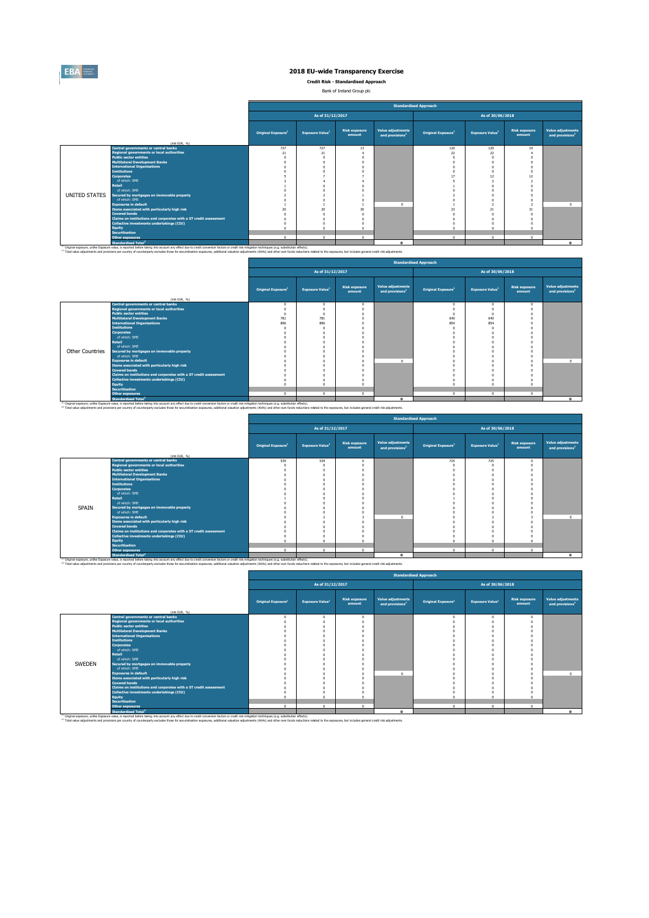

**Credit Risk - Standardised Approach**

Bank of Ireland Group plc 

|               |                                                                                                                                                                                                                                                                                                                                                                                                                                                 |                                |                                    |                                |                                                  | <b>Standardised Approach</b>   |                                    |                                |                                                         |
|---------------|-------------------------------------------------------------------------------------------------------------------------------------------------------------------------------------------------------------------------------------------------------------------------------------------------------------------------------------------------------------------------------------------------------------------------------------------------|--------------------------------|------------------------------------|--------------------------------|--------------------------------------------------|--------------------------------|------------------------------------|--------------------------------|---------------------------------------------------------|
|               |                                                                                                                                                                                                                                                                                                                                                                                                                                                 |                                | As of 31/12/2017                   |                                |                                                  |                                | As of 30/06/2018                   |                                |                                                         |
|               | (mln EUR. %)                                                                                                                                                                                                                                                                                                                                                                                                                                    | Original Exposure <sup>1</sup> | <b>Exposure Value</b> <sup>1</sup> | <b>Risk exposure</b><br>amount | Value adjustments<br>and provisions <sup>2</sup> | Original Exposure <sup>1</sup> | <b>Exposure Value</b> <sup>1</sup> | <b>Risk exposure</b><br>amount | <b>Value adjustments</b><br>and provisions <sup>2</sup> |
|               | <b>Central governments or central banks</b>                                                                                                                                                                                                                                                                                                                                                                                                     | 727                            | 727                                | 13                             |                                                  | 120                            | 120                                | 19                             |                                                         |
|               | <b>Regional governments or local authorities</b>                                                                                                                                                                                                                                                                                                                                                                                                | 21                             | 21                                 |                                |                                                  | 22                             | 22                                 |                                |                                                         |
|               | <b>Public sector entities</b>                                                                                                                                                                                                                                                                                                                                                                                                                   |                                |                                    |                                |                                                  |                                |                                    |                                |                                                         |
|               | <b>Multilateral Development Banks</b>                                                                                                                                                                                                                                                                                                                                                                                                           |                                |                                    |                                |                                                  |                                |                                    |                                |                                                         |
|               | <b>International Organisations</b>                                                                                                                                                                                                                                                                                                                                                                                                              |                                |                                    |                                |                                                  |                                |                                    |                                |                                                         |
|               | <b>Institutions</b>                                                                                                                                                                                                                                                                                                                                                                                                                             |                                |                                    |                                |                                                  |                                |                                    |                                |                                                         |
|               | <b>Corporates</b>                                                                                                                                                                                                                                                                                                                                                                                                                               |                                |                                    |                                |                                                  |                                | 12                                 |                                |                                                         |
|               | of which: SME                                                                                                                                                                                                                                                                                                                                                                                                                                   |                                |                                    |                                |                                                  |                                |                                    |                                |                                                         |
|               | <b>Retail</b>                                                                                                                                                                                                                                                                                                                                                                                                                                   |                                |                                    |                                |                                                  |                                |                                    |                                |                                                         |
|               | of which: SME                                                                                                                                                                                                                                                                                                                                                                                                                                   |                                |                                    |                                |                                                  |                                |                                    |                                |                                                         |
| UNITED STATES | Secured by mortgages on immovable property                                                                                                                                                                                                                                                                                                                                                                                                      |                                |                                    |                                |                                                  |                                |                                    |                                |                                                         |
|               | of which: SME                                                                                                                                                                                                                                                                                                                                                                                                                                   |                                |                                    |                                |                                                  |                                |                                    |                                |                                                         |
|               | <b>Exposures in default</b>                                                                                                                                                                                                                                                                                                                                                                                                                     |                                |                                    |                                | n                                                |                                |                                    |                                |                                                         |
|               | Items associated with particularly high risk                                                                                                                                                                                                                                                                                                                                                                                                    | $\overline{20}$                | 20                                 | 3ľ                             |                                                  | 23                             | 21                                 |                                |                                                         |
|               | <b>Covered bonds</b>                                                                                                                                                                                                                                                                                                                                                                                                                            |                                |                                    |                                |                                                  |                                |                                    |                                |                                                         |
|               | Claims on institutions and corporates with a ST credit assessment                                                                                                                                                                                                                                                                                                                                                                               |                                |                                    |                                |                                                  |                                |                                    |                                |                                                         |
|               | Collective investments undertakings (CIU)                                                                                                                                                                                                                                                                                                                                                                                                       |                                |                                    |                                |                                                  |                                |                                    |                                |                                                         |
|               | <b>Equity</b>                                                                                                                                                                                                                                                                                                                                                                                                                                   |                                | o                                  |                                |                                                  |                                |                                    |                                |                                                         |
|               | <b>Securitisation</b>                                                                                                                                                                                                                                                                                                                                                                                                                           |                                |                                    |                                |                                                  |                                |                                    |                                |                                                         |
|               | <b>Other exposures</b>                                                                                                                                                                                                                                                                                                                                                                                                                          | $\sqrt{2}$                     | $\Omega$                           | $\sim$                         |                                                  | $\sim$                         | $\mathsf{n}$                       | $\Omega$                       |                                                         |
|               | <b>Standardised Total<sup>2</sup></b>                                                                                                                                                                                                                                                                                                                                                                                                           |                                |                                    |                                | $\sim$                                           |                                |                                    |                                | $\mathbf{a}$                                            |
|               | <sup>(4)</sup> Original exposure, unlike Exposure value, is reported before taking into account any effect due to credit conversion factors or credit risk mitigation techniques (e.g. substitution effects).<br>(2) Total value adjustments and provisions per country of counterparty excludes those for securistisation exposures, additional valuation adjustments (AVAs) and other own funds reductions related to the exposures, but incl |                                |                                    |                                |                                                  |                                |                                    |                                |                                                         |

 $\overline{a}$ 

|                        |                                                                                                                                                                                                                                                                                                                                                                                                                                                 |                                |                                    |                                |                                                         | <b>Standardised Approach</b>   |                                    |                                |                                                  |
|------------------------|-------------------------------------------------------------------------------------------------------------------------------------------------------------------------------------------------------------------------------------------------------------------------------------------------------------------------------------------------------------------------------------------------------------------------------------------------|--------------------------------|------------------------------------|--------------------------------|---------------------------------------------------------|--------------------------------|------------------------------------|--------------------------------|--------------------------------------------------|
|                        |                                                                                                                                                                                                                                                                                                                                                                                                                                                 |                                | As of 31/12/2017                   |                                |                                                         |                                | As of 30/06/2018                   |                                |                                                  |
|                        | (mln EUR, %)                                                                                                                                                                                                                                                                                                                                                                                                                                    | Original Exposure <sup>1</sup> | <b>Exposure Value</b> <sup>1</sup> | <b>Risk exposure</b><br>amount | <b>Value adjustments</b><br>and provisions <sup>2</sup> | Original Exposure <sup>1</sup> | <b>Exposure Value</b> <sup>1</sup> | <b>Risk exposure</b><br>amount | Value adjustments<br>and provisions <sup>2</sup> |
|                        | Central governments or central banks                                                                                                                                                                                                                                                                                                                                                                                                            |                                | $\Omega$                           | $\Omega$                       |                                                         | $\Omega$                       | n                                  |                                |                                                  |
|                        | <b>Regional governments or local authorities</b>                                                                                                                                                                                                                                                                                                                                                                                                |                                |                                    |                                |                                                         |                                |                                    |                                |                                                  |
|                        | <b>Public sector entities</b>                                                                                                                                                                                                                                                                                                                                                                                                                   |                                |                                    |                                |                                                         |                                |                                    |                                |                                                  |
|                        | <b>Multilateral Development Banks</b>                                                                                                                                                                                                                                                                                                                                                                                                           | 781                            | 781                                |                                |                                                         | 640                            | 640                                |                                |                                                  |
|                        | <b>International Organisations</b>                                                                                                                                                                                                                                                                                                                                                                                                              | 896                            | 896                                |                                |                                                         | 854                            | 854                                |                                |                                                  |
|                        | <b>Institutions</b>                                                                                                                                                                                                                                                                                                                                                                                                                             |                                |                                    |                                |                                                         |                                |                                    |                                |                                                  |
|                        | <b>Corporates</b>                                                                                                                                                                                                                                                                                                                                                                                                                               |                                |                                    |                                |                                                         |                                |                                    |                                |                                                  |
|                        | of which: SMF                                                                                                                                                                                                                                                                                                                                                                                                                                   |                                |                                    |                                |                                                         |                                |                                    |                                |                                                  |
|                        | <b>Retail</b>                                                                                                                                                                                                                                                                                                                                                                                                                                   |                                |                                    |                                |                                                         |                                |                                    |                                |                                                  |
|                        | of which: SME                                                                                                                                                                                                                                                                                                                                                                                                                                   |                                |                                    |                                |                                                         |                                |                                    |                                |                                                  |
| <b>Other Countries</b> | Secured by mortgages on immovable property                                                                                                                                                                                                                                                                                                                                                                                                      |                                |                                    |                                |                                                         |                                |                                    |                                |                                                  |
|                        | of which: SME                                                                                                                                                                                                                                                                                                                                                                                                                                   |                                |                                    |                                |                                                         |                                |                                    |                                |                                                  |
|                        | <b>Exposures in default</b>                                                                                                                                                                                                                                                                                                                                                                                                                     |                                |                                    |                                | n                                                       |                                |                                    |                                |                                                  |
|                        | Items associated with particularly high risk                                                                                                                                                                                                                                                                                                                                                                                                    |                                |                                    |                                |                                                         |                                |                                    |                                |                                                  |
|                        | <b>Covered bonds</b>                                                                                                                                                                                                                                                                                                                                                                                                                            |                                |                                    |                                |                                                         |                                |                                    |                                |                                                  |
|                        | Claims on institutions and corporates with a ST credit assessment                                                                                                                                                                                                                                                                                                                                                                               |                                |                                    |                                |                                                         |                                |                                    |                                |                                                  |
|                        | Collective investments undertakings (CIU)                                                                                                                                                                                                                                                                                                                                                                                                       |                                |                                    |                                |                                                         |                                |                                    |                                |                                                  |
|                        | <b>Equity</b>                                                                                                                                                                                                                                                                                                                                                                                                                                   |                                |                                    |                                |                                                         |                                |                                    |                                |                                                  |
|                        | <b>Securitisation</b>                                                                                                                                                                                                                                                                                                                                                                                                                           |                                |                                    |                                |                                                         |                                |                                    |                                |                                                  |
|                        | <b>Other exposures</b>                                                                                                                                                                                                                                                                                                                                                                                                                          | $\sim$                         | $\Omega$                           | $\Omega$                       |                                                         | $\Omega$                       | n                                  | $\Omega$                       |                                                  |
|                        | <b>Standardised Total<sup>2</sup></b>                                                                                                                                                                                                                                                                                                                                                                                                           |                                |                                    |                                |                                                         |                                |                                    |                                | $\mathbf{a}$                                     |
|                        | <sup>(1)</sup> Original exposure, unlike Exposure value, is reported before taking into account any effect due to credit conversion factors or credit risk mitigation techniques (e.g. substitution effects).<br>(2) Total value adjustments and provisions per country of counterparty excludes those for securistisation exposures, additional valuation adjustments (AVAs) and other own funds reductions related to the exposures, but incl |                                |                                    |                                |                                                         |                                |                                    |                                |                                                  |

ř.

|       |                                                                   |                                |                                    |                                |                                                         | <b>Standardised Approach</b>   |                                    |                                |                                                  |
|-------|-------------------------------------------------------------------|--------------------------------|------------------------------------|--------------------------------|---------------------------------------------------------|--------------------------------|------------------------------------|--------------------------------|--------------------------------------------------|
|       |                                                                   |                                | As of 31/12/2017                   |                                |                                                         |                                | As of 30/06/2018                   |                                |                                                  |
|       | (min EUR. 96)                                                     | Original Exposure <sup>1</sup> | <b>Exposure Value</b> <sup>1</sup> | <b>Risk exposure</b><br>amount | <b>Value adjustments</b><br>and provisions <sup>2</sup> | Original Exposure <sup>1</sup> | <b>Exposure Value</b> <sup>1</sup> | <b>Risk exposure</b><br>amount | Value adjustments<br>and provisions <sup>2</sup> |
|       | <b>Central governments or central banks</b>                       | 539                            | 539                                | $^{\circ}$                     |                                                         | 725                            | 725                                |                                |                                                  |
|       | <b>Regional governments or local authorities</b>                  |                                |                                    |                                |                                                         |                                |                                    |                                |                                                  |
|       | <b>Public sector entities</b>                                     |                                |                                    |                                |                                                         |                                |                                    |                                |                                                  |
|       | <b>Multilateral Development Banks</b>                             |                                |                                    |                                |                                                         |                                |                                    |                                |                                                  |
|       | <b>International Organisations</b>                                |                                |                                    |                                |                                                         |                                |                                    |                                |                                                  |
|       | <b>Institutions</b>                                               |                                |                                    |                                |                                                         |                                |                                    |                                |                                                  |
|       | <b>Corporates</b><br>of which: SME                                |                                |                                    |                                |                                                         |                                |                                    |                                |                                                  |
|       | Retail                                                            |                                |                                    |                                |                                                         |                                |                                    |                                |                                                  |
|       | of which: SME                                                     |                                |                                    |                                |                                                         |                                |                                    |                                |                                                  |
| SPAIN | Secured by mortgages on immovable property                        |                                |                                    |                                |                                                         |                                |                                    |                                |                                                  |
|       | of which: SMF                                                     |                                |                                    |                                |                                                         |                                |                                    |                                |                                                  |
|       | <b>Exposures in default</b>                                       |                                |                                    |                                | $\sim$                                                  |                                |                                    |                                | $\Omega$                                         |
|       | Items associated with particularly high risk                      |                                |                                    |                                |                                                         |                                |                                    |                                |                                                  |
|       | <b>Covered bonds</b>                                              |                                |                                    |                                |                                                         |                                |                                    |                                |                                                  |
|       | Claims on institutions and corporates with a ST credit assessment |                                |                                    |                                |                                                         |                                |                                    |                                |                                                  |
|       | Collective investments undertakings (CIU)                         |                                |                                    |                                |                                                         |                                |                                    |                                |                                                  |
|       | Equity                                                            |                                | o                                  |                                |                                                         | $\Omega$                       |                                    |                                |                                                  |
|       | <b>Securitisation</b>                                             |                                |                                    |                                |                                                         |                                |                                    |                                |                                                  |
|       | <b>Other exposures</b>                                            | $\sim$                         | $\Omega$                           | $\Omega$                       |                                                         | $\Omega$                       | $\sim$                             | $\Omega$                       |                                                  |
|       | <b>Standardised Total<sup>2</sup></b>                             |                                |                                    |                                | $\mathbf{a}$                                            |                                |                                    |                                |                                                  |

Standardised Total<sup>2</sup><br><sup>(i)</sup> Original exposure, unlike Exposure value, is reported before taking into account any effect due to credit conversion factors or credit risk mitigation techniques (e.g. substitution effects). <sup>(2)</sup> Total value adjustments and provisions per country of counterparty excludes those for securistisation exposures. additional valuation adjustments (AVAs) and other own funds reductions related to the exposures. but in

|        |                                                                   |                                |                                    |                                |                                                  | <b>Standardised Approach</b>   |                                    |                                |                                                  |
|--------|-------------------------------------------------------------------|--------------------------------|------------------------------------|--------------------------------|--------------------------------------------------|--------------------------------|------------------------------------|--------------------------------|--------------------------------------------------|
|        |                                                                   |                                | As of 31/12/2017                   |                                |                                                  |                                | As of 30/06/2018                   |                                |                                                  |
|        | (mln EUR. 96)                                                     | Original Exposure <sup>1</sup> | <b>Exposure Value</b> <sup>1</sup> | <b>Risk exposure</b><br>amount | Value adjustments<br>and provisions <sup>2</sup> | Original Exposure <sup>1</sup> | <b>Exposure Value</b> <sup>1</sup> | <b>Risk exposure</b><br>amount | Value adjustments<br>and provisions <sup>2</sup> |
|        | <b>Central governments or central banks</b>                       |                                |                                    |                                |                                                  |                                |                                    |                                |                                                  |
|        | Regional governments or local authorities                         |                                | $\Omega$                           |                                |                                                  | $\sqrt{2}$                     | n                                  |                                |                                                  |
|        | <b>Public sector entities</b>                                     |                                |                                    |                                |                                                  |                                |                                    |                                |                                                  |
|        | <b>Multilateral Development Banks</b>                             |                                |                                    |                                |                                                  |                                |                                    |                                |                                                  |
|        | <b>International Organisations</b>                                |                                |                                    |                                |                                                  |                                |                                    |                                |                                                  |
|        | <b>Institutions</b>                                               |                                |                                    |                                |                                                  |                                |                                    |                                |                                                  |
|        | <b>Corporates</b>                                                 |                                |                                    |                                |                                                  |                                |                                    |                                |                                                  |
|        | of which: SME                                                     |                                |                                    |                                |                                                  |                                |                                    |                                |                                                  |
|        | Retail                                                            |                                |                                    |                                |                                                  |                                |                                    |                                |                                                  |
|        | of which: SME                                                     |                                |                                    |                                |                                                  |                                |                                    |                                |                                                  |
| SWEDEN | Secured by mortgages on immovable property                        |                                |                                    |                                |                                                  |                                |                                    |                                |                                                  |
|        | of which: SME                                                     |                                |                                    |                                |                                                  |                                |                                    |                                |                                                  |
|        | <b>Exposures in default</b>                                       |                                |                                    |                                | $\mathbf{a}$                                     |                                |                                    |                                | $\Omega$                                         |
|        | Items associated with particularly high risk                      |                                |                                    |                                |                                                  |                                |                                    |                                |                                                  |
|        | <b>Covered bonds</b>                                              |                                |                                    |                                |                                                  |                                |                                    |                                |                                                  |
|        | Claims on institutions and corporates with a ST credit assessment |                                | n                                  |                                |                                                  |                                |                                    |                                |                                                  |
|        | Collective investments undertakings (CIU)                         |                                |                                    |                                |                                                  |                                |                                    |                                |                                                  |
|        | Equity                                                            | $\Omega$                       | $\sim$                             |                                |                                                  | $\sim$                         | n                                  |                                |                                                  |
|        | <b>Securitisation</b>                                             |                                |                                    |                                |                                                  |                                |                                    |                                |                                                  |
|        | <b>Other exposures</b>                                            | $\Omega$                       | $\Omega$                           | $\Omega$                       |                                                  | $^{\circ}$                     | $\Omega$                           | $\Omega$                       |                                                  |
|        | <b>Standardised Total<sup>2</sup></b>                             |                                |                                    |                                | $\Omega$                                         |                                |                                    |                                |                                                  |

Standardised Total<sup>2</sup><br>Thinle exposure, unlike Exposite or control delet baling into account any effect due to credit conversion factors or credit niti milioation techniques (e.e. substitution effects).<br><sup>23</sup> Total value adj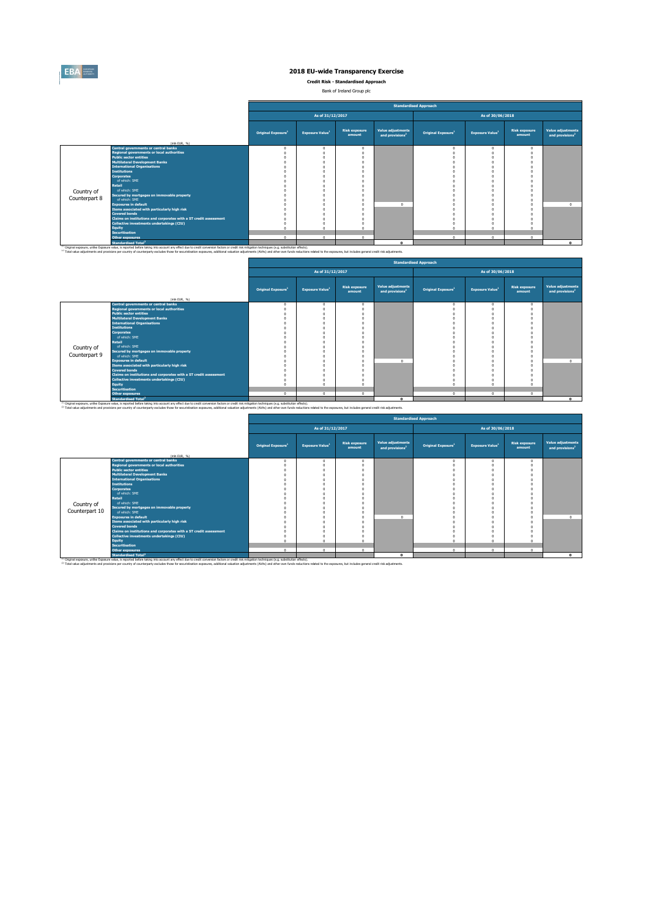

**Credit Risk - Standardised Approach**

Bank of Ireland Group plc

|               |                                                                                                                                                                                                                                                                                                                                                                                                                                                 |                                |                                    |                                |                                                  | <b>Standardised Approach</b>   |                                    |                                |                                                  |
|---------------|-------------------------------------------------------------------------------------------------------------------------------------------------------------------------------------------------------------------------------------------------------------------------------------------------------------------------------------------------------------------------------------------------------------------------------------------------|--------------------------------|------------------------------------|--------------------------------|--------------------------------------------------|--------------------------------|------------------------------------|--------------------------------|--------------------------------------------------|
|               |                                                                                                                                                                                                                                                                                                                                                                                                                                                 |                                | As of 31/12/2017                   |                                |                                                  |                                | As of 30/06/2018                   |                                |                                                  |
|               | (mln EUR. 96)                                                                                                                                                                                                                                                                                                                                                                                                                                   | Original Exposure <sup>1</sup> | <b>Exposure Value</b> <sup>1</sup> | <b>Risk exposure</b><br>amount | Value adjustments<br>and provisions <sup>2</sup> | Original Exposure <sup>1</sup> | <b>Exposure Value</b> <sup>1</sup> | <b>Risk exposure</b><br>amount | Value adjustments<br>and provisions <sup>2</sup> |
|               | <b>Central governments or central banks</b>                                                                                                                                                                                                                                                                                                                                                                                                     | n                              | $\Omega$                           |                                |                                                  | $\sqrt{2}$                     | $\Omega$                           |                                |                                                  |
|               | <b>Regional governments or local authorities</b>                                                                                                                                                                                                                                                                                                                                                                                                |                                |                                    |                                |                                                  |                                |                                    |                                |                                                  |
|               | <b>Public sector entities</b>                                                                                                                                                                                                                                                                                                                                                                                                                   |                                |                                    |                                |                                                  |                                |                                    |                                |                                                  |
|               | <b>Multilateral Development Banks</b>                                                                                                                                                                                                                                                                                                                                                                                                           |                                |                                    |                                |                                                  |                                |                                    |                                |                                                  |
|               | <b>International Organisations</b>                                                                                                                                                                                                                                                                                                                                                                                                              |                                |                                    |                                |                                                  |                                |                                    |                                |                                                  |
|               | <b>Institutions</b>                                                                                                                                                                                                                                                                                                                                                                                                                             |                                |                                    |                                |                                                  |                                |                                    |                                |                                                  |
|               | <b>Corporates</b>                                                                                                                                                                                                                                                                                                                                                                                                                               |                                |                                    |                                |                                                  |                                |                                    |                                |                                                  |
|               | of which: SME                                                                                                                                                                                                                                                                                                                                                                                                                                   |                                |                                    |                                |                                                  |                                |                                    |                                |                                                  |
|               | Retail                                                                                                                                                                                                                                                                                                                                                                                                                                          |                                |                                    |                                |                                                  |                                |                                    |                                |                                                  |
| Country of    | of which: SME                                                                                                                                                                                                                                                                                                                                                                                                                                   |                                |                                    |                                |                                                  |                                |                                    |                                |                                                  |
| Counterpart 8 | Secured by mortgages on immovable property                                                                                                                                                                                                                                                                                                                                                                                                      |                                |                                    |                                |                                                  |                                |                                    |                                |                                                  |
|               | of which: SME                                                                                                                                                                                                                                                                                                                                                                                                                                   |                                |                                    |                                | $\sim$                                           |                                |                                    |                                |                                                  |
|               | <b>Exposures in default</b>                                                                                                                                                                                                                                                                                                                                                                                                                     |                                |                                    |                                |                                                  |                                |                                    |                                | $\Omega$                                         |
|               | Items associated with particularly high risk                                                                                                                                                                                                                                                                                                                                                                                                    |                                |                                    |                                |                                                  |                                |                                    |                                |                                                  |
|               | <b>Covered bonds</b>                                                                                                                                                                                                                                                                                                                                                                                                                            |                                |                                    |                                |                                                  |                                |                                    |                                |                                                  |
|               | Claims on institutions and corporates with a ST credit assessment                                                                                                                                                                                                                                                                                                                                                                               |                                |                                    |                                |                                                  |                                |                                    |                                |                                                  |
|               | Collective investments undertakings (CIU)                                                                                                                                                                                                                                                                                                                                                                                                       |                                |                                    |                                |                                                  |                                |                                    |                                |                                                  |
|               | <b>Equity</b>                                                                                                                                                                                                                                                                                                                                                                                                                                   |                                | $\sim$                             |                                |                                                  |                                |                                    |                                |                                                  |
|               | <b>Securitisation</b>                                                                                                                                                                                                                                                                                                                                                                                                                           | $\sim$                         | $\Omega$                           | $\sim$                         |                                                  | $\sim$                         | $\sim$                             | ٠                              |                                                  |
|               | <b>Other exposures</b>                                                                                                                                                                                                                                                                                                                                                                                                                          |                                |                                    |                                |                                                  |                                |                                    |                                |                                                  |
|               | <b>Standardised Total<sup>2</sup></b>                                                                                                                                                                                                                                                                                                                                                                                                           |                                |                                    |                                |                                                  |                                |                                    |                                |                                                  |
|               | <sup>(1)</sup> Original exposure, unlike Exposure value, is reported before taking into account any effect due to credit conversion factors or credit risk mitigation techniques (e.g. substitution effects).<br>(2) Total value adjustments and provisions per country of counterparty excludes those for securistisation exposures, additional valuation adjustments (AVAs) and other own funds reductions related to the exposures, but incl |                                |                                    |                                |                                                  |                                |                                    |                                |                                                  |

 $\blacksquare$ 

|               |                                                                             |                                |                                    |                                |                                                  | <b>Standardised Approach</b>   |                                    |                                |                                                  |
|---------------|-----------------------------------------------------------------------------|--------------------------------|------------------------------------|--------------------------------|--------------------------------------------------|--------------------------------|------------------------------------|--------------------------------|--------------------------------------------------|
|               |                                                                             |                                | As of 31/12/2017                   |                                |                                                  |                                | As of 30/06/2018                   |                                |                                                  |
|               | (mln EUR, 96)                                                               | Original Exposure <sup>1</sup> | <b>Exposure Value</b> <sup>1</sup> | <b>Risk exposure</b><br>amount | Value adjustments<br>and provisions <sup>2</sup> | Original Exposure <sup>1</sup> | <b>Exposure Value</b> <sup>1</sup> | <b>Risk exposure</b><br>amount | Value adjustments<br>and provisions <sup>2</sup> |
|               | <b>Central governments or central banks</b>                                 | n                              | $\Omega$                           |                                |                                                  |                                |                                    |                                |                                                  |
|               | <b>Regional governments or local authorities</b>                            |                                |                                    |                                |                                                  |                                |                                    |                                |                                                  |
|               | <b>Public sector entities</b>                                               |                                |                                    |                                |                                                  |                                |                                    |                                |                                                  |
|               | <b>Multilateral Development Banks</b>                                       |                                |                                    |                                |                                                  |                                |                                    |                                |                                                  |
|               | <b>International Organisations</b>                                          |                                |                                    |                                |                                                  |                                |                                    |                                |                                                  |
|               | <b>Institutions</b>                                                         |                                |                                    |                                |                                                  |                                |                                    |                                |                                                  |
|               | <b>Corporates</b>                                                           |                                |                                    |                                |                                                  |                                |                                    |                                |                                                  |
|               | of which: SME                                                               |                                |                                    |                                |                                                  |                                |                                    |                                |                                                  |
|               | Retail                                                                      |                                |                                    |                                |                                                  |                                |                                    |                                |                                                  |
| Country of    | of which: SME                                                               |                                |                                    |                                |                                                  |                                |                                    |                                |                                                  |
| Counterpart 9 | Secured by mortgages on immovable property                                  |                                |                                    |                                |                                                  |                                |                                    |                                |                                                  |
|               | of which: SME                                                               |                                |                                    |                                |                                                  |                                |                                    |                                |                                                  |
|               | <b>Exposures in default</b><br>Items associated with particularly high risk |                                |                                    |                                |                                                  |                                |                                    |                                |                                                  |
|               | <b>Covered bonds</b>                                                        |                                |                                    |                                |                                                  |                                |                                    |                                |                                                  |
|               | Claims on institutions and corporates with a ST credit assessment           |                                |                                    |                                |                                                  |                                |                                    |                                |                                                  |
|               | Collective investments undertakings (CIU)                                   |                                |                                    |                                |                                                  |                                |                                    |                                |                                                  |
|               | Equity                                                                      |                                |                                    |                                |                                                  |                                |                                    |                                |                                                  |
|               | <b>Securitisation</b>                                                       |                                |                                    |                                |                                                  |                                |                                    |                                |                                                  |
|               | <b>Other exposures</b>                                                      | $\Omega$                       | $\Omega$                           | $\Omega$                       |                                                  | $\sim$                         | $\Omega$                           | $\sim$                         |                                                  |
|               | <b>Standardised Total<sup>2</sup></b>                                       |                                |                                    |                                |                                                  |                                |                                    |                                |                                                  |

Standardised Total<sup>\*</sup><br><sup>10</sup> Original exposure, unlike Exposite of the Standardise taking into account any effect due to credit conversion factors or credit niti miliopsion techniques (e.g. substitution effects).<br><sup>2</sup> Total v

 $\overline{a}$ 

|                |                                                                                                                       |                                |                                    |                                |                                                         | <b>Standardised Approach</b>   |                                    |                                |                                                  |
|----------------|-----------------------------------------------------------------------------------------------------------------------|--------------------------------|------------------------------------|--------------------------------|---------------------------------------------------------|--------------------------------|------------------------------------|--------------------------------|--------------------------------------------------|
|                |                                                                                                                       |                                | As of 31/12/2017                   |                                |                                                         |                                | As of 30/06/2018                   |                                |                                                  |
|                | (mln EUR, %)                                                                                                          | Original Exposure <sup>1</sup> | <b>Exposure Value</b> <sup>1</sup> | <b>Risk exposure</b><br>amount | <b>Value adjustments</b><br>and provisions <sup>2</sup> | Original Exposure <sup>1</sup> | <b>Exposure Value</b> <sup>1</sup> | <b>Risk exposure</b><br>amount | Value adjustments<br>and provisions <sup>2</sup> |
|                | Central governments or central banks                                                                                  |                                | $\Omega$                           | $\Omega$                       |                                                         | $\circ$                        |                                    | $\Omega$                       |                                                  |
|                | <b>Regional governments or local authorities</b>                                                                      |                                |                                    |                                |                                                         |                                |                                    |                                |                                                  |
|                | <b>Public sector entities</b>                                                                                         |                                |                                    |                                |                                                         |                                |                                    |                                |                                                  |
|                | <b>Multilateral Development Banks</b>                                                                                 |                                |                                    |                                |                                                         |                                |                                    |                                |                                                  |
|                | <b>International Organisations</b>                                                                                    |                                |                                    |                                |                                                         |                                |                                    |                                |                                                  |
|                | <b>Institutions</b>                                                                                                   |                                |                                    |                                |                                                         |                                |                                    |                                |                                                  |
|                | <b>Corporates</b>                                                                                                     |                                |                                    |                                |                                                         |                                |                                    |                                |                                                  |
|                | of which: SME                                                                                                         |                                |                                    |                                |                                                         |                                |                                    |                                |                                                  |
|                | Retail                                                                                                                |                                |                                    |                                |                                                         |                                |                                    |                                |                                                  |
| Country of     | of which: SME                                                                                                         |                                |                                    |                                |                                                         |                                |                                    |                                |                                                  |
| Counterpart 10 | Secured by mortgages on immovable property<br>of which: SME                                                           |                                |                                    |                                |                                                         |                                |                                    |                                |                                                  |
|                |                                                                                                                       |                                |                                    |                                |                                                         |                                |                                    |                                |                                                  |
|                | <b>Exposures in default</b>                                                                                           |                                |                                    |                                |                                                         |                                |                                    |                                |                                                  |
|                | Items associated with particularly high risk<br><b>Covered bonds</b>                                                  |                                |                                    |                                |                                                         |                                |                                    |                                |                                                  |
|                |                                                                                                                       |                                |                                    |                                |                                                         |                                |                                    |                                |                                                  |
|                | Claims on institutions and corporates with a ST credit assessment<br><b>Collective investments undertakings (CIU)</b> |                                |                                    |                                |                                                         |                                |                                    |                                |                                                  |
|                | <b>Equity</b>                                                                                                         |                                |                                    |                                |                                                         |                                |                                    |                                |                                                  |
|                | <b>Securitisation</b>                                                                                                 |                                |                                    |                                |                                                         |                                |                                    |                                |                                                  |
|                | <b>Other exposures</b>                                                                                                | $\Omega$                       | $\Omega$                           | $\Omega$                       |                                                         | $\mathbf{0}$                   | $\Omega$                           | $\Omega$                       |                                                  |
|                | <b>Standardised Total<sup>2</sup></b>                                                                                 |                                |                                    |                                | $\Omega$                                                |                                |                                    |                                |                                                  |
|                |                                                                                                                       |                                |                                    |                                |                                                         |                                |                                    |                                |                                                  |

Standardised Total<sup>2</sup><br>This income, unlike Expose basis, and to be the bing into account any effect due to credit conversion factors or credit nitingation techniques (e.g. substitution effects).<br>This value adjustments and c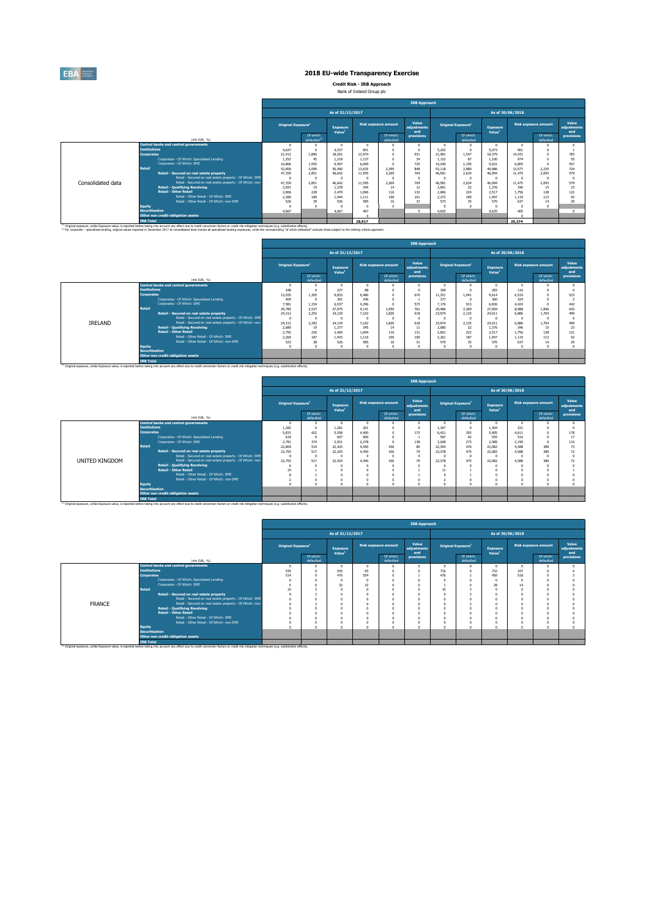

**Credit Risk - IRB Approach** Bank of Ireland Group plc

|                   |                                                                                                                                                                                                                                   |                                |                                       |                                       |        |                             | <b>IRB Approach</b>         |                                |                        |                                |                  |                             |                             |
|-------------------|-----------------------------------------------------------------------------------------------------------------------------------------------------------------------------------------------------------------------------------|--------------------------------|---------------------------------------|---------------------------------------|--------|-----------------------------|-----------------------------|--------------------------------|------------------------|--------------------------------|------------------|-----------------------------|-----------------------------|
|                   |                                                                                                                                                                                                                                   |                                |                                       |                                       |        |                             |                             |                                |                        |                                |                  |                             |                             |
|                   |                                                                                                                                                                                                                                   |                                |                                       | As of 31/12/2017                      |        |                             |                             |                                |                        |                                | As of 30/06/2018 |                             |                             |
|                   |                                                                                                                                                                                                                                   | Original Exposure <sup>1</sup> |                                       | <b>Exposure</b><br>Value <sup>1</sup> |        | <b>Risk exposure amount</b> | Value<br>adiustments<br>and | Original Exposure <sup>1</sup> |                        | Exposure<br>Value <sup>1</sup> |                  | <b>Risk exposure amount</b> | Value<br>adiustments<br>and |
|                   | (mln EUR, %)                                                                                                                                                                                                                      |                                | Of which:<br>defaulted <sup>(2)</sup> |                                       |        | Of which:<br>defaulted      | provisions                  |                                | Of which:<br>defaulted |                                |                  | Of which:<br>defaulted      | provisions                  |
|                   | <b>Central banks and central governments</b>                                                                                                                                                                                      | $\Omega$                       |                                       |                                       |        |                             |                             |                                | $\Omega$               | $\Omega$                       |                  |                             |                             |
|                   | <b>Institutions</b>                                                                                                                                                                                                               | 4,637                          | $\Omega$                              | 4.537                                 | 841    |                             |                             | 5.202                          | $\Omega$               | 5.073                          | 961              |                             |                             |
|                   | <b>Corporates</b>                                                                                                                                                                                                                 | 21.412                         | 1.896                                 | 18.201                                | 13.974 |                             | 931                         | 21.481                         | 1.547                  | 18,379                         | 14.431           |                             | 783                         |
|                   | Corporates - Of Which: Specialised Lending                                                                                                                                                                                        | 1.252                          | 45                                    | 1,218                                 | 1.137  |                             | 34                          | 1.132                          | 87                     | 1,100                          | 974              |                             | 55                          |
|                   | Corporates - Of Which: SME                                                                                                                                                                                                        | 10,806                         | 1.555                                 | 9.997                                 | 6.699  |                             | 725                         | 10.340                         | 1.195                  | 9.631                          | 6.805            |                             | 557                         |
|                   | Retail                                                                                                                                                                                                                            | 52.856                         | 3,099                                 | 50,490                                | 13.635 | 2.399                       | 848                         | 52.118                         | 2,880                  | 49,986                         | 13,577           | 2.235                       | 724                         |
|                   | Retail - Secured on real estate property                                                                                                                                                                                          | 47.359                         | 2.851                                 | 46,642                                | 11.595 | 2.269                       | 704                         | 46.581                         | 2.634                  | 46.094                         | 11.475           | 2.093                       | 579                         |
|                   | Retail - Secured on real estate property - Of Which: SME                                                                                                                                                                          | $\Omega$                       | $\sqrt{2}$                            |                                       |        |                             |                             | $\sqrt{2}$                     | $\sqrt{2}$             |                                |                  |                             |                             |
| Consolidated data | Retail - Secured on real estate property - Of Which: non                                                                                                                                                                          | 47,359                         | 2.851                                 | 46,642                                | 11.595 | 2.269                       | 704                         | 46,581                         | 2.634                  | 46.094                         | 11.475           | 2.093                       | 579                         |
|                   | <b>Retail - Qualifying Revolving</b>                                                                                                                                                                                              | 2.691                          | 19                                    | 1.378                                 | 345    | 14                          | 12                          | 2.691                          | 22                     | 1.376                          | 346              | 15                          | $\overline{2}$              |
|                   | Retail - Other Retail                                                                                                                                                                                                             | 2,806                          | 228                                   | 2.470                                 | 1.696  | 116                         | 132                         | 2.846                          | 224                    | 2.517                          | 1.756            | 128                         | 122                         |
|                   | Retail - Other Retail - Of Which: SME                                                                                                                                                                                             | 2,280                          | 189                                   | 1.944                                 | 1.111  | $100 -$                     | 101                         | 2.273                          | 189                    | 1.947                          | 1.119            | 113                         | Q <sub>2</sub>              |
|                   | Retail - Other Retail - Of Which: non-SME                                                                                                                                                                                         | 526                            | 39                                    | 526                                   | 585    | 16                          | 32                          | 573                            | 35                     | 570                            | 637              | 14                          | 79                          |
|                   | <b>Equity</b><br><b>Securitisation</b>                                                                                                                                                                                            | $\sqrt{2}$                     | $\sqrt{2}$                            |                                       |        |                             |                             | $\sqrt{2}$                     | $\sim$                 |                                |                  |                             |                             |
|                   |                                                                                                                                                                                                                                   | 4,667                          |                                       | 4.667                                 | 467    |                             | $\sqrt{2}$                  | 4.635                          |                        | 4.635                          | 405              |                             |                             |
|                   | Other non credit-obligation assets                                                                                                                                                                                                |                                |                                       |                                       |        |                             |                             |                                |                        |                                |                  |                             |                             |
|                   | <b>IRB Total</b><br><sup>(3)</sup> Original exposure, unlike Exposure value, is reported before taking into account any effect due to credit conversion factors or credit risk mitigation techniques (e.g. substitution effects). |                                |                                       |                                       | 28,917 |                             |                             |                                |                        |                                | 29,374           |                             |                             |

|                       |                                                                                                                                                                                                               | <b>IRB Approach</b>            |                        |                                       |       |                             |                             |        |                                |                                       |       |                             |                             |  |
|-----------------------|---------------------------------------------------------------------------------------------------------------------------------------------------------------------------------------------------------------|--------------------------------|------------------------|---------------------------------------|-------|-----------------------------|-----------------------------|--------|--------------------------------|---------------------------------------|-------|-----------------------------|-----------------------------|--|
|                       |                                                                                                                                                                                                               |                                |                        | As of 31/12/2017                      |       |                             |                             |        |                                | As of 30/06/2018                      |       |                             |                             |  |
|                       |                                                                                                                                                                                                               | Original Exposure <sup>1</sup> |                        | <b>Exposure</b><br>Value <sup>1</sup> |       | <b>Risk exposure amount</b> | Value<br>adjustments<br>and |        | Original Exposure <sup>1</sup> | <b>Exposure</b><br>Value <sup>1</sup> |       | <b>Risk exposure amount</b> | Value<br>adiustments<br>and |  |
|                       | (mln EUR, %)                                                                                                                                                                                                  |                                | Of which:<br>defaulted |                                       |       | Of which:<br>defaulted      | provisions                  |        | Of which:<br>defaulted         |                                       |       | Of which:<br>defaulted      | provisions                  |  |
|                       | <b>Central banks and central governments</b>                                                                                                                                                                  |                                | $\Omega$               | $\Omega$                              |       |                             | $\sqrt{2}$                  |        |                                | $\Omega$                              |       |                             |                             |  |
| <b>Institutions</b>   |                                                                                                                                                                                                               | 248                            | $\Omega$               | 227                                   | 88    |                             |                             | 304    |                                | 283                                   | 116   |                             |                             |  |
| <b>Corporates</b>     |                                                                                                                                                                                                               | 12.035                         | 1.305                  | 9.833                                 | 6.480 |                             | 670                         | 11.351 | 1.041                          | 9.614                                 | 6,519 |                             | 523                         |  |
|                       | Corporates - Of Which: Specialised Lending                                                                                                                                                                    | 409                            | $\Omega$               | 391                                   | 346   |                             |                             | 377    | $\Omega$                       | 360                                   | 324   |                             |                             |  |
|                       | Corporates - Of Which: SME                                                                                                                                                                                    | 7.581                          | 1.154                  | 6.937                                 | 4.295 |                             | 573                         | 7.176  | 913                            | 6,836                                 | 4.474 |                             | 442                         |  |
| Retail                |                                                                                                                                                                                                               | 29.785                         | 2.537                  | 27,975                                | 9.141 | 1.950                       | 761                         | 29,486 | 2.369                          | 27,904                                | 8.988 | 1.846                       | 643                         |  |
|                       | Retail - Secured on real estate property                                                                                                                                                                      | 24.312                         | 2.292                  | 24.129                                | 7.102 | 1.820                       | 618                         | 23.974 | 2.125                          | 24.011                                | 6.886 | 1.704                       | 499                         |  |
|                       | Retail - Secured on real estate property - Of Which: SME                                                                                                                                                      |                                | $\Omega$               | $\sqrt{2}$                            |       |                             | $\sqrt{2}$                  |        | O                              | $\sim$                                |       |                             |                             |  |
| IRELAND               | Retail - Secured on real estate property - Of Which: non-                                                                                                                                                     | 24,312                         | 2,292                  | 24.129                                | 7.102 | 1.820                       | 618                         | 23.974 | 2.125                          | 24.011                                | 6,886 | 1.704                       | 499                         |  |
|                       | <b>Retail - Qualifying Revolving</b>                                                                                                                                                                          | 2,680                          | 19                     | 1.377                                 | 345   | 14                          | 11                          | 2,680  | 22                             | 1.376                                 | 346   | 15                          | 23                          |  |
|                       | <b>Retail - Other Retail</b><br>Retail - Other Retail - Of Which: SME                                                                                                                                         | 2.792                          | 226                    | 2.469                                 | 1.694 | 116                         | 131                         | 2.831  | 222                            | 2.517                                 | 1.756 | 128                         | 121                         |  |
|                       | Retail - Other Retail - Of Which: non-SME                                                                                                                                                                     | 2.269                          | 187                    | 1.943                                 | 1.110 | 100                         | 100                         | 2.261  | 187                            | 1.947                                 | 1.119 | 113                         | 92                          |  |
| <b>Equity</b>         |                                                                                                                                                                                                               | 523<br>$\sim$                  | 38<br>$\sqrt{2}$       | 526<br>$\sim$                         | 585   | 16<br>$\Omega$              | 31                          | 570    | 35<br>$\sim$                   | 570<br>$\Omega$                       | 637   | 14                          | 29                          |  |
| <b>Securitisation</b> |                                                                                                                                                                                                               |                                |                        |                                       |       |                             |                             |        |                                |                                       |       |                             |                             |  |
|                       | Other non credit-obligation assets                                                                                                                                                                            |                                |                        |                                       |       |                             |                             |        |                                |                                       |       |                             |                             |  |
| <b>IRB Total</b>      |                                                                                                                                                                                                               |                                |                        |                                       |       |                             |                             |        |                                |                                       |       |                             |                             |  |
|                       | <sup>(3)</sup> Original exposure, unlike Exposure value, is reported before taking into account any effect due to credit conversion factors or credit risk mitigation techniques (e.g. substitution effects). |                                |                        |                                       |       |                             |                             |        |                                |                                       |       |                             |                             |  |

|                |                                                                |                                                                                                                                                                                                                                                                                                                                                                                                                                                                                                                                                                                                                             |                                                                 |                                                                                 |                                                     |                                                  |                             | <b>IRB Approach</b>          |                                                           |                                                               |                                                     |                                                  |                             |                      |
|----------------|----------------------------------------------------------------|-----------------------------------------------------------------------------------------------------------------------------------------------------------------------------------------------------------------------------------------------------------------------------------------------------------------------------------------------------------------------------------------------------------------------------------------------------------------------------------------------------------------------------------------------------------------------------------------------------------------------------|-----------------------------------------------------------------|---------------------------------------------------------------------------------|-----------------------------------------------------|--------------------------------------------------|-----------------------------|------------------------------|-----------------------------------------------------------|---------------------------------------------------------------|-----------------------------------------------------|--------------------------------------------------|-----------------------------|----------------------|
|                |                                                                |                                                                                                                                                                                                                                                                                                                                                                                                                                                                                                                                                                                                                             |                                                                 |                                                                                 | As of 31/12/2017                                    |                                                  |                             |                              |                                                           |                                                               |                                                     | As of 30/06/2018                                 |                             |                      |
|                |                                                                |                                                                                                                                                                                                                                                                                                                                                                                                                                                                                                                                                                                                                             | <b>Original Exposure</b> <sup>1</sup>                           |                                                                                 | <b>Exposure</b>                                     |                                                  | <b>Risk exposure amount</b> | Value<br>adjustments<br>and  |                                                           | Original Exposure <sup>1</sup>                                | Exposure                                            |                                                  | <b>Risk exposure amount</b> | Value<br>adjustments |
|                |                                                                | (min EUR, %)                                                                                                                                                                                                                                                                                                                                                                                                                                                                                                                                                                                                                |                                                                 | Of which:<br>defaulted                                                          | Value <sup>1</sup>                                  |                                                  | Of which:<br>defaulted      | provisions                   |                                                           | Of which:<br>defaulted                                        | Value <sup>1</sup>                                  |                                                  | Of which:<br>defaulted      | and<br>provisions    |
|                |                                                                | <b>Central banks and central governments</b>                                                                                                                                                                                                                                                                                                                                                                                                                                                                                                                                                                                | $\Omega$                                                        | n                                                                               |                                                     | -0                                               |                             |                              | - 0                                                       | n                                                             | $\Omega$                                            |                                                  |                             |                      |
|                | <b>Institutions</b>                                            |                                                                                                                                                                                                                                                                                                                                                                                                                                                                                                                                                                                                                             | 1.282                                                           | $\Omega$                                                                        | 1.281                                               | 201                                              |                             |                              | 1.307                                                     | $\Omega$                                                      | 1.304                                               | 221                                              |                             |                      |
|                |                                                                |                                                                                                                                                                                                                                                                                                                                                                                                                                                                                                                                                                                                                             |                                                                 |                                                                                 |                                                     |                                                  |                             |                              |                                                           |                                                               |                                                     |                                                  |                             | 178                  |
|                |                                                                |                                                                                                                                                                                                                                                                                                                                                                                                                                                                                                                                                                                                                             |                                                                 |                                                                                 |                                                     |                                                  |                             |                              |                                                           |                                                               |                                                     |                                                  |                             | 17                   |
|                |                                                                |                                                                                                                                                                                                                                                                                                                                                                                                                                                                                                                                                                                                                             |                                                                 |                                                                                 |                                                     |                                                  |                             |                              |                                                           |                                                               |                                                     |                                                  |                             | 110                  |
|                |                                                                |                                                                                                                                                                                                                                                                                                                                                                                                                                                                                                                                                                                                                             |                                                                 |                                                                                 |                                                     |                                                  |                             |                              |                                                           |                                                               |                                                     |                                                  |                             | $\overline{B}$       |
|                |                                                                |                                                                                                                                                                                                                                                                                                                                                                                                                                                                                                                                                                                                                             |                                                                 |                                                                                 |                                                     |                                                  |                             |                              |                                                           |                                                               |                                                     |                                                  |                             | 72                   |
|                |                                                                |                                                                                                                                                                                                                                                                                                                                                                                                                                                                                                                                                                                                                             |                                                                 |                                                                                 |                                                     |                                                  |                             |                              |                                                           |                                                               |                                                     |                                                  |                             |                      |
|                |                                                                |                                                                                                                                                                                                                                                                                                                                                                                                                                                                                                                                                                                                                             |                                                                 |                                                                                 |                                                     |                                                  |                             |                              |                                                           |                                                               |                                                     |                                                  |                             | 72                   |
|                |                                                                |                                                                                                                                                                                                                                                                                                                                                                                                                                                                                                                                                                                                                             |                                                                 |                                                                                 |                                                     |                                                  |                             |                              |                                                           |                                                               |                                                     |                                                  |                             |                      |
|                |                                                                |                                                                                                                                                                                                                                                                                                                                                                                                                                                                                                                                                                                                                             |                                                                 |                                                                                 |                                                     |                                                  |                             |                              |                                                           |                                                               |                                                     |                                                  |                             |                      |
|                |                                                                |                                                                                                                                                                                                                                                                                                                                                                                                                                                                                                                                                                                                                             |                                                                 |                                                                                 |                                                     |                                                  |                             |                              |                                                           |                                                               |                                                     |                                                  |                             |                      |
|                |                                                                |                                                                                                                                                                                                                                                                                                                                                                                                                                                                                                                                                                                                                             | $\sim$                                                          | $\Delta$                                                                        |                                                     |                                                  | $\sim$                      |                              |                                                           | $\sim$                                                        |                                                     |                                                  | $\sim$                      |                      |
|                |                                                                |                                                                                                                                                                                                                                                                                                                                                                                                                                                                                                                                                                                                                             |                                                                 |                                                                                 |                                                     |                                                  |                             |                              |                                                           |                                                               |                                                     |                                                  |                             |                      |
|                |                                                                | Other non credit-obligation assets                                                                                                                                                                                                                                                                                                                                                                                                                                                                                                                                                                                          |                                                                 |                                                                                 |                                                     |                                                  |                             |                              |                                                           |                                                               |                                                     |                                                  |                             |                      |
|                | <b>IRB Total</b>                                               |                                                                                                                                                                                                                                                                                                                                                                                                                                                                                                                                                                                                                             |                                                                 |                                                                                 |                                                     |                                                  |                             |                              |                                                           |                                                               |                                                     |                                                  |                             |                      |
| UNITED KINGDOM | <b>Corporates</b><br>Retail<br>Equity<br><b>Securitisation</b> | Corporates - Of Which: Specialised Lending<br>Comorates - Of Which: SME<br>Retail - Secured on real estate property<br>Retail - Secured on real estate property - Of Which: SME<br>Retail - Secured on real estate property - Of Which: non-<br><b>Retail - Qualifying Revolving</b><br><b>Retail - Other Retail</b><br>Retail - Other Retail - Of Which: SME<br>Retail - Other Retail - Of Which: non-SME<br><sup>(1)</sup> Original exposure, unlike Exposure value, is reported before taking into account any effect due to credit conversion factors or credit risk mitigation techniques (e.g. substitution effects). | 5,815<br>619<br>2,781<br>22,809<br>22.793<br>-O<br>22,793<br>10 | 422<br>$\Omega$<br>374<br>519<br>517<br>$\Omega$<br>517<br>$\Omega$<br>$\Omega$ | 5,558<br>607<br>2.921<br>22,425<br>22,425<br>22,425 | 4.400<br>600<br>2.278<br>4.450<br>4.450<br>4.450 | 436<br>436<br>436           | 172<br>138<br>80<br>79<br>79 | 6.421<br>567<br>2.628<br>22.394<br>22,378<br>22,378<br>11 | 393<br>42<br>273<br>476<br>475<br>$\Omega$<br>475<br>$\Omega$ | 5,905<br>555<br>2.589<br>22.082<br>22.082<br>22,082 | 4.611<br>516<br>2.190<br>4.588<br>4.588<br>4.588 | 389<br>389<br>389           |                      |

|               |                                                           |                                |                        |                                |            |                             | <b>IRB Approach</b>         |          |                                |                                |     |                             |                             |
|---------------|-----------------------------------------------------------|--------------------------------|------------------------|--------------------------------|------------|-----------------------------|-----------------------------|----------|--------------------------------|--------------------------------|-----|-----------------------------|-----------------------------|
|               |                                                           |                                |                        | As of 31/12/2017               |            |                             |                             |          |                                | As of 30/06/2018               |     |                             |                             |
|               |                                                           | Original Exposure <sup>1</sup> |                        | Exposure<br>Value <sup>1</sup> |            | <b>Risk exposure amount</b> | Value<br>adjustments<br>and |          | Original Exposure <sup>1</sup> | Exposure<br>Value <sup>1</sup> |     | <b>Risk exposure amount</b> | Value<br>adjustments<br>and |
|               | (mln EUR, %)                                              |                                | Of which:<br>defaulted |                                |            | Of which:<br>defaulted      | provisions                  |          | Of which:<br>defaulted         |                                |     | Of which:<br>defaulted      | provisions                  |
|               | Central banks and central governments                     | $\Omega$                       |                        |                                | $\Omega$   |                             |                             |          | $\Omega$                       |                                |     | $\Omega$                    |                             |
|               | <b>Institutions</b>                                       | 535                            |                        | 535                            | 65         |                             |                             | 732      | $\Omega$                       | 732                            | 107 |                             |                             |
|               | <b>Corporates</b>                                         | 514                            |                        | 476                            | 554        |                             |                             | 476      | $\hat{\phantom{a}}$            | 450                            | 518 |                             |                             |
|               | Corporates - Of Which: Specialised Lending                | $\sqrt{2}$                     |                        |                                | $\sqrt{2}$ |                             |                             | $\Omega$ | $\Omega$                       |                                |     |                             |                             |
|               | Corporates - Of Which: SME                                |                                |                        | 32                             | 22         |                             |                             |          | $\Omega$                       | 28                             | 14  |                             |                             |
|               | Retail                                                    | 10                             |                        |                                |            |                             |                             | 10       |                                |                                |     |                             |                             |
|               | Retail - Secured on real estate property                  | o                              |                        |                                |            |                             |                             |          |                                |                                |     |                             |                             |
|               | Retail - Secured on real estate property - Of Which: SME  | $\Omega$                       |                        |                                |            |                             |                             |          |                                |                                |     |                             |                             |
| <b>FRANCE</b> | Retail - Secured on real estate property - Of Which: non- | -O                             |                        |                                |            |                             |                             | $\sim$   | 3                              |                                |     |                             |                             |
|               | <b>Retail - Qualifying Revolving</b>                      |                                |                        |                                | $\sqrt{2}$ |                             |                             | $\sim$   | $\Omega$                       |                                |     |                             |                             |
|               | <b>Retail - Other Retail</b>                              |                                |                        |                                | $\Omega$   |                             |                             |          | $\Omega$                       |                                |     |                             |                             |
|               | Retail - Other Retail - Of Which: SME                     |                                |                        |                                |            |                             |                             |          | $\Omega$                       |                                |     |                             |                             |
|               | Retail - Other Retail - Of Which: non-SME                 |                                |                        |                                |            |                             |                             |          | $\Omega$                       |                                |     |                             |                             |
|               | <b>Equity</b>                                             | n                              |                        |                                |            |                             |                             |          | $\sqrt{2}$                     |                                |     |                             |                             |
|               | <b>Securitisation</b>                                     |                                |                        |                                |            |                             |                             |          |                                |                                |     |                             |                             |
|               | Other non credit-obligation assets                        |                                |                        |                                |            |                             |                             |          |                                |                                |     |                             |                             |
|               | <b>IRB Total</b>                                          |                                |                        |                                |            |                             |                             |          |                                |                                |     |                             |                             |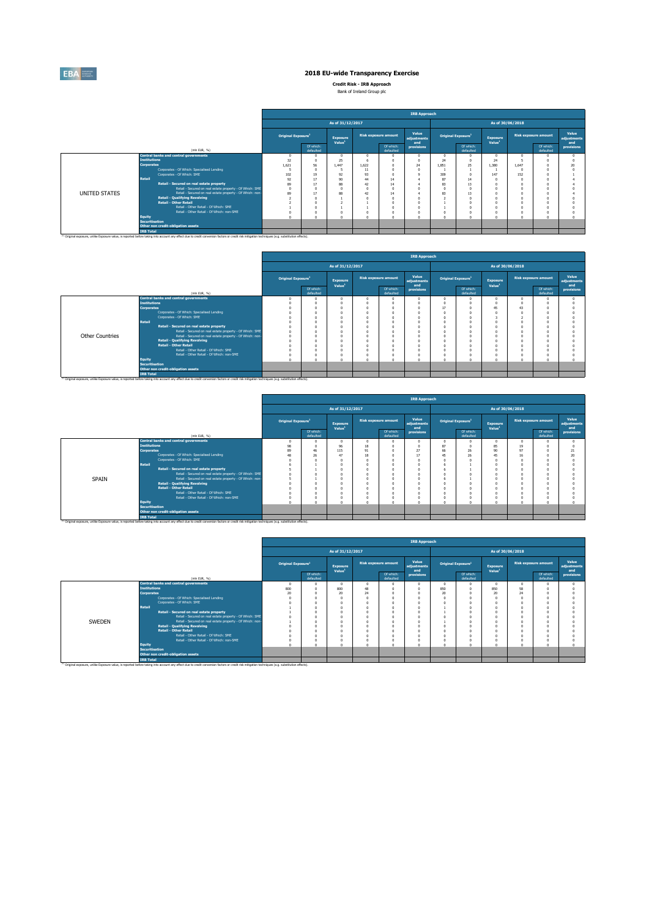

**Credit Risk - IRB Approach** Bank of Ireland Group plc

|  | Bank of Ireland Group plc |  |
|--|---------------------------|--|
|  |                           |  |

|               |                                                                                                                                                                                                                                   |                                |                        |                                |        |                             | <b>IRB Approach</b>         |        |                                |                                |       |                             |                             |
|---------------|-----------------------------------------------------------------------------------------------------------------------------------------------------------------------------------------------------------------------------------|--------------------------------|------------------------|--------------------------------|--------|-----------------------------|-----------------------------|--------|--------------------------------|--------------------------------|-------|-----------------------------|-----------------------------|
|               |                                                                                                                                                                                                                                   |                                |                        | As of 31/12/2017               |        |                             |                             |        |                                | As of 30/06/2018               |       |                             |                             |
|               |                                                                                                                                                                                                                                   | Original Exposure <sup>1</sup> |                        | Exposure<br>Value <sup>1</sup> |        | <b>Risk exposure amount</b> | Value<br>adjustments<br>and |        | Original Exposure <sup>1</sup> | Exposure<br>Value <sup>1</sup> |       | <b>Risk exposure amount</b> | Value<br>adjustments<br>and |
|               | (mln EUR, %)                                                                                                                                                                                                                      |                                | Of which:<br>defaulted |                                |        | Of which:<br>defaulted      | provisions                  |        | Of which:<br>defaulted         |                                |       | Of which:<br>defaulted      | provisions                  |
|               | <b>Central banks and central governments</b>                                                                                                                                                                                      | $\Omega$                       | $\Omega$               |                                |        |                             |                             |        | $\Omega$                       |                                |       |                             |                             |
|               | <b>Institutions</b>                                                                                                                                                                                                               | 32                             | $\Omega$               | 25                             |        |                             |                             | 24     | $\Omega$                       | 74                             |       |                             |                             |
|               | <b>Corporates</b>                                                                                                                                                                                                                 | 1.621                          | 56                     | 1.447                          | 1.622  |                             | 24                          | 1.851  | 25                             | 1.380                          | 1.647 |                             |                             |
|               | Corporates - Of Which: Specialised Lending                                                                                                                                                                                        |                                | $\Omega$               |                                | 11     |                             |                             |        |                                |                                |       |                             |                             |
|               | Corporates - Of Which: SME                                                                                                                                                                                                        | 102                            | 19                     | 92                             | 93     |                             |                             | 309    | $\Omega$                       | 147                            | 152   |                             |                             |
|               | Retail                                                                                                                                                                                                                            | 92                             | 17                     | <b>90</b>                      | 44     | 14                          |                             | 87     | 14                             |                                |       |                             |                             |
|               | Retail - Secured on real estate property                                                                                                                                                                                          | 89                             | 17                     | 88                             | 47     | 14                          |                             | 83     | 13                             |                                |       |                             |                             |
|               | Retail - Secured on real estate property - Of Which: SME                                                                                                                                                                          | $\Omega$                       | $\Omega$               |                                |        |                             |                             |        | $\sim$                         |                                |       |                             |                             |
| UNITED STATES | Retail - Secured on real estate property - Of Which: non-                                                                                                                                                                         | 89                             | 17                     | 88                             | 42     | 14                          |                             | 83     | 13                             |                                |       |                             |                             |
|               | <b>Retail - Qualifying Revolving</b>                                                                                                                                                                                              |                                | $\Omega$               |                                |        |                             |                             |        | $\Omega$                       |                                |       |                             |                             |
|               | <b>Retail - Other Retail</b>                                                                                                                                                                                                      |                                | $\Omega$               |                                |        |                             |                             |        | $\Omega$                       |                                |       |                             |                             |
|               | Retail - Other Retail - Of Which: SME                                                                                                                                                                                             |                                | $\Omega$               |                                |        |                             |                             |        |                                |                                |       |                             |                             |
|               | Retail - Other Retail - Of Which: non-SME                                                                                                                                                                                         | $\sim$                         | $\Omega$               |                                | $\sim$ |                             |                             | $\sim$ | $\Omega$                       |                                |       | $\sim$                      |                             |
|               | Equity<br><b>Securitisation</b>                                                                                                                                                                                                   |                                | $\Omega$               |                                |        |                             |                             |        | $\sim$                         |                                |       |                             |                             |
|               | Other non credit-obligation assets                                                                                                                                                                                                |                                |                        |                                |        |                             |                             |        |                                |                                |       |                             |                             |
|               |                                                                                                                                                                                                                                   |                                |                        |                                |        |                             |                             |        |                                |                                |       |                             |                             |
|               | <b>IRB Total</b><br><sup>(3)</sup> Original exposure, unlike Exposure value, is reported before taking into account any effect due to credit conversion factors or credit risk mitigation techniques (e.g. substitution effects). |                                |                        |                                |        |                             |                             |        |                                |                                |       |                             |                             |

|                        |                                                                                                                                                                                                               |                                |                        |                                |   |                             | <b>IRB Approach</b>         |    |                                |                                |                  |                             |                             |
|------------------------|---------------------------------------------------------------------------------------------------------------------------------------------------------------------------------------------------------------|--------------------------------|------------------------|--------------------------------|---|-----------------------------|-----------------------------|----|--------------------------------|--------------------------------|------------------|-----------------------------|-----------------------------|
|                        |                                                                                                                                                                                                               |                                |                        | As of 31/12/2017               |   |                             |                             |    |                                |                                | As of 30/06/2018 |                             |                             |
|                        |                                                                                                                                                                                                               | Original Exposure <sup>1</sup> |                        | Exposure<br>Value <sup>1</sup> |   | <b>Risk exposure amount</b> | Value<br>adjustments<br>and |    | Original Exposure <sup>1</sup> | Exposure<br>Value <sup>1</sup> |                  | <b>Risk exposure amount</b> | Value<br>adjustments<br>and |
|                        | (mln EUR, %)                                                                                                                                                                                                  |                                | Of which:<br>defaulted |                                |   | Of which:<br>defaulted      | provisions                  |    | Of which:<br>defaulted         |                                |                  | Of which:<br>defaulted      | provisions                  |
|                        | <b>Central banks and central governments</b>                                                                                                                                                                  | n                              |                        |                                |   |                             |                             |    |                                | $\Omega$                       |                  |                             |                             |
|                        | <b>Institutions</b>                                                                                                                                                                                           |                                |                        |                                |   |                             |                             |    |                                |                                |                  |                             |                             |
|                        | <b>Corporates</b><br>Corporates - Of Which: Specialised Lending                                                                                                                                               |                                | $\Omega$<br>$\Omega$   |                                | n |                             |                             | 17 |                                | 45                             | 43               |                             |                             |
|                        | Corporates - Of Which: SME                                                                                                                                                                                    | $\theta$                       | $\Omega$               |                                |   |                             |                             |    |                                |                                |                  |                             |                             |
|                        | Retail                                                                                                                                                                                                        |                                |                        |                                |   |                             |                             |    |                                |                                |                  |                             |                             |
|                        | Retail - Secured on real estate property                                                                                                                                                                      | $\Omega$                       | $\Omega$               |                                |   |                             |                             |    |                                | $\Omega$                       |                  |                             |                             |
|                        | Retail - Secured on real estate property - Of Which: SME                                                                                                                                                      | $\Omega$                       | $\Omega$               |                                |   |                             |                             |    |                                | $\Omega$                       |                  |                             |                             |
| <b>Other Countries</b> | Retail - Secured on real estate property - Of Which: non-                                                                                                                                                     | $\theta$                       |                        |                                |   |                             |                             |    |                                | n                              |                  |                             |                             |
|                        | <b>Retail - Qualifying Revolving</b>                                                                                                                                                                          |                                | $\Omega$               |                                |   |                             |                             |    |                                |                                |                  |                             |                             |
|                        | <b>Retail - Other Retail</b>                                                                                                                                                                                  | o                              | $\Omega$               |                                | n |                             |                             |    |                                | $\Omega$                       |                  |                             |                             |
|                        | Retail - Other Retail - Of Which: SME                                                                                                                                                                         |                                | $\Omega$               |                                |   |                             |                             |    |                                | n                              |                  |                             |                             |
|                        | Retail - Other Retail - Of Which: non-SME                                                                                                                                                                     | $\theta$                       | $\Omega$               |                                |   |                             |                             |    |                                | $\Omega$                       |                  |                             |                             |
|                        | <b>Equity</b>                                                                                                                                                                                                 |                                | $\Omega$               |                                |   |                             |                             |    |                                | n                              |                  |                             |                             |
|                        | <b>Securitisation</b>                                                                                                                                                                                         |                                |                        |                                |   |                             |                             |    |                                |                                |                  |                             |                             |
|                        | Other non credit-obligation assets                                                                                                                                                                            |                                |                        |                                |   |                             |                             |    |                                |                                |                  |                             |                             |
|                        | <b>IRB Total</b>                                                                                                                                                                                              |                                |                        |                                |   |                             |                             |    |                                |                                |                  |                             |                             |
|                        | <sup>(i)</sup> Original exposure, unlike Exposure value, is reported before taking into account any effect due to credit conversion factors or credit risk mitigation techniques (e.g. substitution effects). |                                |                        |                                |   |                             |                             |    |                                |                                |                  |                             |                             |

|       |                       |                                                                                                                                                                                                               |                                |                        |                                |          |                             | <b>IRB Approach</b>         |            |                                |                                |          |                        |                             |
|-------|-----------------------|---------------------------------------------------------------------------------------------------------------------------------------------------------------------------------------------------------------|--------------------------------|------------------------|--------------------------------|----------|-----------------------------|-----------------------------|------------|--------------------------------|--------------------------------|----------|------------------------|-----------------------------|
|       |                       |                                                                                                                                                                                                               |                                |                        | As of 31/12/2017               |          |                             |                             |            |                                | As of 30/06/2018               |          |                        |                             |
|       |                       |                                                                                                                                                                                                               | Original Exposure <sup>1</sup> |                        | Exposure<br>Value <sup>1</sup> |          | <b>Risk exposure amount</b> | Value<br>adjustments<br>and |            | Original Exposure <sup>1</sup> | Exposure<br>Value <sup>1</sup> |          | Risk exposure amount   | Value<br>adjustments<br>and |
|       |                       | (mln EUR, %)                                                                                                                                                                                                  |                                | Of which:<br>defaulted |                                |          | Of which:<br>defaulted      | provisions                  |            | Of which:<br>defaulted         |                                |          | Of which:<br>defaulted | provisions                  |
|       |                       | <b>Central banks and central governments</b>                                                                                                                                                                  | $\overline{0}$                 |                        |                                | $\Omega$ |                             |                             | $\Omega$   |                                | n                              | $\Omega$ |                        |                             |
|       | <b>Tnstitutions</b>   |                                                                                                                                                                                                               | 98                             |                        | 96                             | 18       |                             |                             | 87         |                                | 85                             | 19       |                        |                             |
|       | <b>Corporates</b>     |                                                                                                                                                                                                               | 89                             | 46                     | 115                            | 91       |                             | 27                          | 66         | 26                             | 90                             | 97       |                        | 21                          |
|       |                       | Corporates - Of Which: Specialised Lending                                                                                                                                                                    | 48                             | 26                     | 47                             | 18       |                             | 17                          | 45         | 26                             | 45                             | 16       |                        | $\overline{2}$              |
|       | Retail                | Corporates - Of Which: SME                                                                                                                                                                                    | $\Omega$                       |                        |                                |          |                             |                             | $\sqrt{2}$ | $\Omega$                       |                                | $\sim$   |                        |                             |
|       |                       |                                                                                                                                                                                                               | 6                              |                        |                                |          |                             |                             | 6          |                                |                                |          |                        |                             |
|       |                       | Retail - Secured on real estate property<br>Retail - Secured on real estate property - Of Which: SME                                                                                                          |                                |                        |                                |          |                             |                             | $\Omega$   |                                |                                |          |                        |                             |
| SPAIN |                       | Retail - Secured on real estate property - Of Which: non-                                                                                                                                                     |                                |                        |                                |          |                             |                             |            |                                |                                |          |                        |                             |
|       |                       | <b>Retail - Qualifying Revolving</b>                                                                                                                                                                          | $\sqrt{2}$                     |                        |                                |          |                             |                             | $\sqrt{2}$ |                                |                                |          |                        |                             |
|       |                       | <b>Retail - Other Retail</b>                                                                                                                                                                                  |                                |                        |                                |          |                             |                             | $\sqrt{2}$ |                                |                                |          |                        |                             |
|       |                       | Retail - Other Retail - Of Which: SME                                                                                                                                                                         |                                |                        |                                |          |                             |                             | $\Omega$   |                                |                                |          |                        |                             |
|       |                       | Retail - Other Retail - Of Which: non-SME                                                                                                                                                                     | $\Omega$                       |                        |                                |          |                             |                             | $\Omega$   |                                |                                |          |                        |                             |
|       | <b>Equity</b>         |                                                                                                                                                                                                               | $\sim$                         |                        |                                |          |                             |                             | $\sim$     | $\sim$                         |                                |          |                        |                             |
|       | <b>Securitisation</b> |                                                                                                                                                                                                               |                                |                        |                                |          |                             |                             |            |                                |                                |          |                        |                             |
|       |                       | Other non credit-obligation assets                                                                                                                                                                            |                                |                        |                                |          |                             |                             |            |                                |                                |          |                        |                             |
|       | <b>IRB Total</b>      |                                                                                                                                                                                                               |                                |                        |                                |          |                             |                             |            |                                |                                |          |                        |                             |
|       |                       | <sup>(3)</sup> Original exposure, unlike Exposure value, is reported before taking into account any effect due to credit conversion factors or credit risk mitigation techniques (e.g. substitution effects). |                                |                        |                                |          |                             |                             |            |                                |                                |          |                        |                             |

|        |                       |                                                                                                                                                                                                               |                                |                        |                                |    |                             | <b>IRB Approach</b>         |                                |                        |                                |                  |                             |                             |
|--------|-----------------------|---------------------------------------------------------------------------------------------------------------------------------------------------------------------------------------------------------------|--------------------------------|------------------------|--------------------------------|----|-----------------------------|-----------------------------|--------------------------------|------------------------|--------------------------------|------------------|-----------------------------|-----------------------------|
|        |                       |                                                                                                                                                                                                               |                                |                        | As of 31/12/2017               |    |                             |                             |                                |                        |                                | As of 30/06/2018 |                             |                             |
|        |                       |                                                                                                                                                                                                               | Original Exposure <sup>1</sup> |                        | Exposure<br>Value <sup>1</sup> |    | <b>Risk exposure amount</b> | Value<br>adjustments<br>and | Original Exposure <sup>1</sup> |                        | Exposure<br>Value <sup>1</sup> |                  | <b>Risk exposure amount</b> | Value<br>adjustments<br>and |
|        |                       | (min EUR, %)                                                                                                                                                                                                  |                                | Of which:<br>defaulted |                                |    | Of which:<br>defaulted      | provisions                  |                                | Of which:<br>defaulted |                                |                  | Of which:<br>defaulted      | provisions                  |
|        |                       | <b>Central banks and central governments</b>                                                                                                                                                                  | -O                             | $\Omega$               |                                | -O |                             |                             | $\sqrt{2}$                     | $\Omega$               |                                | n                |                             |                             |
|        | <b>Institutions</b>   |                                                                                                                                                                                                               | 800                            | $\Omega$               | 800                            | 48 |                             |                             | 850                            | $\Omega$               | 850                            | 58               |                             |                             |
|        | <b>Corporates</b>     |                                                                                                                                                                                                               | 20                             | $\Omega$               | 20                             | 24 |                             |                             | 20                             | $\Omega$               | 20                             | 24               |                             |                             |
|        |                       | Corporates - Of Which: Specialised Lending                                                                                                                                                                    | n                              | $\Omega$               |                                |    |                             |                             | $\Omega$                       | n                      |                                |                  |                             |                             |
|        |                       | Corporates - Of Which: SME                                                                                                                                                                                    |                                | $\Omega$               |                                | n  |                             |                             | n                              | $\Omega$               |                                |                  |                             |                             |
|        | Retail                |                                                                                                                                                                                                               |                                | n                      |                                | ¢  |                             |                             |                                | $\Omega$               |                                |                  |                             |                             |
|        |                       | Retail - Secured on real estate property                                                                                                                                                                      |                                | $\Omega$               |                                | ¢  |                             |                             |                                | $\Omega$               |                                |                  |                             |                             |
|        |                       | Retail - Secured on real estate property - Of Which: SME                                                                                                                                                      | o                              | $\Omega$               |                                | n  |                             |                             | $\sim$                         | $\Omega$               |                                |                  |                             |                             |
| SWEDEN |                       | Retail - Secured on real estate property - Of Which: non-                                                                                                                                                     |                                |                        |                                |    |                             |                             |                                | n                      |                                |                  |                             |                             |
|        |                       | <b>Retail - Qualifying Revolving</b>                                                                                                                                                                          | n                              | $\Omega$               |                                |    |                             |                             |                                | n                      |                                |                  |                             |                             |
|        |                       | <b>Retail - Other Retail</b>                                                                                                                                                                                  |                                |                        |                                | ¢  |                             |                             |                                | $\Omega$               |                                |                  |                             |                             |
|        |                       | Retail - Other Retail - Of Which: SME                                                                                                                                                                         |                                | $\Omega$               |                                | n  |                             |                             | $\Omega$                       | $\Omega$               |                                |                  |                             |                             |
|        |                       | Retail - Other Retail - Of Which: non-SME                                                                                                                                                                     |                                | $\Omega$               |                                |    |                             |                             |                                | $\Omega$               |                                |                  |                             |                             |
|        | Equity                |                                                                                                                                                                                                               |                                | $\Omega$               |                                |    |                             |                             |                                | 'n                     |                                |                  |                             |                             |
|        | <b>Securitisation</b> |                                                                                                                                                                                                               |                                |                        |                                |    |                             |                             |                                |                        |                                |                  |                             |                             |
|        |                       | Other non credit-obligation assets                                                                                                                                                                            |                                |                        |                                |    |                             |                             |                                |                        |                                |                  |                             |                             |
|        | <b>IRB Total</b>      | <sup>(1)</sup> Original exposure, unlike Exposure value, is reported before taking into account any effect due to credit conversion factors or credit risk mitigation techniques (e.g. substitution effects). |                                |                        |                                |    |                             |                             |                                |                        |                                |                  |                             |                             |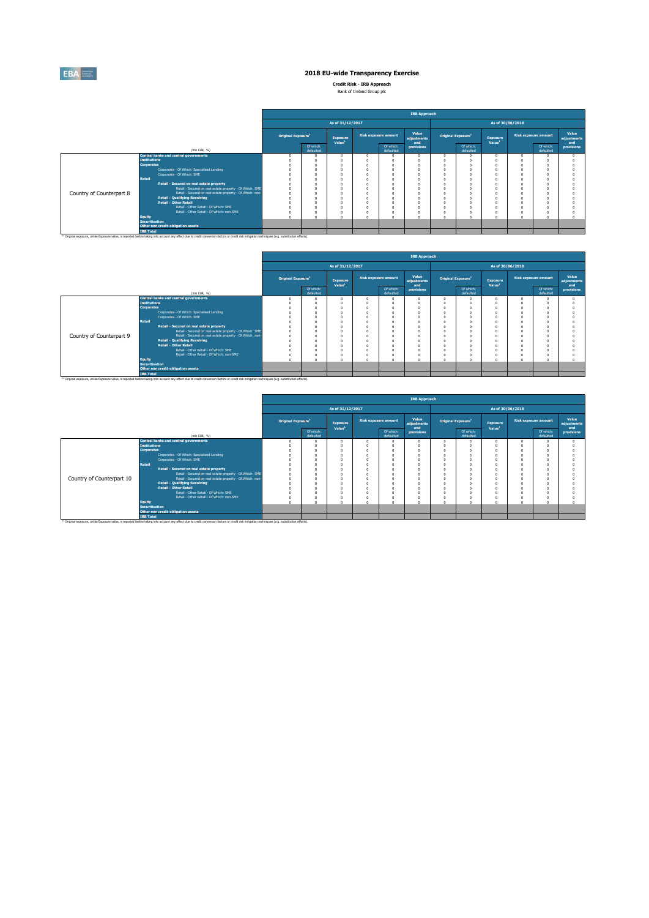

**Credit Risk - IRB Approach** Bank of Ireland Group plc

|                          |                                                                                                                                                                                                                                   |                                |                        |                                |                             | <b>IRB Approach</b>         |                                |                        |                                |                             |                             |
|--------------------------|-----------------------------------------------------------------------------------------------------------------------------------------------------------------------------------------------------------------------------------|--------------------------------|------------------------|--------------------------------|-----------------------------|-----------------------------|--------------------------------|------------------------|--------------------------------|-----------------------------|-----------------------------|
|                          |                                                                                                                                                                                                                                   |                                |                        | As of 31/12/2017               |                             |                             |                                |                        | As of 30/06/2018               |                             |                             |
|                          |                                                                                                                                                                                                                                   | Original Exposure <sup>1</sup> |                        | Exposure<br>Value <sup>1</sup> | <b>Risk exposure amount</b> | Value<br>adjustments<br>and | Original Exposure <sup>1</sup> |                        | Exposure<br>Value <sup>1</sup> | <b>Risk exposure amount</b> | Value<br>adjustments<br>and |
|                          | (mln EUR, %)                                                                                                                                                                                                                      |                                | Of which:<br>defaulted |                                | Of which:<br>defaulted      | provisions                  |                                | Of which:<br>defaulted |                                | Of which:<br>defaulted      | provisions                  |
|                          | <b>Central banks and central governments</b>                                                                                                                                                                                      | $\Omega$                       |                        |                                |                             |                             |                                |                        |                                |                             |                             |
|                          | <b>Institutions</b>                                                                                                                                                                                                               |                                |                        |                                |                             |                             |                                |                        |                                |                             |                             |
|                          | <b>Corporates</b>                                                                                                                                                                                                                 |                                |                        |                                |                             |                             |                                |                        |                                |                             |                             |
|                          | Corporates - Of Which: Specialised Lending                                                                                                                                                                                        |                                |                        |                                |                             |                             |                                |                        |                                |                             |                             |
|                          | Corporates - Of Which: SME                                                                                                                                                                                                        |                                |                        |                                |                             |                             |                                |                        |                                |                             |                             |
| <b>Retail</b>            |                                                                                                                                                                                                                                   |                                |                        |                                |                             |                             |                                |                        |                                |                             |                             |
|                          | Retail - Secured on real estate property                                                                                                                                                                                          |                                |                        |                                |                             |                             |                                |                        |                                |                             |                             |
|                          | Retail - Secured on real estate property - Of Which: SME                                                                                                                                                                          |                                |                        |                                |                             |                             |                                |                        |                                |                             |                             |
| Country of Counterpart 8 | Retail - Secured on real estate property - Of Which: non-                                                                                                                                                                         |                                |                        |                                |                             |                             |                                |                        |                                |                             |                             |
|                          | <b>Retail - Qualifying Revolving</b>                                                                                                                                                                                              |                                |                        |                                |                             |                             |                                |                        |                                |                             |                             |
|                          | <b>Retail - Other Retail</b>                                                                                                                                                                                                      |                                |                        |                                |                             |                             |                                |                        |                                |                             |                             |
|                          | Retail - Other Retail - Of Which: SME                                                                                                                                                                                             |                                |                        |                                |                             |                             |                                |                        |                                |                             |                             |
|                          | Retail - Other Retail - Of Which: non-SME                                                                                                                                                                                         |                                |                        |                                |                             |                             |                                | $\Omega$               |                                |                             |                             |
| Equity                   |                                                                                                                                                                                                                                   |                                |                        |                                |                             |                             |                                | $\sim$                 |                                |                             |                             |
|                          | <b>Securitisation</b>                                                                                                                                                                                                             |                                |                        |                                |                             |                             |                                |                        |                                |                             |                             |
|                          | Other non credit-obligation assets                                                                                                                                                                                                |                                |                        |                                |                             |                             |                                |                        |                                |                             |                             |
|                          | <b>IRB Total</b><br><sup>(1)</sup> Original exposure, unlike Exposure value, is reported before taking into account any effect due to credit conversion factors or credit risk mitigation techniques (e.g. substitution effects). |                                |                        |                                |                             |                             |                                |                        |                                |                             |                             |

|                          |                       |                                                                                                                                                                                                               |                                |                        |                                       |                             | <b>IRB Approach</b>         |                                |                                |                  |                             |                             |
|--------------------------|-----------------------|---------------------------------------------------------------------------------------------------------------------------------------------------------------------------------------------------------------|--------------------------------|------------------------|---------------------------------------|-----------------------------|-----------------------------|--------------------------------|--------------------------------|------------------|-----------------------------|-----------------------------|
|                          |                       |                                                                                                                                                                                                               |                                |                        | As of 31/12/2017                      |                             |                             |                                |                                | As of 30/06/2018 |                             |                             |
|                          |                       |                                                                                                                                                                                                               | Original Exposure <sup>1</sup> |                        | <b>Exposure</b><br>Value <sup>1</sup> | <b>Risk exposure amount</b> | Value<br>adjustments<br>and | Original Exposure <sup>1</sup> | Exposure<br>Value <sup>1</sup> |                  | <b>Risk exposure amount</b> | Value<br>adjustments<br>and |
|                          |                       | (min EUR, %)                                                                                                                                                                                                  |                                | Of which:<br>defaulted |                                       | Of which:<br>defaulted      | provisions                  | Of which:<br>defaulted         |                                |                  | Of which:<br>defaulted      | provisions                  |
|                          |                       | Central banks and central governments                                                                                                                                                                         |                                |                        |                                       |                             |                             |                                | $\Omega$                       |                  |                             |                             |
|                          | <b>Institutions</b>   |                                                                                                                                                                                                               |                                |                        |                                       |                             |                             |                                | n                              |                  |                             |                             |
|                          | <b>Corporates</b>     |                                                                                                                                                                                                               |                                |                        |                                       |                             |                             |                                | n                              |                  |                             |                             |
|                          |                       | Corporates - Of Which: Specialised Lending                                                                                                                                                                    |                                |                        |                                       |                             |                             |                                | $\Omega$                       |                  |                             |                             |
|                          |                       | Corporates - Of Which: SME                                                                                                                                                                                    |                                |                        |                                       |                             |                             |                                | $\Omega$                       |                  |                             |                             |
|                          | <b>Retail</b>         |                                                                                                                                                                                                               |                                |                        |                                       |                             |                             |                                |                                |                  |                             |                             |
|                          |                       | Retail - Secured on real estate property                                                                                                                                                                      |                                |                        |                                       |                             |                             |                                | $\Omega$                       |                  |                             |                             |
|                          |                       | Retail - Secured on real estate property - Of Which: SME                                                                                                                                                      |                                | o                      |                                       |                             |                             |                                | $\Omega$                       |                  |                             |                             |
| Country of Counterpart 9 |                       | Retail - Secured on real estate property - Of Which: non-                                                                                                                                                     |                                |                        |                                       |                             |                             |                                | $\Omega$                       |                  |                             |                             |
|                          |                       | <b>Retail - Qualifying Revolving</b>                                                                                                                                                                          |                                |                        |                                       |                             |                             |                                | n                              |                  |                             |                             |
|                          |                       | <b>Retail - Other Retail</b>                                                                                                                                                                                  |                                |                        |                                       |                             |                             |                                | n                              |                  |                             |                             |
|                          |                       | Retail - Other Retail - Of Which: SME                                                                                                                                                                         |                                |                        |                                       |                             |                             |                                | n                              |                  |                             |                             |
|                          |                       | Retail - Other Retail - Of Which: non-SME                                                                                                                                                                     |                                |                        |                                       |                             |                             |                                | $\Omega$                       |                  |                             |                             |
|                          | Equity                |                                                                                                                                                                                                               |                                |                        |                                       |                             |                             |                                | $\sqrt{2}$                     |                  |                             |                             |
|                          | <b>Securitisation</b> | Other non credit-obligation assets                                                                                                                                                                            |                                |                        |                                       |                             |                             |                                |                                |                  |                             |                             |
|                          |                       |                                                                                                                                                                                                               |                                |                        |                                       |                             |                             |                                |                                |                  |                             |                             |
|                          | <b>IRB Total</b>      | <sup>(3)</sup> Original exposure, unlike Exposure value, is reported before taking into account any effect due to credit conversion factors or credit risk mitigation techniques (e.g. substitution effects). |                                |                        |                                       |                             |                             |                                |                                |                  |                             |                             |

|                           |                                                                                                                                                                                                               |                                |                        |                                |                             | <b>IRB Approach</b>         |                                |                        |                                |        |                             |                             |
|---------------------------|---------------------------------------------------------------------------------------------------------------------------------------------------------------------------------------------------------------|--------------------------------|------------------------|--------------------------------|-----------------------------|-----------------------------|--------------------------------|------------------------|--------------------------------|--------|-----------------------------|-----------------------------|
|                           |                                                                                                                                                                                                               |                                |                        | As of 31/12/2017               |                             |                             |                                |                        | As of 30/06/2018               |        |                             |                             |
|                           |                                                                                                                                                                                                               | Original Exposure <sup>1</sup> |                        | Exposure<br>Value <sup>1</sup> | <b>Risk exposure amount</b> | Value<br>adjustments<br>and | Original Exposure <sup>1</sup> |                        | Exposure<br>Value <sup>1</sup> |        | <b>Risk exposure amount</b> | Value<br>adjustments<br>and |
|                           | (mln EUR, %)                                                                                                                                                                                                  |                                | Of which:<br>defaulted |                                | Of which:<br>defaulted      | provisions                  |                                | Of which:<br>defaulted |                                |        | Of which:<br>defaulted      | provisions                  |
|                           | <b>Central banks and central governments</b>                                                                                                                                                                  |                                |                        |                                |                             |                             |                                |                        |                                |        |                             |                             |
|                           | <b>Institutions</b>                                                                                                                                                                                           |                                |                        |                                |                             |                             |                                |                        |                                |        |                             |                             |
|                           | <b>Corporates</b>                                                                                                                                                                                             |                                |                        |                                |                             |                             | $\Omega$                       |                        |                                |        |                             |                             |
|                           | Corporates - Of Which: Specialised Lending                                                                                                                                                                    |                                |                        |                                |                             |                             | $\Omega$                       |                        |                                |        |                             |                             |
|                           | Corporates - Of Which: SME                                                                                                                                                                                    |                                |                        |                                |                             |                             | $\Omega$                       |                        |                                |        |                             |                             |
|                           | Retail                                                                                                                                                                                                        |                                |                        |                                |                             |                             | n                              |                        |                                |        |                             |                             |
|                           | Retail - Secured on real estate property                                                                                                                                                                      |                                |                        |                                |                             |                             |                                |                        |                                |        |                             |                             |
|                           | Retail - Secured on real estate property - Of Which: SME                                                                                                                                                      |                                |                        |                                |                             |                             |                                |                        |                                |        |                             |                             |
| Country of Counterpart 10 | Retail - Secured on real estate property - Of Which: non-<br><b>Retail - Qualifying Revolving</b>                                                                                                             |                                |                        |                                |                             |                             | $\sqrt{2}$                     |                        |                                |        |                             |                             |
|                           | Retail - Other Retail                                                                                                                                                                                         |                                |                        |                                |                             |                             |                                |                        |                                |        |                             |                             |
|                           | Retail - Other Retail - Of Which: SME                                                                                                                                                                         |                                |                        |                                |                             |                             | $\Omega$<br>$\Omega$           |                        |                                |        |                             |                             |
|                           | Retail - Other Retail - Of Which: non-SME                                                                                                                                                                     |                                |                        |                                |                             |                             |                                |                        |                                |        |                             |                             |
|                           | Equity                                                                                                                                                                                                        | $\overline{a}$                 |                        |                                |                             |                             | $\sim$                         | $\sim$                 |                                | $\sim$ | $\sim$                      |                             |
|                           | <b>Securitisation</b>                                                                                                                                                                                         |                                |                        |                                |                             |                             |                                |                        |                                |        |                             |                             |
|                           | Other non credit-obligation assets                                                                                                                                                                            |                                |                        |                                |                             |                             |                                |                        |                                |        |                             |                             |
|                           | <b>IRB Total</b>                                                                                                                                                                                              |                                |                        |                                |                             |                             |                                |                        |                                |        |                             |                             |
|                           | <sup>(3)</sup> Original exposure, unlike Exposure value, is reported before taking into account any effect due to credit conversion factors or credit risk mitigation techniques (e.g. substitution effects). |                                |                        |                                |                             |                             |                                |                        |                                |        |                             |                             |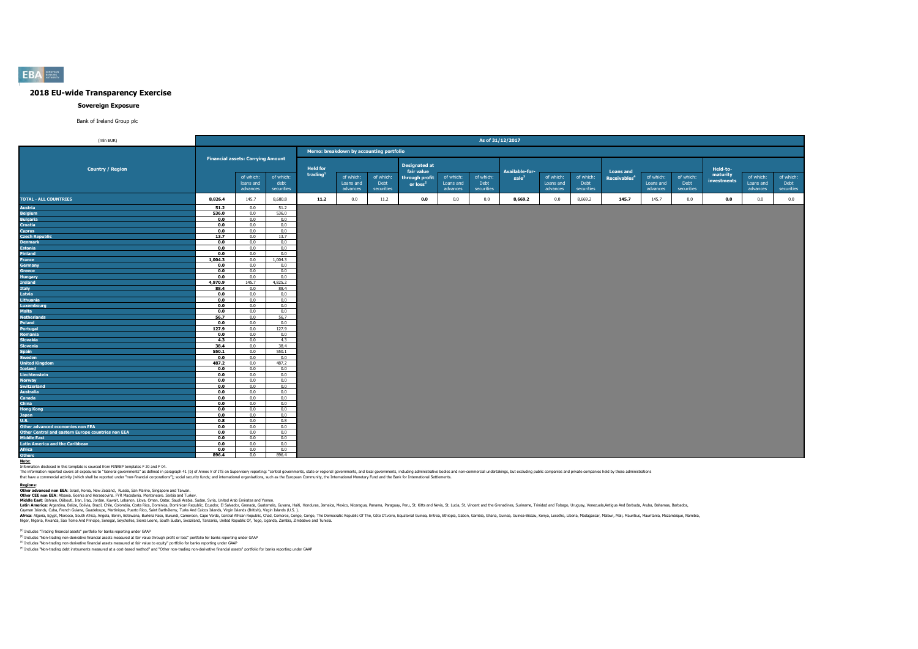

#### **Sovereign Exposure**

#### Bank of Ireland Group plc

| (mln EUR)                                          |             |                                                       |                    |                                         |                                         |                    |                                                      |                       |                    | As of 31/12/2017                    |                       |                    |                                              |                       |                    |                      |                       |                    |
|----------------------------------------------------|-------------|-------------------------------------------------------|--------------------|-----------------------------------------|-----------------------------------------|--------------------|------------------------------------------------------|-----------------------|--------------------|-------------------------------------|-----------------------|--------------------|----------------------------------------------|-----------------------|--------------------|----------------------|-----------------------|--------------------|
|                                                    |             |                                                       |                    |                                         | Memo: breakdown by accounting portfolio |                    |                                                      |                       |                    |                                     |                       |                    |                                              |                       |                    |                      |                       |                    |
| <b>Country / Region</b>                            |             | <b>Financial assets: Carrying Amount</b><br>of which: | of which:          | <b>Held for</b><br>trading <sup>1</sup> | of which:                               | of which:          | <b>Designated at</b><br>fair value<br>through profit | of which:             | of which:          | Available-for-<br>$\mathsf{safe}^3$ | of which:             | of which:          | <b>Loans and</b><br>Receivables <sup>4</sup> | of which:             | of which:          | Held-to-<br>maturity | of which:             | of which:          |
|                                                    |             | loans and<br>advances                                 | debt<br>securities |                                         | Loans and<br>advances                   | Debt<br>securities | or loss <sup>2</sup>                                 | Loans and<br>advances | Debt<br>securities |                                     | Loans and<br>advances | Debt<br>securities |                                              | Loans and<br>advances | Debt<br>securities | investments          | Loans and<br>advances | Debt<br>securities |
| <b>TOTAL - ALL COUNTRIES</b>                       | 8,826.4     | 145.7                                                 | 8,680.8            | 11.2                                    | 0.0                                     | 11.2               | 0.0                                                  | 0.0                   | 0.0                | 8,669.2                             | 0.0                   | 8,669.2            | 145.7                                        | 145.7                 | 0.0                | 0.0                  | 0.0                   | 0.0                |
| <b>Austria</b>                                     | 51.2        | 0.0                                                   | 51.2               |                                         |                                         |                    |                                                      |                       |                    |                                     |                       |                    |                                              |                       |                    |                      |                       |                    |
| <b>Belgium</b>                                     | 536.0       | 0.0                                                   | 536.0              |                                         |                                         |                    |                                                      |                       |                    |                                     |                       |                    |                                              |                       |                    |                      |                       |                    |
| <b>Bulgaria</b>                                    | 0.0         | 0.0                                                   | 0.0                |                                         |                                         |                    |                                                      |                       |                    |                                     |                       |                    |                                              |                       |                    |                      |                       |                    |
| <b>Croatia</b>                                     | 0.0         | 0.0                                                   | 0.0                |                                         |                                         |                    |                                                      |                       |                    |                                     |                       |                    |                                              |                       |                    |                      |                       |                    |
| <b>Cyprus</b>                                      | 0.0         | 0.0                                                   | 0.0                |                                         |                                         |                    |                                                      |                       |                    |                                     |                       |                    |                                              |                       |                    |                      |                       |                    |
| <b>Czech Republic</b>                              | 13.7        | 0.0                                                   | 13.7               |                                         |                                         |                    |                                                      |                       |                    |                                     |                       |                    |                                              |                       |                    |                      |                       |                    |
| <b>Denmark</b>                                     | 0.0         | 0.0                                                   | 0.0                |                                         |                                         |                    |                                                      |                       |                    |                                     |                       |                    |                                              |                       |                    |                      |                       |                    |
| <b>Estonia</b>                                     | 0.0         | 0.0                                                   | 0.0                |                                         |                                         |                    |                                                      |                       |                    |                                     |                       |                    |                                              |                       |                    |                      |                       |                    |
| <b>Finland</b>                                     | 0.0         | 0.0                                                   | 0.0                |                                         |                                         |                    |                                                      |                       |                    |                                     |                       |                    |                                              |                       |                    |                      |                       |                    |
| France                                             | 1,004.3     | 0.0                                                   | 1,004.3            |                                         |                                         |                    |                                                      |                       |                    |                                     |                       |                    |                                              |                       |                    |                      |                       |                    |
| Germany                                            | 0.0         | 0.0                                                   | 0.0                |                                         |                                         |                    |                                                      |                       |                    |                                     |                       |                    |                                              |                       |                    |                      |                       |                    |
| <b>Greece</b>                                      | 0.0         | 0.0                                                   | 0.0                |                                         |                                         |                    |                                                      |                       |                    |                                     |                       |                    |                                              |                       |                    |                      |                       |                    |
| <b>Hungary</b>                                     | 0.0         | 0.0                                                   | 0.0                |                                         |                                         |                    |                                                      |                       |                    |                                     |                       |                    |                                              |                       |                    |                      |                       |                    |
| <b>Ireland</b>                                     | 4,970.9     | 145.7                                                 | 4,825.2            |                                         |                                         |                    |                                                      |                       |                    |                                     |                       |                    |                                              |                       |                    |                      |                       |                    |
| Italy<br>Latvia                                    | 88.4<br>0.0 | 0.0<br>0.0                                            | 88.4<br>0.0        |                                         |                                         |                    |                                                      |                       |                    |                                     |                       |                    |                                              |                       |                    |                      |                       |                    |
| Lithuania                                          | 0.0         | 0.0                                                   | 0.0                |                                         |                                         |                    |                                                      |                       |                    |                                     |                       |                    |                                              |                       |                    |                      |                       |                    |
| <b>Luxembourg</b>                                  | 0.0         | 0.0                                                   | 0.0                |                                         |                                         |                    |                                                      |                       |                    |                                     |                       |                    |                                              |                       |                    |                      |                       |                    |
| <b>Malta</b>                                       | 0.0         | 0.0                                                   | 0.0                |                                         |                                         |                    |                                                      |                       |                    |                                     |                       |                    |                                              |                       |                    |                      |                       |                    |
| <b>Netherlands</b>                                 | 56.7        | 0.0                                                   | 56.7               |                                         |                                         |                    |                                                      |                       |                    |                                     |                       |                    |                                              |                       |                    |                      |                       |                    |
| Poland                                             | 0.0         | 0.0                                                   | 0.0                |                                         |                                         |                    |                                                      |                       |                    |                                     |                       |                    |                                              |                       |                    |                      |                       |                    |
| Portugal                                           | 127.9       | 0.0                                                   | 127.9              |                                         |                                         |                    |                                                      |                       |                    |                                     |                       |                    |                                              |                       |                    |                      |                       |                    |
| <b>Romania</b>                                     | 0.0         | 0.0                                                   | 0.0                |                                         |                                         |                    |                                                      |                       |                    |                                     |                       |                    |                                              |                       |                    |                      |                       |                    |
| Slovakia                                           | 4.3         | 0.0                                                   | 4.3                |                                         |                                         |                    |                                                      |                       |                    |                                     |                       |                    |                                              |                       |                    |                      |                       |                    |
| <b>Slovenia</b>                                    | 38.4        | 0.0                                                   | 38.4               |                                         |                                         |                    |                                                      |                       |                    |                                     |                       |                    |                                              |                       |                    |                      |                       |                    |
| <b>Spain</b>                                       | 550.1       | 0.0                                                   | 550.1              |                                         |                                         |                    |                                                      |                       |                    |                                     |                       |                    |                                              |                       |                    |                      |                       |                    |
| Sweden                                             | 0.0         | 0.0                                                   | 0.0                |                                         |                                         |                    |                                                      |                       |                    |                                     |                       |                    |                                              |                       |                    |                      |                       |                    |
| <b>United Kingdom</b>                              | 487.2       | 0.0                                                   | 487.2              |                                         |                                         |                    |                                                      |                       |                    |                                     |                       |                    |                                              |                       |                    |                      |                       |                    |
| <b>Iceland</b>                                     | 0.0         | 0.0                                                   | 0.0                |                                         |                                         |                    |                                                      |                       |                    |                                     |                       |                    |                                              |                       |                    |                      |                       |                    |
| Liechtenstein                                      | 0.0         | 0.0                                                   | 0.0                |                                         |                                         |                    |                                                      |                       |                    |                                     |                       |                    |                                              |                       |                    |                      |                       |                    |
| <b>Norway</b>                                      | 0.0         | 0.0                                                   | 0.0                |                                         |                                         |                    |                                                      |                       |                    |                                     |                       |                    |                                              |                       |                    |                      |                       |                    |
| <b>Switzerland</b>                                 | 0.0         | 0.0                                                   | 0.0                |                                         |                                         |                    |                                                      |                       |                    |                                     |                       |                    |                                              |                       |                    |                      |                       |                    |
| <b>Australia</b>                                   | 0.0         | 0.0                                                   | 0.0                |                                         |                                         |                    |                                                      |                       |                    |                                     |                       |                    |                                              |                       |                    |                      |                       |                    |
| Canada                                             | 0.0         | 0.0                                                   | 0.0                |                                         |                                         |                    |                                                      |                       |                    |                                     |                       |                    |                                              |                       |                    |                      |                       |                    |
| China                                              | 0.0         | 0.0                                                   | 0.0                |                                         |                                         |                    |                                                      |                       |                    |                                     |                       |                    |                                              |                       |                    |                      |                       |                    |
| <b>Hong Kong</b>                                   | 0.0         | 0.0                                                   | 0.0                |                                         |                                         |                    |                                                      |                       |                    |                                     |                       |                    |                                              |                       |                    |                      |                       |                    |
| <b>Japan</b><br>U.S.                               | 0.0         | 0.0<br>0.0                                            | 0.0<br>0.8         |                                         |                                         |                    |                                                      |                       |                    |                                     |                       |                    |                                              |                       |                    |                      |                       |                    |
| <b>Other advanced economies non EEA</b>            | 0.8<br>0.0  | 0.0                                                   | 0.0                |                                         |                                         |                    |                                                      |                       |                    |                                     |                       |                    |                                              |                       |                    |                      |                       |                    |
| Other Central and eastern Europe countries non EEA | 0.0         | 0.0                                                   | 0.0                |                                         |                                         |                    |                                                      |                       |                    |                                     |                       |                    |                                              |                       |                    |                      |                       |                    |
| <b>Middle East</b>                                 | 0.0         | 0.0                                                   | 0.0                |                                         |                                         |                    |                                                      |                       |                    |                                     |                       |                    |                                              |                       |                    |                      |                       |                    |
| <b>Latin America and the Caribbean</b>             | 0.0         | 0.0                                                   | 0.0                |                                         |                                         |                    |                                                      |                       |                    |                                     |                       |                    |                                              |                       |                    |                      |                       |                    |
| <b>Africa</b>                                      | 0.0         | 0.0                                                   | 0.0                |                                         |                                         |                    |                                                      |                       |                    |                                     |                       |                    |                                              |                       |                    |                      |                       |                    |
| <b>Others</b>                                      | 896.4       | 0.0                                                   | 896.4              |                                         |                                         |                    |                                                      |                       |                    |                                     |                       |                    |                                              |                       |                    |                      |                       |                    |
| Note:                                              |             |                                                       |                    |                                         |                                         |                    |                                                      |                       |                    |                                     |                       |                    |                                              |                       |                    |                      |                       |                    |

<mark>Mote</mark>s<br>The information disclosed in this template is sourced from FINREP templates F 20 and F 04.<br>The information reposual exposures are concept as defined in paragaph 41 (b) of Arnex V of ITS on Supervisory reporting: "c

Redions:<br>Other advanced non EEA: Israel, Korea, New Zealand, Russia, San Marino, Singapore and Taiwan.<br>Middle East: Bahrain, Dibouti, Iran, Jaca, Kowait, Lebanon, Libra, Osminican, Osminican Marino, Singapore and Taiwan, S

#### $(1)$  Includes "Trading financial assets" portfolio for banks reporting under GAAP

(2) Includes "Non-trading non-derivative financial assets measured at fair value through profit or loss" portfolio for banks reporting under GAAP

<sup>(3)</sup> Includes "Non-trading non-derivative financial assets measured at fair value to equity" portfolio for banks reporting under GAAP<br><sup>(4)</sup> Includes "Non-trading debt instruments measured at a cost-based method" and "Othe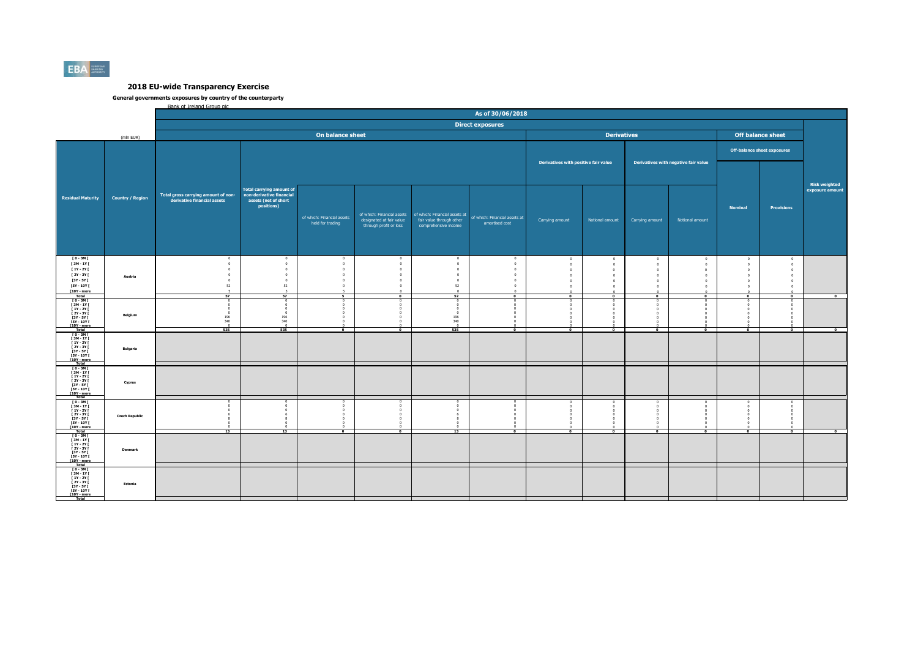

#### **General governments exposures by country of the counterparty**  .co exposures by councry.<br>Bank of Ireland Group plc

|                                                                                                                                                 |                         |                                                                                      |                                                                                                   |                                                                       |                                                                                                            |                                                                                       | As of 30/06/2018                                       |                                                                        |                                                                                              |                                                              |                                                           |                                                                       |                                                                                                                |                          |
|-------------------------------------------------------------------------------------------------------------------------------------------------|-------------------------|--------------------------------------------------------------------------------------|---------------------------------------------------------------------------------------------------|-----------------------------------------------------------------------|------------------------------------------------------------------------------------------------------------|---------------------------------------------------------------------------------------|--------------------------------------------------------|------------------------------------------------------------------------|----------------------------------------------------------------------------------------------|--------------------------------------------------------------|-----------------------------------------------------------|-----------------------------------------------------------------------|----------------------------------------------------------------------------------------------------------------|--------------------------|
|                                                                                                                                                 |                         |                                                                                      |                                                                                                   |                                                                       |                                                                                                            |                                                                                       | <b>Direct exposures</b>                                |                                                                        |                                                                                              |                                                              |                                                           |                                                                       |                                                                                                                |                          |
|                                                                                                                                                 | (mln EUR)               |                                                                                      |                                                                                                   | On balance sheet                                                      |                                                                                                            |                                                                                       |                                                        |                                                                        | <b>Derivatives</b>                                                                           |                                                              |                                                           | <b>Off balance sheet</b>                                              |                                                                                                                |                          |
|                                                                                                                                                 |                         |                                                                                      |                                                                                                   |                                                                       |                                                                                                            |                                                                                       |                                                        |                                                                        |                                                                                              |                                                              |                                                           | <b>Off-balance sheet exposures</b>                                    |                                                                                                                |                          |
|                                                                                                                                                 |                         |                                                                                      |                                                                                                   |                                                                       |                                                                                                            |                                                                                       |                                                        | Derivatives with positive fair value                                   |                                                                                              |                                                              | Derivatives with negative fair value                      |                                                                       |                                                                                                                | <b>Risk weighted</b>     |
| <b>Residual Maturity</b>                                                                                                                        | <b>Country / Region</b> | Total gross carrying amount of non-<br>derivative financial assets                   | <b>Total carrying amount of</b><br>non-derivative financial<br>assets (net of short<br>positions) | of which: Financial assets<br>held for trading                        | of which: Financial assets<br>designated at fair value<br>through profit or loss                           | of which: Financial assets at<br>fair value through other<br>comprehensive income     | of which: Financial assets at<br>amortised cost        | Carrying amount                                                        | Notional amount                                                                              | Carrying amount                                              | Notional amount                                           | <b>Nominal</b>                                                        | <b>Provisions</b>                                                                                              | exposure amount          |
| [0-3M]<br>[3M-1Y]<br>$[1Y - 2Y]$<br>[ 2Y - 3Y [<br>[3Y - 5Y [<br>[5Y - 10Y [<br>[10Y - more                                                     | Austria                 | $\circ$<br>$\circ$<br>$^{\circ}$<br>$\Omega$<br>$\Omega$<br>52<br>$\mathbf{z}$<br>57 | $\Omega$<br>$\circ$<br>$\circ$<br>$\theta$<br>$\theta$<br>52<br>$\overline{5}$<br>57              | $^{\circ}$<br>$\,0\,$<br>$\theta$<br>$\Omega$<br>$\Omega$<br>$\Omega$ | $\Omega$<br>$\overline{0}$<br>$\circ$<br>$\circ$<br>$\Omega$<br>$\Omega$<br>$\sim$<br>$\overline{\bullet}$ | $\overline{0}$<br>$\,0\,$<br>$\circ$<br>$\mathbf 0$<br>$\Omega$<br>52<br>$\sim$<br>52 | $\overline{0}$<br>$\circ$<br>$\circ$<br>$\overline{0}$ | $\circ$<br>$\circ$<br>$\Omega$<br>$\circ$<br>$\overline{0}$<br>$\circ$ | $\circ$<br>$\circ$<br>$\Omega$<br>$\circ$<br>$\,0\,$<br>$\mathbf{0}$<br>$\overline{\bullet}$ | $\sqrt{2}$<br>$\sqrt{2}$<br>$\sim$<br>$\Omega$<br>$\sqrt{2}$ | $\circ$<br>$\Omega$<br>$\sqrt{2}$<br>$\Omega$<br>$\Omega$ | $\mathbf{0}$<br>$\mathbf{0}$<br>n<br>$\Omega$<br>$\Omega$<br>$\Omega$ | $\mathbf{0}$<br>$\overline{0}$<br>$\mathbf{0}$<br>$\Omega$<br>$\overline{0}$<br>$\mathbf{0}$<br>$\overline{0}$ |                          |
| <b>Total</b><br>$[0 - 3M]$<br><b>F3M-1YF</b><br><b>F 1Y - 2Y F</b><br>I 2Y - 3Y I<br>[3Y - 5Y [<br><b>FSY - 10Y F</b><br>[10Y - more            | Belgium                 | $\Omega$<br>$\Omega$<br>$\overline{0}$<br>196<br>340<br>535                          | $\sqrt{2}$<br>196<br>340<br>535                                                                   | $\bullet$                                                             | $\bullet$                                                                                                  | $\Omega$<br>196<br>340<br>535                                                         | $\bullet$                                              | $\bullet$<br>$\bullet$                                                 | $\overline{\phantom{a}}$                                                                     | $\bullet$                                                    | $\overline{\phantom{a}}$<br>$\bullet$                     | $\overline{\phantom{a}}$<br>$\bullet$                                 | $\overline{\phantom{a}}$                                                                                       | $\overline{\phantom{a}}$ |
| Total<br>$10 - 3M$<br><b>F3M-1YF</b><br><b>F 1Y - 2Y F</b><br>I 2Y - 3Y I<br><b>13Y - 5Y F</b><br><b>FSY - 10Y F</b><br>[10Y - more<br>Total    | <b>Bulgaria</b>         |                                                                                      |                                                                                                   |                                                                       |                                                                                                            |                                                                                       |                                                        |                                                                        |                                                                                              |                                                              |                                                           |                                                                       |                                                                                                                |                          |
| $I$ 0 - 3M $I$<br>$\begin{array}{c} 13M - 1YI \\ 1Y - 2YI \end{array}$<br>[ 2Y - 3Y [<br><b>13Y - 5Y F</b><br><b>FSY - 10Y F</b><br>T10Y - more | Cyprus                  |                                                                                      |                                                                                                   |                                                                       |                                                                                                            |                                                                                       |                                                        |                                                                        |                                                                                              |                                                              |                                                           |                                                                       |                                                                                                                |                          |
| $10 - 3M1$<br>[3M-1Y]<br><b>F 1Y - 2Y F</b><br>[ 2Y - 3Y I<br>$13Y - SYI$<br>[5Y - 10Y [<br>[10Y - more<br>Total                                | <b>Czech Republic</b>   | 13                                                                                   | 13                                                                                                | $\overline{\phantom{a}}$                                              | $\Omega$<br>$\bullet$                                                                                      | 13                                                                                    | $\overline{\phantom{a}}$                               | $\bullet$                                                              | $\bullet$                                                                                    | $\overline{\phantom{a}}$                                     | $\overline{\phantom{a}}$                                  | n<br>$\bullet$                                                        | $\bullet$                                                                                                      | $\bullet$                |
| [0-3M]<br>[3M-1Y]<br>[ 1Y - 2Y [<br><b>F2Y - 3Y F</b><br><b>13Y - 5Y F</b><br>$FSY - 10YI$<br>$[10Y - more]$<br>Total                           | Denmark                 |                                                                                      |                                                                                                   |                                                                       |                                                                                                            |                                                                                       |                                                        |                                                                        |                                                                                              |                                                              |                                                           |                                                                       |                                                                                                                |                          |
| ГО-ЗМГ<br>ГЗМ-1ҮГ<br><b>F 1Y - 2Y F</b><br>[ 2Y - 3Y I<br>[3Y - 5Y  <br><b>FSY - 10Y F</b><br>[10Y - more<br><b>Total</b>                       | Estonia                 |                                                                                      |                                                                                                   |                                                                       |                                                                                                            |                                                                                       |                                                        |                                                                        |                                                                                              |                                                              |                                                           |                                                                       |                                                                                                                |                          |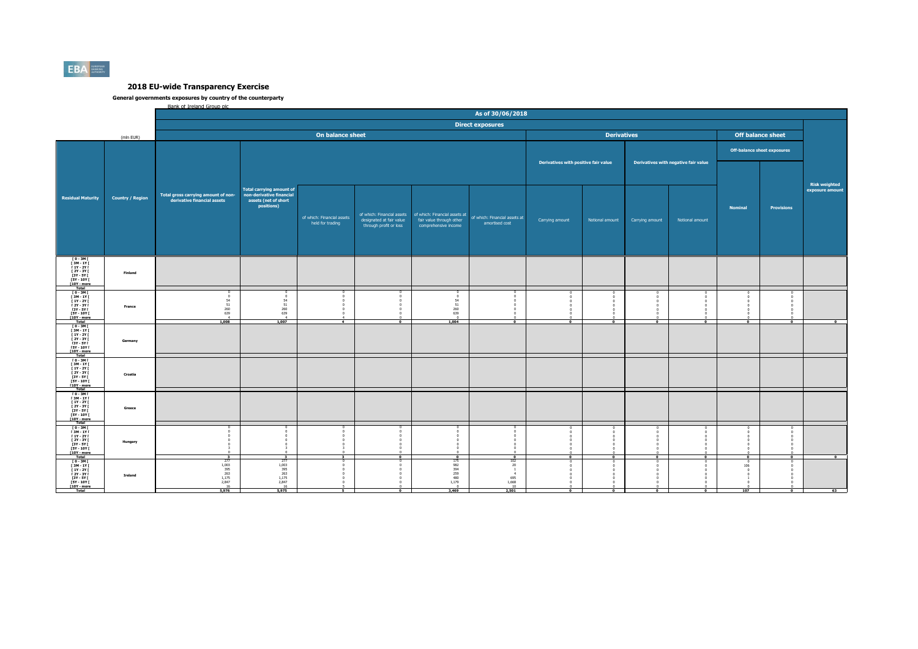

|                                                                                                                                                |                         | Bank of Ireland Group plc                                          |                                                                                                   |                                                |                                                    |                                                                                                              | As of 30/06/2018                                                          |                                      |                          |                 |                                      |                                          |                                    |                                         |
|------------------------------------------------------------------------------------------------------------------------------------------------|-------------------------|--------------------------------------------------------------------|---------------------------------------------------------------------------------------------------|------------------------------------------------|----------------------------------------------------|--------------------------------------------------------------------------------------------------------------|---------------------------------------------------------------------------|--------------------------------------|--------------------------|-----------------|--------------------------------------|------------------------------------------|------------------------------------|-----------------------------------------|
|                                                                                                                                                |                         |                                                                    |                                                                                                   |                                                |                                                    |                                                                                                              | <b>Direct exposures</b>                                                   |                                      |                          |                 |                                      |                                          |                                    |                                         |
|                                                                                                                                                | (mln EUR)               |                                                                    |                                                                                                   | On balance sheet                               |                                                    |                                                                                                              |                                                                           |                                      | <b>Derivatives</b>       |                 |                                      |                                          | <b>Off balance sheet</b>           |                                         |
|                                                                                                                                                |                         |                                                                    |                                                                                                   |                                                |                                                    |                                                                                                              |                                                                           |                                      |                          |                 |                                      |                                          | <b>Off-balance sheet exposures</b> |                                         |
|                                                                                                                                                |                         |                                                                    |                                                                                                   |                                                |                                                    |                                                                                                              |                                                                           | Derivatives with positive fair value |                          |                 | Derivatives with negative fair value |                                          |                                    |                                         |
| <b>Residual Maturity</b>                                                                                                                       | <b>Country / Region</b> | Total gross carrying amount of non-<br>derivative financial assets | <b>Total carrying amount of</b><br>non-derivative financial<br>assets (net of short<br>positions) | of which: Financial assets<br>held for trading | designated at fair value<br>through profit or loss | of which: Financial assets of which: Financial assets at<br>fair value through other<br>comprehensive income | of which: Financial assets at<br>amortised cost                           | Carrying amount                      | Notional amount          | Carrying amount | Notional amount                      | <b>Nominal</b>                           | <b>Provisions</b>                  | <b>Risk weighted</b><br>exposure amount |
|                                                                                                                                                |                         |                                                                    |                                                                                                   |                                                |                                                    |                                                                                                              |                                                                           |                                      |                          |                 |                                      |                                          |                                    |                                         |
| 10 - 3M  <br>13M - 1Y  <br>11Y - 2Y  <br><b>F2Y - 3Y F</b><br>13Y - 5Y<br>15Y - 10Y 1<br>[10Y - more<br>Total                                  | Finland                 |                                                                    |                                                                                                   |                                                |                                                    |                                                                                                              |                                                                           |                                      |                          |                 |                                      |                                          |                                    |                                         |
| 10-3MT<br>13M-1YT<br>11Y-2YT<br><b>F2Y - 3Y F</b><br>[3Y - 5Y  <br><b>FSY - 10Y F</b><br>[10Y - more]                                          | France                  | $\sqrt{2}$<br>$\frac{54}{51}$<br>260<br>639                        | $\mathbf{0}$<br>$\frac{54}{51}$<br>260<br>639<br>$\overline{4}$                                   |                                                |                                                    | $\overline{0}$<br>$\frac{54}{51}$<br>$\begin{array}{c} 260 \\ 639 \\ 0 \end{array}$                          |                                                                           |                                      |                          |                 |                                      |                                          |                                    |                                         |
| Total<br>$10 - 3M1$<br>$\begin{array}{c} 13M - 1Y \\ 1Y - 2Y \end{array}$<br><b>F2Y - 3Y F</b><br>[3Y - 5Y  <br>[5Y - 10Y [<br>[10Y - more]    | Germany                 | 1,008                                                              | 1,007                                                                                             | $\overline{A}$                                 | $\overline{0}$                                     | 1.004                                                                                                        | $\overline{ }$                                                            | $\overline{ }$                       | $\overline{\phantom{a}}$ | $\mathbf{a}$    | $\overline{a}$                       | $\overline{\phantom{a}}$                 | $\overline{ }$                     | $\mathbf{a}$                            |
| $10 - 3M$<br>$\begin{array}{c} 13M - 1YI \\ 1Y - 2YI \end{array}$<br>1<br>12Y - 3Y I<br>13Y - 5Y I<br><b>FSY - 10Y F</b><br><b>F10Y</b> - more | Croatia                 |                                                                    |                                                                                                   |                                                |                                                    |                                                                                                              |                                                                           |                                      |                          |                 |                                      |                                          |                                    |                                         |
| $[0 - 3M]$<br>$[3M - 1Y]$<br><b>F 1Y - 2Y F</b><br>I 2Y - 3Y I<br>[3Y - 5Y [<br><b>FSY - 10Y F</b><br>[10Y - more<br><b>Total</b>              | Greece                  |                                                                    |                                                                                                   |                                                |                                                    |                                                                                                              |                                                                           |                                      |                          |                 |                                      |                                          |                                    |                                         |
| 10-3MT<br>13M-1YT<br>11Y-2YT<br><b>F2Y - 3Y F</b><br>[3Y - 5Y  <br><b>FSY - 10Y F</b><br>[10Y - more<br>Total                                  | Hungary                 |                                                                    | $\mathbf{3}$                                                                                      |                                                | $\overline{ }$                                     |                                                                                                              | $\overline{\phantom{a}}$                                                  |                                      |                          |                 |                                      | $\overline{0}$                           | $\Omega$                           |                                         |
| 0 - 3M  <br>  3M - 1Y  <br>  1Y - 2Y  <br>  2Y - 3Y  <br>[3Y - 5Y  <br><b>FSY - 10Y F</b><br>[10Y - more<br>Total                              | Ireland                 | 277<br>1,003<br>$\frac{395}{263}$<br>1,175<br>2,847<br>16<br>5,976 | $^{277}_{1,003}$<br>395<br>263<br>1,175<br>2,847<br>16<br>5,975                                   | 5.                                             | $\overline{0}$                                     | 175<br>982<br>394<br>259<br>480<br>1,179<br>3,469                                                            | $\frac{102}{20}$<br>$\mathbf{1}$<br>$-4$<br>$695$<br>1,668<br>10<br>2,501 | $\Omega$                             | $\Omega$                 | $\Omega$        | $\Omega$                             | $^{\circ}$<br>106<br>$\mathbf{0}$<br>107 | $\Omega$                           | 63                                      |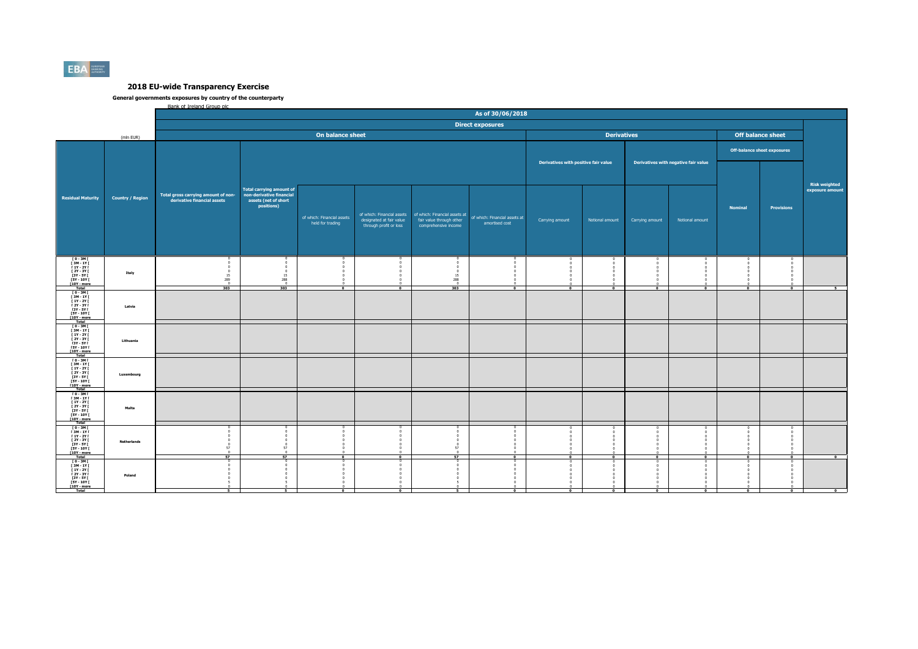

|                                                  |                         | Bank of Ireland Group plc                                          |                                    |                            |                                                    |                                                  |                               |                                      |                    |                 |                                      |                |                                    |                                         |
|--------------------------------------------------|-------------------------|--------------------------------------------------------------------|------------------------------------|----------------------------|----------------------------------------------------|--------------------------------------------------|-------------------------------|--------------------------------------|--------------------|-----------------|--------------------------------------|----------------|------------------------------------|-----------------------------------------|
|                                                  |                         |                                                                    |                                    |                            |                                                    |                                                  | As of 30/06/2018              |                                      |                    |                 |                                      |                |                                    |                                         |
|                                                  |                         |                                                                    |                                    |                            |                                                    |                                                  | <b>Direct exposures</b>       |                                      |                    |                 |                                      |                |                                    |                                         |
|                                                  |                         |                                                                    |                                    | On balance sheet           |                                                    |                                                  |                               |                                      | <b>Derivatives</b> |                 |                                      |                | <b>Off balance sheet</b>           |                                         |
|                                                  | (mln EUR)               |                                                                    |                                    |                            |                                                    |                                                  |                               |                                      |                    |                 |                                      |                |                                    |                                         |
|                                                  |                         |                                                                    |                                    |                            |                                                    |                                                  |                               |                                      |                    |                 |                                      |                | <b>Off-balance sheet exposures</b> |                                         |
|                                                  |                         |                                                                    |                                    |                            |                                                    |                                                  |                               | Derivatives with positive fair value |                    |                 | Derivatives with negative fair value |                |                                    |                                         |
|                                                  |                         |                                                                    |                                    |                            |                                                    |                                                  |                               |                                      |                    |                 |                                      |                |                                    |                                         |
|                                                  |                         |                                                                    |                                    |                            |                                                    |                                                  |                               |                                      |                    |                 |                                      |                |                                    |                                         |
|                                                  |                         |                                                                    | <b>Total carrying amount of</b>    |                            |                                                    |                                                  |                               |                                      |                    |                 |                                      |                |                                    | <b>Risk weighted</b><br>exposure amount |
| <b>Residual Maturity</b>                         | <b>Country / Region</b> | Total gross carrying amount of non-<br>derivative financial assets | non-derivative financial           |                            |                                                    |                                                  |                               |                                      |                    |                 |                                      |                |                                    |                                         |
|                                                  |                         |                                                                    | assets (net of short<br>positions) |                            |                                                    |                                                  |                               |                                      |                    |                 |                                      | <b>Nominal</b> | <b>Provisions</b>                  |                                         |
|                                                  |                         |                                                                    |                                    | of which: Financial assets | of which: Financial assets                         | of which: Financial assets at                    | of which: Financial assets at |                                      |                    |                 |                                      |                |                                    |                                         |
|                                                  |                         |                                                                    |                                    | held for trading           | designated at fair value<br>through profit or loss | fair value through other<br>comprehensive income | amortised cost                | Carrying amount                      | Notional amount    | Carrying amount | Notional amount                      |                |                                    |                                         |
|                                                  |                         |                                                                    |                                    |                            |                                                    |                                                  |                               |                                      |                    |                 |                                      |                |                                    |                                         |
|                                                  |                         |                                                                    |                                    |                            |                                                    |                                                  |                               |                                      |                    |                 |                                      |                |                                    |                                         |
|                                                  |                         |                                                                    |                                    |                            |                                                    |                                                  |                               |                                      |                    |                 |                                      |                |                                    |                                         |
| T0-3MT<br>[ 3M - 1Y ]<br>[ 1Y - 2Y ]             |                         |                                                                    |                                    |                            |                                                    |                                                  |                               |                                      |                    |                 |                                      |                |                                    |                                         |
| <b>F2Y - 3Y F</b>                                | Italy                   | $\sqrt{2}$                                                         |                                    |                            |                                                    | $\mathbf{0}$                                     |                               |                                      |                    |                 |                                      |                |                                    |                                         |
| [3Y - 5Y I]<br><b>FSY - 10Y F</b><br>[10Y - more |                         | 15<br>289<br>$\overline{0}$                                        | 15<br>288<br>$\overline{0}$        |                            |                                                    | 15<br>288<br>$\overline{0}$                      |                               |                                      |                    |                 |                                      |                |                                    |                                         |
| Total                                            |                         | 303                                                                | 303                                | $\overline{ }$             | $\overline{ }$                                     | 303                                              | $\overline{ }$                | $\overline{\bullet}$                 | $\mathbf{a}$       | $\mathbf{a}$    | $\overline{ }$                       | $\overline{ }$ | $\overline{ }$                     |                                         |
| ו 10 - 3M<br>  3M - 1Y<br>  1Y - 2Y I            |                         |                                                                    |                                    |                            |                                                    |                                                  |                               |                                      |                    |                 |                                      |                |                                    |                                         |
| <b>F2Y - 3Y F</b><br>[3Y - 5Y ]<br>[5Y - 10Y ]   | Latvia                  |                                                                    |                                    |                            |                                                    |                                                  |                               |                                      |                    |                 |                                      |                |                                    |                                         |
| <b>T10Y</b> - more<br>Total                      |                         |                                                                    |                                    |                            |                                                    |                                                  |                               |                                      |                    |                 |                                      |                |                                    |                                         |
| $10 - 3M$                                        |                         |                                                                    |                                    |                            |                                                    |                                                  |                               |                                      |                    |                 |                                      |                |                                    |                                         |
| $[3M-1Y]$<br>$[1Y-2Y]$<br><b>F2Y - 3Y F</b>      | Lithuania               |                                                                    |                                    |                            |                                                    |                                                  |                               |                                      |                    |                 |                                      |                |                                    |                                         |
| <b>13Y - 5Y F</b><br>$[5Y - 10Y]$                |                         |                                                                    |                                    |                            |                                                    |                                                  |                               |                                      |                    |                 |                                      |                |                                    |                                         |
| [10Y - more                                      |                         |                                                                    |                                    |                            |                                                    |                                                  |                               |                                      |                    |                 |                                      |                |                                    |                                         |
| Total<br>Fo - 3M F<br>F 3M - 1Y F<br>F 1Y - 2Y F |                         |                                                                    |                                    |                            |                                                    |                                                  |                               |                                      |                    |                 |                                      |                |                                    |                                         |
| 12Y - 3Y I<br>13Y - 5Y I<br>15Y - 10Y I          | Luxembourg              |                                                                    |                                    |                            |                                                    |                                                  |                               |                                      |                    |                 |                                      |                |                                    |                                         |
| <b>F10Y</b> - more                               |                         |                                                                    |                                    |                            |                                                    |                                                  |                               |                                      |                    |                 |                                      |                |                                    |                                         |
| $[0 - 3M]$<br>[ 3M - 1Y [                        |                         |                                                                    |                                    |                            |                                                    |                                                  |                               |                                      |                    |                 |                                      |                |                                    |                                         |
| <b>F 1Y - 2Y F</b>                               | Malta                   |                                                                    |                                    |                            |                                                    |                                                  |                               |                                      |                    |                 |                                      |                |                                    |                                         |
| 2Y - 3Y  <br>  3Y - 5Y  <br><b>FSY - 10Y F</b>   |                         |                                                                    |                                    |                            |                                                    |                                                  |                               |                                      |                    |                 |                                      |                |                                    |                                         |
| [10Y - more                                      |                         |                                                                    |                                    |                            |                                                    |                                                  |                               |                                      |                    |                 |                                      |                |                                    |                                         |
| Total<br>Fo - 3M F<br>F 3M - 1Y F<br>F 1Y - 2Y F |                         |                                                                    |                                    |                            |                                                    |                                                  |                               |                                      |                    |                 |                                      |                |                                    |                                         |
| 1<br>12Y - 3Y I<br>13Y - 5Y I                    | <b>Netherlands</b>      | $\Omega$                                                           |                                    |                            |                                                    | n<br>$\overline{0}$                              |                               |                                      |                    |                 |                                      |                |                                    |                                         |
| <b>FSY - 10Y F</b><br>$[10Y - more]$             |                         | 57                                                                 | 57                                 |                            |                                                    | 57                                               |                               |                                      |                    |                 |                                      |                |                                    |                                         |
| Total<br>ГО-ЗМГ<br>ГЗМ-1ҮГ                       |                         | 57                                                                 | 57                                 |                            |                                                    | 57<br>$\Omega$                                   |                               | $\overline{0}$                       |                    |                 | $\overline{0}$                       |                |                                    | $\overline{\bullet}$                    |
| <b>F 1Y - 2Y F</b><br>$[2Y - 3Y]$                |                         |                                                                    |                                    |                            |                                                    |                                                  |                               |                                      |                    |                 |                                      |                |                                    |                                         |
| [3Y - 5Y  <br><b>FSY - 10Y F</b>                 | Poland                  |                                                                    |                                    |                            |                                                    |                                                  |                               |                                      |                    |                 |                                      |                |                                    |                                         |
| [10Y - more<br>Total                             |                         | ᠷ                                                                  |                                    |                            |                                                    | к.                                               |                               | $\Omega$                             |                    | $\mathbf{a}$    | $\Omega$                             | $\Omega$       |                                    | $\Omega$                                |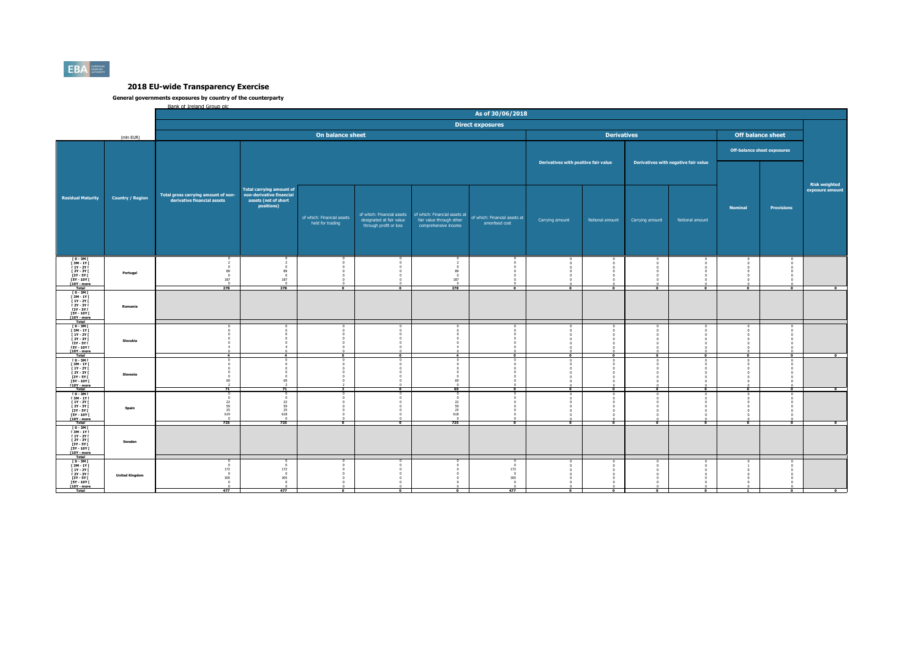

|                                                                                                                                          |                         | Bank of Ireland Group plc                                          |                                                                                                   |                                                |                                                    |                                                                                                                |                                                                                             |                                      |                          |                 |                                      |                          |                                    |                      |
|------------------------------------------------------------------------------------------------------------------------------------------|-------------------------|--------------------------------------------------------------------|---------------------------------------------------------------------------------------------------|------------------------------------------------|----------------------------------------------------|----------------------------------------------------------------------------------------------------------------|---------------------------------------------------------------------------------------------|--------------------------------------|--------------------------|-----------------|--------------------------------------|--------------------------|------------------------------------|----------------------|
|                                                                                                                                          |                         |                                                                    |                                                                                                   |                                                |                                                    |                                                                                                                | As of 30/06/2018                                                                            |                                      |                          |                 |                                      |                          |                                    |                      |
|                                                                                                                                          |                         |                                                                    |                                                                                                   |                                                |                                                    |                                                                                                                | <b>Direct exposures</b>                                                                     |                                      |                          |                 |                                      |                          |                                    |                      |
|                                                                                                                                          | (mln EUR)               |                                                                    |                                                                                                   | On balance sheet                               |                                                    |                                                                                                                |                                                                                             |                                      | <b>Derivatives</b>       |                 |                                      | <b>Off balance sheet</b> |                                    |                      |
|                                                                                                                                          |                         |                                                                    |                                                                                                   |                                                |                                                    |                                                                                                                |                                                                                             |                                      |                          |                 |                                      |                          | <b>Off-balance sheet exposures</b> |                      |
|                                                                                                                                          |                         |                                                                    |                                                                                                   |                                                |                                                    |                                                                                                                |                                                                                             | Derivatives with positive fair value |                          |                 | Derivatives with negative fair value |                          |                                    | <b>Risk weighted</b> |
| <b>Residual Maturity</b>                                                                                                                 | <b>Country / Region</b> | Total gross carrying amount of non-<br>derivative financial assets | <b>Total carrying amount of</b><br>non-derivative financial<br>assets (net of short<br>positions) | of which: Financial assets<br>held for trading | designated at fair value<br>through profit or loss | of which: Financial assets   of which: Financial assets at<br>fair value through other<br>comprehensive income | of which: Financial assets at<br>amortised cost                                             | Carrying amount                      | Notional amount          | Carrying amount | Notional amount                      | <b>Nominal</b>           | <b>Provisions</b>                  | exposure amount      |
| $10 - 3M$<br>$\begin{array}{c} 13M - 1Y1 \\ 1Y - 2Y1 \end{array}$<br>I 2Y - 3Y I<br>[3Y - 5Y  <br><b>FSY - 10Y F</b><br>$[10Y - more]$   | Portugal                | 89<br>$\overline{0}$<br>187<br>278                                 | 89<br>$\Omega$<br>187<br>$\Omega$<br>278                                                          | $\overline{ }$                                 | $\overline{ }$                                     | $\Omega$<br>89<br>$\overline{0}$<br>187<br>$\Omega$<br>278                                                     | $\overline{ }$                                                                              | $\overline{ }$                       | - 1                      | $\mathbf{a}$    | $\overline{ }$                       | $\overline{ }$           | $\sim$                             |                      |
| Total<br>10 - 3M I<br>13M - 1Y I<br>11Y - 2Y I<br><b>F2Y-3YF</b><br>[3Y - 5Y  <br><b>FSY - 10Y F</b><br>[10Y - more                      | Romania                 |                                                                    |                                                                                                   |                                                |                                                    |                                                                                                                |                                                                                             |                                      |                          |                 |                                      |                          |                                    |                      |
| Total<br>$I$ 0 - 3M $I$<br>$[3M-1Y]$<br><b>F 1Y - 2Y F</b><br><b>F2Y - 3Y F</b><br><b>13Y - 5Y F</b><br>$[5Y - 10Y]$<br>[10Y - more      | Slovakia                | $\overline{4}$                                                     | $\overline{4}$                                                                                    | $\overline{a}$                                 | $\overline{a}$                                     | $\overline{4}$                                                                                                 | $\overline{\phantom{0}}$                                                                    | $\bullet$                            | $\overline{\phantom{a}}$ | $\bullet$       | $\bullet$                            | $\bullet$                | $\Omega$                           | $\bullet$            |
| Total<br>Fo - 3M F<br>F 3M - 1Y F<br>F 1Y - 2Y F<br>[ 2Y - 3Y I<br>13Y - 5Y I<br>15Y - 10Y I<br><b>F10Y</b> - more                       | Slovenia                | $^{\circ}$<br>69<br>71                                             | 69<br>71                                                                                          |                                                | $\overline{a}$                                     | $\Omega$<br>$\Omega$<br>$\overline{0}$<br>69<br>69                                                             |                                                                                             | $\overline{0}$                       | $\overline{0}$           |                 |                                      |                          |                                    | $\overline{\bullet}$ |
| $[0 - 3M]$<br>[ 3M - 1Y [<br><b>F 1Y - 2Y F</b><br>[ 2Y - 3Y I<br>$[3Y - SY]$<br><b>FSY - 10Y F</b><br>[10Y - more                       | Spain                   | $\sqrt{2}$<br>22<br>59<br>25<br>619<br>725                         | $\sqrt{2}$<br>22<br>59<br>25<br>618<br>725                                                        | $\overline{0}$                                 | $\overline{0}$                                     | $\sim$<br>22<br>$\frac{59}{25}$<br>618<br>725                                                                  | $\Omega$                                                                                    | $\overline{\phantom{a}}$             | $\Omega$                 |                 | $\overline{a}$                       | $\overline{\bullet}$     |                                    | $\bullet$            |
| Total<br>TO-3MT<br><b>F3M-1YF</b><br>$[1Y - 2Y]$<br>1<br>1 2Y - 3Y I<br>13Y - 5Y I<br><b>FSY - 10Y F</b><br>$[10Y - more]$<br>Total      | Sweden                  |                                                                    |                                                                                                   |                                                |                                                    |                                                                                                                |                                                                                             |                                      |                          |                 |                                      |                          |                                    |                      |
| $I$ 0 - 3M $I$<br><b>F3M-1YF</b><br><b>F 1Y - 2Y F</b><br>$[2Y - 3Y]$<br>[3Y - 5Y  <br><b>FSY - 10Y F</b><br>[10Y - more<br><b>Total</b> | <b>United Kingdom</b>   | 172<br>$\overline{0}$<br>305<br>$\overline{0}$<br>477              | 172<br>$^{\circ}$<br>305<br>$\overline{0}$<br>477                                                 |                                                |                                                    | $\Omega$                                                                                                       | $\sqrt{2}$<br>$\Omega$<br>172<br>$\overline{0}$<br>305<br>$\overline{0}$<br>$\Omega$<br>477 | $\mathbf{a}$                         |                          |                 | $\Omega$                             |                          |                                    |                      |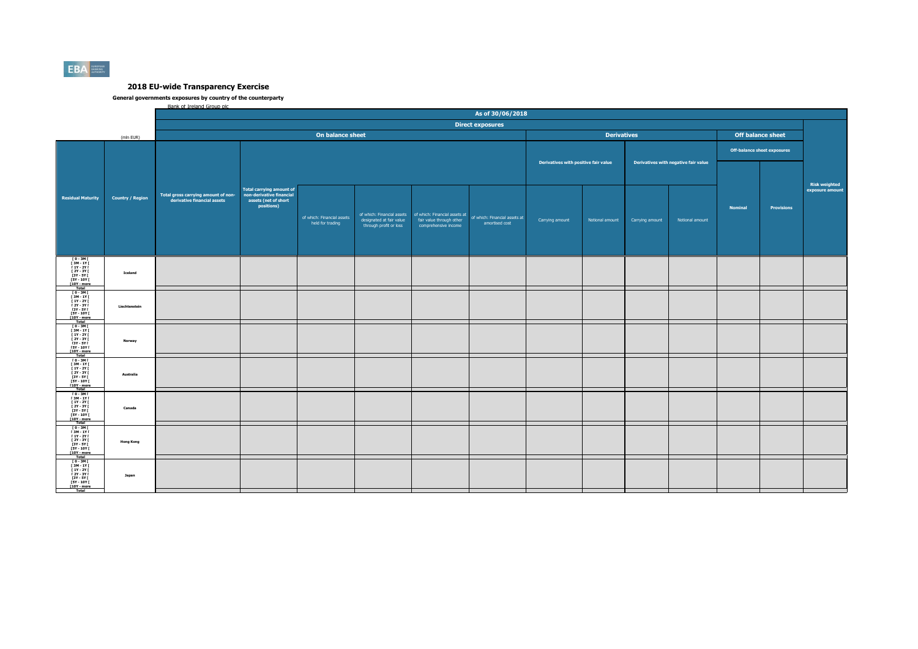

|                                                                |                         | Bank of Ireland Group plc.                                                                                                             |            |                                                |                                                    |                                                            |                                                 |                                      |                    |                 |                                      |                |                                    |                                  |
|----------------------------------------------------------------|-------------------------|----------------------------------------------------------------------------------------------------------------------------------------|------------|------------------------------------------------|----------------------------------------------------|------------------------------------------------------------|-------------------------------------------------|--------------------------------------|--------------------|-----------------|--------------------------------------|----------------|------------------------------------|----------------------------------|
|                                                                |                         |                                                                                                                                        |            |                                                |                                                    |                                                            | As of 30/06/2018                                |                                      |                    |                 |                                      |                |                                    |                                  |
|                                                                |                         |                                                                                                                                        |            |                                                |                                                    |                                                            | <b>Direct exposures</b>                         |                                      |                    |                 |                                      |                |                                    |                                  |
|                                                                |                         |                                                                                                                                        |            | On balance sheet                               |                                                    |                                                            |                                                 |                                      | <b>Derivatives</b> |                 |                                      |                | <b>Off balance sheet</b>           |                                  |
|                                                                | (mln EUR)               |                                                                                                                                        |            |                                                |                                                    |                                                            |                                                 |                                      |                    |                 |                                      |                |                                    |                                  |
|                                                                |                         |                                                                                                                                        |            |                                                |                                                    |                                                            |                                                 |                                      |                    |                 |                                      |                | <b>Off-balance sheet exposures</b> |                                  |
|                                                                |                         |                                                                                                                                        |            |                                                |                                                    |                                                            |                                                 | Derivatives with positive fair value |                    |                 | Derivatives with negative fair value |                |                                    |                                  |
|                                                                |                         |                                                                                                                                        |            |                                                |                                                    |                                                            |                                                 |                                      |                    |                 |                                      |                |                                    |                                  |
|                                                                |                         |                                                                                                                                        |            |                                                |                                                    |                                                            |                                                 |                                      |                    |                 |                                      |                |                                    |                                  |
|                                                                |                         | Total gross carrying amount of non-<br>derivative financial assets assets financial assets<br>assets financial assets assets financial |            |                                                |                                                    |                                                            |                                                 |                                      |                    |                 |                                      |                |                                    | Risk weighted<br>exposure amount |
| <b>Residual Maturity</b>                                       | <b>Country / Region</b> |                                                                                                                                        |            |                                                |                                                    |                                                            |                                                 |                                      |                    |                 |                                      |                |                                    |                                  |
|                                                                |                         |                                                                                                                                        | positions) |                                                |                                                    |                                                            |                                                 |                                      |                    |                 |                                      | <b>Nominal</b> | <b>Provisions</b>                  |                                  |
|                                                                |                         |                                                                                                                                        |            |                                                |                                                    | of which: Financial assets   of which: Financial assets at |                                                 |                                      |                    |                 |                                      |                |                                    |                                  |
|                                                                |                         |                                                                                                                                        |            | of which: Financial assets<br>held for trading | designated at fair value<br>through profit or loss | fair value through other<br>comprehensive income           | of which: Financial assets at<br>amortised cost | Carrying amount                      | Notional amount    | Carrying amount | Notional amount                      |                |                                    |                                  |
|                                                                |                         |                                                                                                                                        |            |                                                |                                                    |                                                            |                                                 |                                      |                    |                 |                                      |                |                                    |                                  |
|                                                                |                         |                                                                                                                                        |            |                                                |                                                    |                                                            |                                                 |                                      |                    |                 |                                      |                |                                    |                                  |
|                                                                |                         |                                                                                                                                        |            |                                                |                                                    |                                                            |                                                 |                                      |                    |                 |                                      |                |                                    |                                  |
|                                                                |                         |                                                                                                                                        |            |                                                |                                                    |                                                            |                                                 |                                      |                    |                 |                                      |                |                                    |                                  |
| [0-3M]<br>[3M-1Y]<br>[1Y-2Y]                                   |                         |                                                                                                                                        |            |                                                |                                                    |                                                            |                                                 |                                      |                    |                 |                                      |                |                                    |                                  |
| 1<br>13Y - 3Y I<br>13Y - 5Y I<br>15Y - 10Y I                   | Iceland                 |                                                                                                                                        |            |                                                |                                                    |                                                            |                                                 |                                      |                    |                 |                                      |                |                                    |                                  |
| [10Y - more<br>Total                                           |                         |                                                                                                                                        |            |                                                |                                                    |                                                            |                                                 |                                      |                    |                 |                                      |                |                                    |                                  |
| $\begin{array}{c} 10 - 3M \\ 13M - 1Y \\ 1Y - 2Y \end{array}$  |                         |                                                                                                                                        |            |                                                |                                                    |                                                            |                                                 |                                      |                    |                 |                                      |                |                                    |                                  |
| <b>F2Y - 3Y F</b>                                              | Liechtenstein           |                                                                                                                                        |            |                                                |                                                    |                                                            |                                                 |                                      |                    |                 |                                      |                |                                    |                                  |
| 13Y - 5Y I<br>15Y - 10Y I                                      |                         |                                                                                                                                        |            |                                                |                                                    |                                                            |                                                 |                                      |                    |                 |                                      |                |                                    |                                  |
| <b>F10Y</b> - more                                             |                         |                                                                                                                                        |            |                                                |                                                    |                                                            |                                                 |                                      |                    |                 |                                      |                |                                    |                                  |
| $10 - 3M$<br>$[3M-1Y]$<br>$[1Y-2Y]$                            |                         |                                                                                                                                        |            |                                                |                                                    |                                                            |                                                 |                                      |                    |                 |                                      |                |                                    |                                  |
| <b>F2Y - 3Y F</b>                                              | Norway                  |                                                                                                                                        |            |                                                |                                                    |                                                            |                                                 |                                      |                    |                 |                                      |                |                                    |                                  |
| [3Y - 5Y I]<br>[5Y - 10Y [<br>[10Y - more                      |                         |                                                                                                                                        |            |                                                |                                                    |                                                            |                                                 |                                      |                    |                 |                                      |                |                                    |                                  |
|                                                                |                         |                                                                                                                                        |            |                                                |                                                    |                                                            |                                                 |                                      |                    |                 |                                      |                |                                    |                                  |
| Total<br>Fo - 3M F<br>F 3M - 1Y F<br>F 1Y - 2Y F               |                         |                                                                                                                                        |            |                                                |                                                    |                                                            |                                                 |                                      |                    |                 |                                      |                |                                    |                                  |
| <b>F2Y - 3Y F</b>                                              | Australia               |                                                                                                                                        |            |                                                |                                                    |                                                            |                                                 |                                      |                    |                 |                                      |                |                                    |                                  |
| [3Y - 5Y ]<br>[5Y - 10Y ]<br><b>F10Y</b> - more                |                         |                                                                                                                                        |            |                                                |                                                    |                                                            |                                                 |                                      |                    |                 |                                      |                |                                    |                                  |
| $[0-3M]$                                                       |                         |                                                                                                                                        |            |                                                |                                                    |                                                            |                                                 |                                      |                    |                 |                                      |                |                                    |                                  |
| $\begin{array}{c} 13M - 1Y \\ 11Y - 2Y \end{array}$            |                         |                                                                                                                                        |            |                                                |                                                    |                                                            |                                                 |                                      |                    |                 |                                      |                |                                    |                                  |
| [ 2Y - 3Y I<br>[3Y - 5Y [                                      | Canada                  |                                                                                                                                        |            |                                                |                                                    |                                                            |                                                 |                                      |                    |                 |                                      |                |                                    |                                  |
| <b>FSY - 10Y F</b><br>[10Y - more<br>Total                     |                         |                                                                                                                                        |            |                                                |                                                    |                                                            |                                                 |                                      |                    |                 |                                      |                |                                    |                                  |
| $I$ 0 - $3M$ $I$                                               |                         |                                                                                                                                        |            |                                                |                                                    |                                                            |                                                 |                                      |                    |                 |                                      |                |                                    |                                  |
| $[3M - 1Y]$<br>$[1Y - 2Y]$<br><b>F2Y - 3Y F</b>                |                         |                                                                                                                                        |            |                                                |                                                    |                                                            |                                                 |                                      |                    |                 |                                      |                |                                    |                                  |
| [3Y - 5Y]<br>[5Y - 10Y]<br>[10Y - more                         | <b>Hong Kong</b>        |                                                                                                                                        |            |                                                |                                                    |                                                            |                                                 |                                      |                    |                 |                                      |                |                                    |                                  |
| Total                                                          |                         |                                                                                                                                        |            |                                                |                                                    |                                                            |                                                 |                                      |                    |                 |                                      |                |                                    |                                  |
| $\begin{array}{c} 10 - 3M \\ 13M - 1Y \\ 11Y - 2Y \end{array}$ |                         |                                                                                                                                        |            |                                                |                                                    |                                                            |                                                 |                                      |                    |                 |                                      |                |                                    |                                  |
| [ 2Y - 3Y [                                                    | Japan                   |                                                                                                                                        |            |                                                |                                                    |                                                            |                                                 |                                      |                    |                 |                                      |                |                                    |                                  |
| 13Y - 5Y I<br>15Y - 10Y I                                      |                         |                                                                                                                                        |            |                                                |                                                    |                                                            |                                                 |                                      |                    |                 |                                      |                |                                    |                                  |
| <b>F10Y</b> - more                                             |                         |                                                                                                                                        |            |                                                |                                                    |                                                            |                                                 |                                      |                    |                 |                                      |                |                                    |                                  |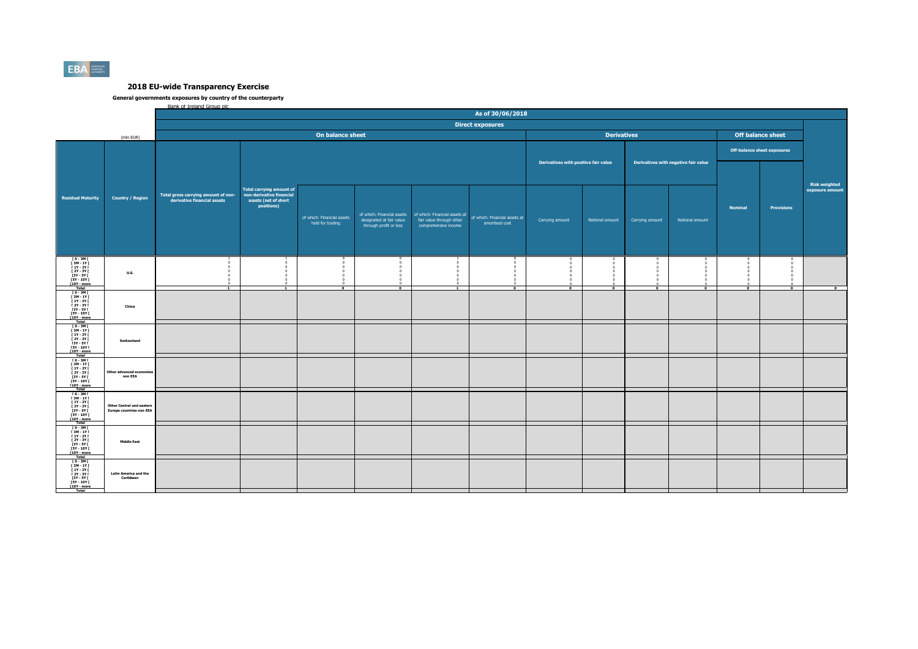

|                                                                                                                                       |                                                                     | Bank of Treland Group plc.                                         |                                                                                                   |                                                |                                                    |                                                                                                                |                                                 |                 |                                    |                 |                      |                          |                   |                 |  |
|---------------------------------------------------------------------------------------------------------------------------------------|---------------------------------------------------------------------|--------------------------------------------------------------------|---------------------------------------------------------------------------------------------------|------------------------------------------------|----------------------------------------------------|----------------------------------------------------------------------------------------------------------------|-------------------------------------------------|-----------------|------------------------------------|-----------------|----------------------|--------------------------|-------------------|-----------------|--|
|                                                                                                                                       |                                                                     | As of 30/06/2018                                                   |                                                                                                   |                                                |                                                    |                                                                                                                |                                                 |                 |                                    |                 |                      |                          |                   |                 |  |
|                                                                                                                                       |                                                                     | <b>Direct exposures</b>                                            |                                                                                                   |                                                |                                                    |                                                                                                                |                                                 |                 |                                    |                 |                      |                          |                   |                 |  |
| On balance sheet<br>(mln EUR)                                                                                                         |                                                                     |                                                                    |                                                                                                   |                                                |                                                    |                                                                                                                | <b>Derivatives</b>                              |                 |                                    |                 |                      | <b>Off balance sheet</b> |                   |                 |  |
|                                                                                                                                       | <b>Country / Region</b>                                             |                                                                    |                                                                                                   |                                                |                                                    |                                                                                                                |                                                 |                 | <b>Off-balance sheet exposures</b> |                 |                      |                          |                   |                 |  |
| <b>Residual Maturity</b>                                                                                                              |                                                                     | Total gross carrying amount of non-<br>derivative financial assets |                                                                                                   |                                                | Derivatives with positive fair value               |                                                                                                                | Derivatives with negative fair value            |                 |                                    |                 | <b>Risk weighted</b> |                          |                   |                 |  |
|                                                                                                                                       |                                                                     |                                                                    | <b>Total carrying amount of</b><br>non-derivative financial<br>assets (net of short<br>positions) | of which: Financial assets<br>held for trading | designated at fair value<br>through profit or loss | of which: Financial assets   of which: Financial assets at<br>fair value through other<br>comprehensive income | of which: Financial assets at<br>amortised cost | Carrying amount | Notional amount                    | Carrying amount | Notional amount      | <b>Nominal</b>           | <b>Provisions</b> | exposure amount |  |
| $10 - 3M$<br>$\begin{array}{c} 13M - 1YI \\ 1Y - 2YI \end{array}$<br>[ 2Y - 3Y I<br>[3Y - 5Y  <br>$TSY - 10Y 1 10Y - more$<br>Total   | <b>U.S.</b>                                                         | $\overline{\phantom{a}}$                                           |                                                                                                   | $\sqrt{2}$                                     | $\overline{\bullet}$                               | $\overline{\phantom{a}}$                                                                                       | $\overline{ }$                                  | $\sqrt{2}$      | $\overline{ }$                     | $\overline{ }$  | $\overline{ }$       | P                        | $\overline{0}$    | $\overline{ }$  |  |
| 10-3MT<br>13M-1YT<br>11Y-2YT<br>[ 2Y - 3Y I<br><b>13Y - 5Y F</b><br>$FSY - 10YI$<br>[10Y - more                                       | China                                                               |                                                                    |                                                                                                   |                                                |                                                    |                                                                                                                |                                                 |                 |                                    |                 |                      |                          |                   |                 |  |
| <b>Total</b><br>$10 - 3M$<br>$[3M-1Y]$<br><b>F 1Y - 2Y F</b><br><b>F2Y - 3Y F</b><br><b>13Y - 5Y F</b><br>$[5Y - 10Y]$<br>[10Y - more | Switzerland                                                         |                                                                    |                                                                                                   |                                                |                                                    |                                                                                                                |                                                 |                 |                                    |                 |                      |                          |                   |                 |  |
| Total<br>$10 - 3M1$<br>$13M - 1Y1$<br><b>F 1Y - 2Y F</b><br>I 2Y - 3Y I<br>$13Y - SYI$<br><b>FSY - 10Y F</b><br>[10Y - more<br>Total  | Other advanced econom<br>non EEA                                    |                                                                    |                                                                                                   |                                                |                                                    |                                                                                                                |                                                 |                 |                                    |                 |                      |                          |                   |                 |  |
| $[0 - 3M]$<br>[ 3M - 1Y [<br><b>F 1Y - 2Y F</b><br><b>F2Y - 3Y F</b><br>$[3Y - 5Y]$<br><b>FSY - 10Y F</b><br>[10Y - more<br>Total     | <b>Other Central and eastern</b><br><b>Europe countries non EEA</b> |                                                                    |                                                                                                   |                                                |                                                    |                                                                                                                |                                                 |                 |                                    |                 |                      |                          |                   |                 |  |
| $10 - 3M1$<br>[ 3M - 1Y  <br>$[1Y - 2Y]$<br><b>F2Y - 3Y F</b><br><b>13Y - 5Y I</b><br><b>FSY - 10Y F</b><br>$[10Y - more]$<br>Total   | <b>Middle East</b>                                                  |                                                                    |                                                                                                   |                                                |                                                    |                                                                                                                |                                                 |                 |                                    |                 |                      |                          |                   |                 |  |
| $10 - 3M$<br><b>F3M-1YF</b><br><b>F 1Y - 2Y F</b><br>$[2Y - 3Y]$<br>[3Y - 5Y  <br><b>FSY - 10Y F</b><br>[10Y - more<br>Total          | <b>Latin America and the</b><br>Caribbean                           |                                                                    |                                                                                                   |                                                |                                                    |                                                                                                                |                                                 |                 |                                    |                 |                      |                          |                   |                 |  |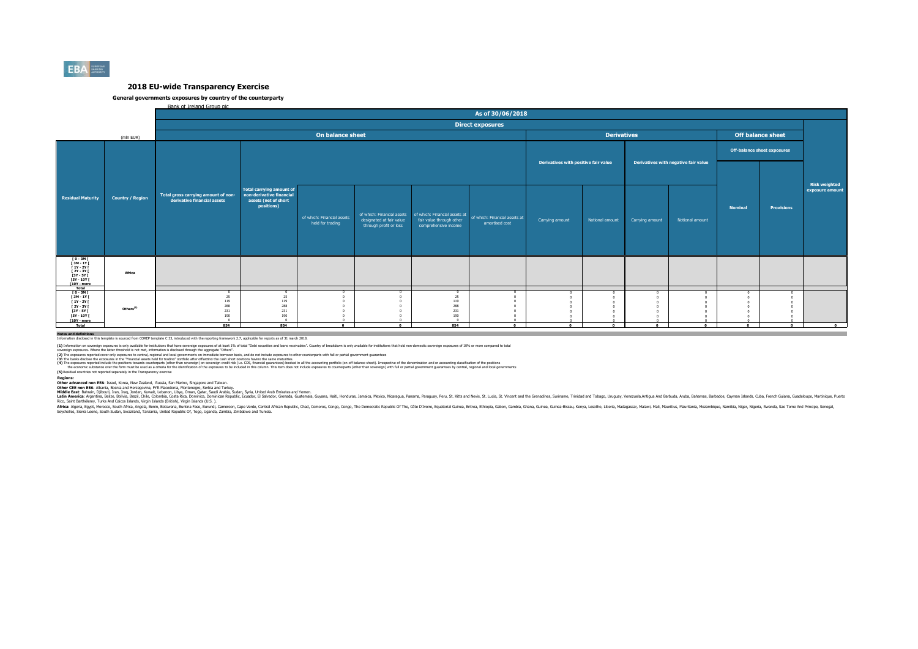

#### **General governments exposures by country of the counterparty**

Bank of Ireland Group plc

|                                                                                                                   |                         | As of 30/06/2018                                                   |                                                                                            |                                                |                                                    |                                                  |                                                                                                          |                                      |                 |                                      |                 |                |                                    |                                         |
|-------------------------------------------------------------------------------------------------------------------|-------------------------|--------------------------------------------------------------------|--------------------------------------------------------------------------------------------|------------------------------------------------|----------------------------------------------------|--------------------------------------------------|----------------------------------------------------------------------------------------------------------|--------------------------------------|-----------------|--------------------------------------|-----------------|----------------|------------------------------------|-----------------------------------------|
|                                                                                                                   |                         | <b>Direct exposures</b>                                            |                                                                                            |                                                |                                                    |                                                  |                                                                                                          |                                      |                 |                                      |                 |                |                                    |                                         |
|                                                                                                                   | (mln EUR)               |                                                                    |                                                                                            | <b>Derivatives</b><br><b>Off balance sheet</b> |                                                    |                                                  |                                                                                                          |                                      |                 |                                      |                 |                |                                    |                                         |
|                                                                                                                   |                         |                                                                    |                                                                                            |                                                |                                                    |                                                  |                                                                                                          |                                      |                 |                                      |                 |                | <b>Off-balance sheet exposures</b> |                                         |
| <b>Residual Maturity</b>                                                                                          | <b>Country / Region</b> |                                                                    |                                                                                            |                                                |                                                    |                                                  |                                                                                                          | Derivatives with positive fair value |                 | Derivatives with negative fair value |                 |                |                                    |                                         |
|                                                                                                                   |                         | Total gross carrying amount of non-<br>derivative financial assets | Total carrying amount of<br>non-derivative financial<br>assets (net of short<br>positions) | of which: Financial assets<br>held for trading | designated at fair value<br>through profit or loss | fair value through other<br>comprehensive income | of which: Financial assets of which: Financial assets at of which: Financial assets at<br>amortised cost | Carrying amount                      | Notional amount | Carrying amount                      | Notional amount | <b>Nominal</b> | <b>Provisions</b>                  | <b>Risk weighted</b><br>exposure amount |
| ГО-ЗМГ<br>ГЗМ-1ҮГ<br>$[1Y - 2Y]$<br><b>F2Y - 3Y F</b><br>[3Y - 5Y [<br><b>FSY - 10Y F</b><br>[10Y - more<br>Total | Africa                  |                                                                    |                                                                                            |                                                |                                                    |                                                  |                                                                                                          |                                      |                 |                                      |                 |                |                                    |                                         |
| [0-3M]<br>[3M-1Y]<br>$[1Y - 2Y]$<br>[ 2Y - 3Y [<br>[3Y - 5Y [<br><b>FSY - 10Y F</b><br>$[10Y - more]$<br>Total    | Others <sup>(5)</sup>   | 25<br>119<br>288<br>231<br>190<br>854                              | 25<br>119<br>288<br>231<br>190<br>854                                                      | $\Omega$                                       | $\Omega$                                           | 25<br>119<br>288<br>231<br>190<br>854            | $\mathbf{a}$                                                                                             | $\Omega$                             | $\mathbf{a}$    | $\sim$                               | $\Omega$        | $\Omega$       | $\mathbf{a}$                       | $\overline{\phantom{a}}$                |
| Notes and definitions                                                                                             |                         |                                                                    |                                                                                            |                                                |                                                    |                                                  |                                                                                                          |                                      |                 |                                      |                 |                |                                    |                                         |

**Notes and definitions** Information disclosed in this template is sourced from COREP template C 33, introduced with the reporting framework 2.7, applicable for reports as of 31 march 2018.

(1) Information on soverign exposures is only andiable for institutions that base overled exposures of a least 19h of total "Debt securities and bans receivables". Country of breakdown is only available for instutions that

(2) The zonsures records the consures in the Financial assts held for bading overnomis on the record and to be distance to the counterparts with full or partial comment customers in the consumers and the consumers and the

**(5)** Residual countries not reported separately in the Transparency exercise

Redions:<br>Other advanced non EEA: Israel. Korea. New Zealand. Russia. San Marino. Sinzacore and Taiwan.<br>Middle East: Bahrain, Discolic Responsit Proposition Scheen Archives, Seria and Taiwan, Seria Taiwan, Seria Taiwan, Ser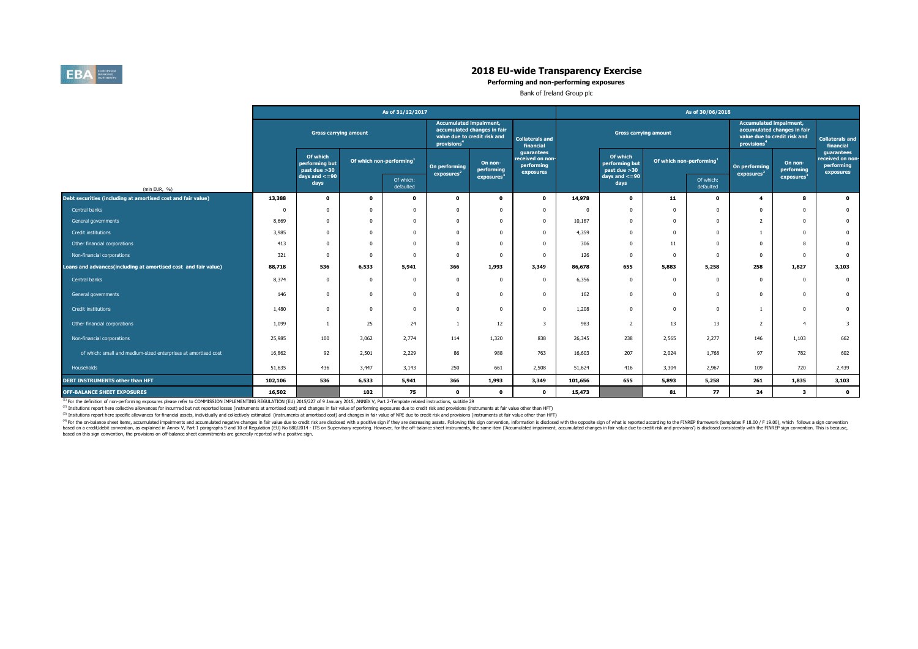

**Performing and non-performing exposures**

Bank of Ireland Group plc

|                                                                | As of 31/12/2017             |                                            |                                      |                        |                                                                                                                          |                        |                                                           | As of 30/06/2018 |                                            |                                      |                        |                                                                                                                          |                         |                                                           |  |
|----------------------------------------------------------------|------------------------------|--------------------------------------------|--------------------------------------|------------------------|--------------------------------------------------------------------------------------------------------------------------|------------------------|-----------------------------------------------------------|------------------|--------------------------------------------|--------------------------------------|------------------------|--------------------------------------------------------------------------------------------------------------------------|-------------------------|-----------------------------------------------------------|--|
|                                                                | <b>Gross carrying amount</b> |                                            |                                      |                        | <b>Accumulated impairment,</b><br>accumulated changes in fair<br>value due to credit risk and<br>provisions <sup>4</sup> |                        | <b>Collaterals and</b><br>financial                       |                  | <b>Gross carrying amount</b>               |                                      |                        | <b>Accumulated impairment,</b><br>accumulated changes in fair<br>value due to credit risk and<br>provisions <sup>4</sup> |                         | <b>Collaterals and</b><br>financial                       |  |
|                                                                |                              | Of which<br>performing but<br>past due >30 | Of which non-performing <sup>1</sup> |                        | On performing<br>exposures <sup>2</sup>                                                                                  | On non-<br>performing  | guarantees<br>received on non-<br>performing<br>exposures |                  | Of which<br>performing but<br>past due >30 | Of which non-performing <sup>1</sup> |                        | On performing<br>exposure <sup>2</sup>                                                                                   | On non-<br>performing   | guarantees<br>received on non-<br>performing<br>exposures |  |
| (mln EUR, %)                                                   |                              | days and $\lt$ =90<br>days                 |                                      | Of which:<br>defaulted |                                                                                                                          | exposures <sup>3</sup> |                                                           |                  | $days$ and $\lt$ =90<br>days               |                                      | Of which:<br>defaulted |                                                                                                                          | exposures <sup>3</sup>  |                                                           |  |
| Debt securities (including at amortised cost and fair value)   | 13,388                       | $\mathbf{0}$                               | $\bullet$                            | $\Omega$               | $\mathbf 0$                                                                                                              | $\mathbf{o}$           | $\mathbf 0$                                               | 14,978           | $\mathbf{o}$                               | 11                                   | $\mathbf{o}$           | $\overline{\mathbf{4}}$                                                                                                  | 8                       | $\bullet$                                                 |  |
| Central banks                                                  | $\mathbf{0}$                 | $\mathbf{0}$                               | $\Omega$                             | $\Omega$               | $\Omega$                                                                                                                 | $\Omega$               | $\mathbf{0}$                                              | $\Omega$         | $\Omega$                                   | 0                                    | $\Omega$               | $\Omega$                                                                                                                 | $\overline{0}$          | $\overline{0}$                                            |  |
| General governments                                            | 8,669                        | $\Omega$                                   | $\Omega$                             | $\Omega$               | $\Omega$                                                                                                                 | $\Omega$               | $\mathbf{0}$                                              | 10,187           | $\Omega$                                   | 0                                    | $\Omega$               | $\overline{2}$                                                                                                           | $\Omega$                | $\mathbf{0}$                                              |  |
| Credit institutions                                            | 3,985                        | $\Omega$                                   | $\Omega$                             | $\Omega$               | $\Omega$                                                                                                                 | $\Omega$               | $\Omega$                                                  | 4,359            | $\Omega$                                   | $\Omega$                             | $\Omega$               |                                                                                                                          | $\Omega$                | $\overline{0}$                                            |  |
| Other financial corporations                                   | 413                          | $\Omega$                                   | $\Omega$                             | $\mathbf 0$            | $\Omega$                                                                                                                 | $\Omega$               | $\Omega$                                                  | 306              | $\mathbf 0$                                | 11                                   | $\Omega$               | $^{\circ}$                                                                                                               | 8                       | $\mathbf{0}$                                              |  |
| Non-financial corporations                                     | 321                          |                                            | $\Omega$                             | $\Omega$               | $\Omega$                                                                                                                 | $\Omega$               | $\Omega$                                                  | 126              | $\Omega$                                   | $\mathbf 0$                          | $\Omega$               | $\Omega$                                                                                                                 | $\Omega$                | $\overline{0}$                                            |  |
| Loans and advances(including at amortised cost and fair value) | 88,718                       | 536                                        | 6,533                                | 5,941                  | 366                                                                                                                      | 1,993                  | 3,349                                                     | 86,678           | 655                                        | 5,883                                | 5,258                  | 258                                                                                                                      | 1,827                   | 3,103                                                     |  |
| Central banks                                                  | 8,374                        | $\Omega$                                   | $\Omega$                             | $\Omega$               | $\Omega$                                                                                                                 | $\Omega$               | $\Omega$                                                  | 6,356            | $\Omega$                                   | 0                                    | $\Omega$               | $\Omega$                                                                                                                 | $\overline{0}$          | $\overline{\mathbf{0}}$                                   |  |
| General governments                                            | 146                          | $\Omega$                                   | $\Omega$                             | $\Omega$               | $\Omega$                                                                                                                 | $\Omega$               | $\Omega$                                                  | 162              | $\mathbf 0$                                | $\Omega$                             | $^{\circ}$             | $\Omega$                                                                                                                 | $\Omega$                | $\mathbf{0}$                                              |  |
| <b>Credit institutions</b>                                     | 1,480                        | $\Omega$                                   | $\Omega$                             | $\Omega$               | $\Omega$                                                                                                                 | $\Omega$               | $\mathbf{0}$                                              | 1,208            | $\mathbf 0$                                | $\mathbf 0$                          | $^{\circ}$             |                                                                                                                          | $\overline{0}$          | $\overline{0}$                                            |  |
| Other financial corporations                                   | 1,099                        |                                            | 25                                   | 24                     |                                                                                                                          | 12                     | $\overline{\mathbf{3}}$                                   | 983              | $\overline{2}$                             | 13                                   | 13                     | 2                                                                                                                        | $\overline{4}$          | $\overline{\mathbf{3}}$                                   |  |
| Non-financial corporations                                     | 25,985                       | 100                                        | 3,062                                | 2,774                  | 114                                                                                                                      | 1,320                  | 838                                                       | 26,345           | 238                                        | 2,565                                | 2,277                  | 146                                                                                                                      | 1,103                   | 662                                                       |  |
| of which: small and medium-sized enterprises at amortised cost | 16,862                       | 92                                         | 2,501                                | 2,229                  | 86                                                                                                                       | 988                    | 763                                                       | 16,603           | 207                                        | 2,024                                | 1,768                  | 97                                                                                                                       | 782                     | 602                                                       |  |
| Households                                                     | 51,635                       | 436                                        | 3,447                                | 3,143                  | 250                                                                                                                      | 661                    | 2,508                                                     | 51,624           | 416                                        | 3,304                                | 2.967                  | 109                                                                                                                      | 720                     | 2,439                                                     |  |
| <b>DEBT INSTRUMENTS other than HFT</b>                         | 102,106                      | 536                                        | 6,533                                | 5,941                  | 366                                                                                                                      | 1,993                  | 3,349                                                     | 101,656          | 655                                        | 5,893                                | 5,258                  | 261                                                                                                                      | 1,835                   | 3,103                                                     |  |
| OFF-BALANCE SHEET EXPOSURES                                    | 16,502                       |                                            | 102                                  | 75                     | $\mathbf 0$                                                                                                              | $\mathbf 0$            | $\mathbf{0}$                                              | 15,473           |                                            | 81                                   | 77                     | 24                                                                                                                       | $\overline{\mathbf{3}}$ | $\bullet$                                                 |  |

<sup>(1)</sup> For the definition of non-performing exposures please refer to COMMISSION IMPLEMENTING REGULATION (EU) 2015/227 of 9 January 2015, ANNEX V, Part 2-Template related instructions, subtitle 29

<sup>(2)</sup> Insitutions report here collective allowances for incurrred but not reported losses (instruments at amortised cost) and changes in fair value of performing exposures due to credit risk and provisions (instruments at

(3) Insitutions report here specific allowances for financial assets, individually and collectively estimated (instruments at amortised cost) and changes in fair value of NPE due to credit risk and provisions (instruments

<sup>(9)</sup> for the or-balance sheet items, accumulated impliments and accumulated negative changes in fair value due to reduct of the spectrosing assets. Following this spectrom in the oposition (EU) No 680/2014 - ITS on Superv based on this sign convention, the provisions on off-balance sheet commitments are generally reported with a positive sign.